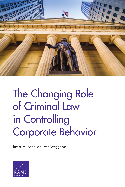

# The Changing Role<br>of Criminal Law in Controlling Cornorate Beh Corporate Behavior Street Street Street Street Street Street Street Street Street Street Street Street Street<br>Corporate Behavior Street Street Street Street Street Street Street Street Street Street Street Street Street

James M. Anderson, Ivan Waggoner

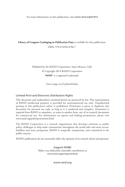For more information on this publication, visit [www.rand.org/t/rr412](http://www.rand.org/t/rr412)

**Library of Congress Cataloging-in-Publication Data** is available for this publication.

ISBN: 978-0-8330-8786-7

Published by the RAND Corporation, Santa Monica, Calif. © Copyright 2014 RAND Corporation RAND<sup>®</sup> is a registered trademark.

*Cover image via f11photo/Fotolia.*

#### Limited Print and Electronic Distribution Rights

This document and trademark(s) contained herein are protected by law. This representation of RAND intellectual property is provided for noncommercial use only. Unauthorized posting of this publication online is prohibited. Permission is given to duplicate this document for personal use only, as long as it is unaltered and complete. Permission is required from RAND to reproduce, or reuse in another form, any of its research documents for commercial use. For information on reprint and linking permissions, please visit [www.rand.org/pubs/permissions.html.](http://www.rand.org/pubs/permissions.html)

The RAND Corporation is a research organization that develops solutions to public policy challenges to help make communities throughout the world safer and more secure, healthier and more prosperous. RAND is nonprofit, nonpartisan, and committed to the public interest.

RAND's publications do not necessarily reflect the opinions of its research clients and sponsors.

Support RAND Make a tax-deductible charitable contribution at [www.rand.org/giving/contribute](http://www.rand.org/giving/contribute)

[www.rand.org](http://www.rand.org)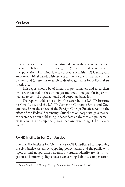This report examines the use of criminal law in the corporate context. The research had three primary goals: (1) trace the development of the application of criminal law to corporate activities, (2) identify and analyze empirical trends with respect to the use of criminal law in this context, and (3) use this research to develop guidance for policymakers in this area.

This report should be of interest to policymakers and researchers who are interested in the advantages and disadvantages of using criminal law to control organizational and corporate behavior.

The report builds on a body of research by the RAND Institute for Civil Justice and the RAND Center for Corporate Ethics and Governance. From the effects of the Foreign Corrupt Practices Act<sup>1</sup> to the effect of the Federal Sentencing Guidelines on corporate governance, the center has been publishing independent analyses to aid policymakers in achieving an empirically grounded understanding of the relevant issues.

## **RAND Institute for Civil Justice**

The RAND Institute for Civil Justice (ICJ) is dedicated to improving the civil justice system by supplying policymakers and the public with rigorous and nonpartisan research. Its studies identify trends in litigation and inform policy choices concerning liability, compensation,

<sup>&</sup>lt;sup>1</sup> Public Law 95-213, Foreign Corrupt Practices Act, December 19, 1977.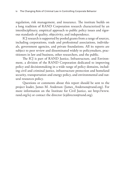regulation, risk management, and insurance. The institute builds on a long tradition of RAND Corporation research characterized by an interdisciplinary, empirical approach to public policy issues and rigorous standards of quality, objectivity, and independence.

ICJ research is supported by pooled grants from a range of sources, including corporations, trade and professional associations, individuals, government agencies, and private foundations. All its reports are subject to peer review and disseminated widely to policymakers, practitioners in law and business, other researchers, and the public.

The ICJ is part of RAND Justice, Infrastructure, and Environment, a division of the RAND Corporation dedicated to improving policy and decisionmaking in a wide range of policy domains, including civil and criminal justice, infrastructure protection and homeland security, transportation and energy policy, and environmental and natural resources policy.

Questions or comments about this report should be sent to the project leader, James M. Anderson ([James\\_Anderson@rand.org](mailto:James_Anderson@rand.org)). For more information on the Institute for Civil Justice, see [http://www.](http://www.rand.org/icj) [rand.org/icj](http://www.rand.org/icj) or contact the director [\(icjdirector@rand.org\)](mailto:icjdirector@rand.org).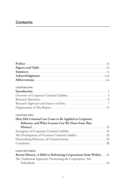# **Contents**

#### **CHAPTER ONE**

#### **CHAPTER TWO**

| How Did Criminal Law Come to Be Applied to Corporate                                        |  |
|---------------------------------------------------------------------------------------------|--|
| Behavior, and What Lessons Can We Draw from That                                            |  |
| $History? 15 15 16 17 18 19 19 19 19 19 19 19 19 19 19 19 19 19 19 19 19 19 19 19 19 19 19$ |  |
|                                                                                             |  |
|                                                                                             |  |
|                                                                                             |  |
|                                                                                             |  |
| <b>CHAPTER THREE</b>                                                                        |  |

| Recent History: A Shift to Reforming Corporations from Within 41 |  |
|------------------------------------------------------------------|--|
| The Traditional Approach: Prosecuting the Corporation, Not       |  |
|                                                                  |  |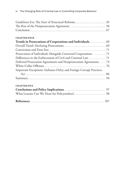#### **CHAPTER FOUR**

| Prosecution of Individuals Alongside Convicted Corporations 71     |  |
|--------------------------------------------------------------------|--|
|                                                                    |  |
| Deferred Prosecution Agreements and Nonprosecution Agreements73    |  |
|                                                                    |  |
| Important Exceptions: Sarbanes-Oxley and Foreign Corrupt Practices |  |
|                                                                    |  |
|                                                                    |  |
| <b>CHAPTER FIVE</b>                                                |  |
|                                                                    |  |
|                                                                    |  |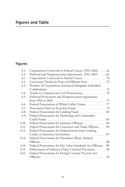# **Figures**

| S.1.  | Corporations Convicted in Federal Courts, 1994–2010xii       |    |
|-------|--------------------------------------------------------------|----|
| S.2.  | Deferred and Nonprosecution Agreements, 1992-2010  xiii      |    |
| 4.1.  |                                                              |    |
| 4.2.  |                                                              |    |
| 4.3.  | Number of Corporations Sentenced Alongside Individual        |    |
|       |                                                              |    |
| 4.4.  |                                                              |    |
| 4.5.  | Deferred-Prosecution and Nonprosecution Agreements           |    |
|       | from 1992 to $2010$                                          |    |
| 4.6.  | Federal Prosecutions of White-Collar Crimes  77              |    |
| 4.7.  |                                                              |    |
| 4.8.  | Federal Prosecutions for Lending Fraud  82                   |    |
| 4.9.  | Federal Prosecutions for Marketing and Commodity-            |    |
|       |                                                              |    |
| 4.10. | Federal Prosecutions for Antitrust Offenses 84               |    |
| 4.11. | Federal Prosecutions for Commerce and Trade Offenses 85      |    |
| 4.12. | Federal Prosecutions for Embezzlement from Lending,          |    |
|       |                                                              |    |
| 4.13. | Federal Prosecutions for Hazardous Waste-Related             |    |
|       |                                                              | 88 |
| 4.14. | Federal Prosecutions for Fair Labor Standards Act Offenses89 |    |
| 4.15. | Enforcement of Sarbanes-Oxley Criminal Provisions 90         |    |
| 4.16. | Federal Prosecutions for Foreign Corrupt Practices Act       |    |
|       |                                                              |    |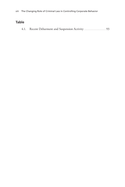## **Table**

|--|--|--|--|--|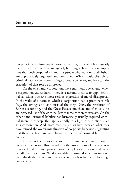Corporations are immensely powerful entities, capable of both greatly increasing human welfare and greatly harming it. It is therefore important that both corporations and the people who work on their behalf are appropriately regulated and controlled. What should the role of criminal liability be in controlling corporate behavior, and how can the execution of that role be improved?

On the one hand, corporations have enormous power, and, when a corporation causes harm, there is a natural instinct to apply criminal sanctions, society's most serious expression of moral disapproval. In the wake of a harm in which a corporation had a prominent role (e.g., the savings and loan crisis of the early 1990s, the revelation of Enron accounting, and the Great Recession), there are often calls for an increased use of the criminal law to tame corporate excesses. On the other hand, criminal liability has historically usually required criminal intent, a concept that applies oddly to a legal construction, such as a corporation. And more recently, critics have decried what they have termed the overcriminalization of corporate behavior, suggesting that there has been an overreliance on the use of criminal law in this context.

This report addresses the use of criminal sanctions to control corporate behavior. This includes both prosecutions of the corporation itself and criminal prosecutions of employees for actions taken on behalf of corporations. We do not address criminal sanctions imposed on individuals for actions directly taken to benefit themselves, e.g., embezzlement.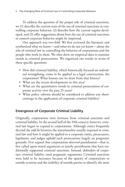To address the question of the proper role of criminal sanctions, we (1) describe the current state of the use of criminal sanctions in controlling corporate behavior, (2) describe how the current regime developed, and (3) offer suggestions about how the use of criminal sanctions to control corporate behavior might be improved.

Our approach was two-fold: We first reviewed the literature and synthesized what we know—and what we do not yet know—about the role of criminal law in controlling the behavior of corporations and the people who work in them. We then drew on empirical data to examine trends in criminal prosecutions. We organized our results in terms of these specific questions:

- How did criminal liability, which historically focused on individual wrongdoing, come to be applied to a legal construction, the corporation? What lessons can we draw from that history?
- What are the recent developments in this area?
- What are the quantitative trends in criminal prosecutions of corporate activity over the past 25 years?
- What policy reforms should be considered to address any shortcomings in the application of corporate criminal liability?

## **Emergence of Corporate Criminal Liability**

Originally, corporations were immune from criminal sanctions and criminal liability. In the second half of the 19th century, however, criminal law began to expand to corporations. Although critics frequently decried the odd fit between the intentionality usually required in criminal law and how it might be applied to a corporate entity, prosecutors, legislators, and judges upheld such prosecutions largely on pragmatic grounds. Few argued that corporations *deserved* punishment—that is, few called upon moral arguments to justify punishment that have traditionally supported criminal sanctions. Instead, defenders of corporate criminal liability used pragmatic arguments: Criminal sanctions were held to be necessary because of the opacity of corporations to outside scrutiny and the inability of outside parties to identify the most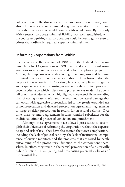culpable parties. The threat of criminal sanctions, it was argued, could also help prevent corporate wrongdoing: Such sanctions made it more likely that corporations would comply with regulations. By the early 20th century, corporate criminal liability was well established, with the courts recognizing that corporations could be found guilty even of crimes that ordinarily required a specific criminal intent.

## **Reforming Corporations from Within**

The Sentencing Reform Act of 1984 and the Federal Sentencing Guidelines for Organizations of 1991 reinforced a shift toward using sanctions to motivate corporations to develop compliance programs.<sup>2</sup> At first, the emphasis was on developing these programs and bringing in outside corporate monitors as a condition of probation, after the corporation was convicted. Over time, however, compliance programs and acquiescence to restructuring moved up in the criminal process to become criteria on which a decision to prosecute was made. The downfall of Arthur Andersen, which highlighted the potentially firm-ending risks of taking a case to trial and the enormous collateral damage that can occur with aggressive prosecution, led to the greatly expanded use of nonprosecution and deferred prosecution agreements—agreements to forgo or delay prosecution in return for structural reforms. Over time, these voluntary agreements became standard substitutes for the traditional criminal process of conviction and punishment.

Although these agreements have allowed prosecutors to accomplish their objectives of reforming the corporation without the expense, delay, and risk of trial, they have also created their own complications, including the lack of judicial scrutiny, the lack of institutional competence of outside monitors, and the problems that are raised by partly outsourcing of the prosecutorial function to the corporations themselves. In effect, they result in the partial privatization of a historically public function—investigating and prosecuting potential violations of the criminal law.

<sup>2</sup> Public Law 98-473, joint resolution for continuing appropriations, October 12, 1984.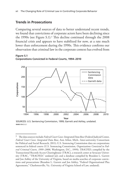## **Trends in Prosecutions**

Comparing several sources of data to better understand recent trends, we found that convictions of corporate actors have been declining since the 1990s (see Figure S.1).<sup>3</sup> This decline continued through the 2008 financial crisis and appears to have stabilized for now, at a rate much lower than enforcement during the 1990s. This evidence confirms our observation that criminal law in the corporate context has evolved from

**Figure S.1 Corporations Convicted in Federal Courts, 1994–2010**



SOURCES: U.S. Sentencing Commission, 1999; Garrett and Ashley, undated. **RAND** *RR412-S.1*

<sup>3</sup> The data sources include *Federal Court Cases: Integrated Data Base* (Federal Judicial Center, *Federal Court Cases: Integrated Data Base*, Ann Arbor, Mich.: Inter-university Consortium for Political and Social Research, 2011); U.S. Sentencing Commission data on corporations sentenced in federal courts (U.S. Sentencing Commission, *Organizations Convicted in Federal Criminal Courts, 1999–2008*, Washington, D.C., 1999); *TRACFED*, compiled by the Transactional Records Access Clearinghouse (TRAC), a research center at Syracuse University (TRAC, "TRACFED," undated [a]); and a database compiled by Brandon L. Garrett and Jon Ashley of the University of Virginia, based on media searches of corporate convictions and prosecutions (Brandon L. Garrett and Jon Ashley, "Federal Organizational Plea Agreements," Charlottesville, Va.: University of Virginia School of Law, undated).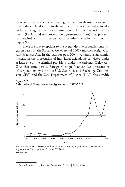prosecuting offenders to encouraging corporations themselves to police misconduct. The decrease in the number of firms convicted coincides with a striking increase in the number of deferred-prosecution agreements (DPAs) and nonprosecution agreements (NPAs) that prosecutors reached with firms suspected of criminal behavior, as shown in Figure S.2.

There are two exceptions to the overall decline in convictions: litigation based on the Sarbanes-Oxley Act of 20024 and the Foreign Corrupt Practices Act. In the data for post-2004, we found a substantial increase in the prosecution of individual defendants convicted under at least one of the criminal provisions under the Sarbanes-Oxley Act. Over that same period, Foreign Corrupt Practices Act prosecutions of corporations by both the U.S. Securities and Exchange Commission (SEC) and the U.S. Department of Justice (DOJ) also steadily

**Figure S.2 Deferred and Nonprosecution Agreements, 1992–2010**



SOURCE: Brandon L. Garrett and Jon Ashley, "Federal Organizational Prosecution Agreements," last updated October 27, 2014. **RAND** *RR412-S.2*

<sup>4</sup> Public Law 107-204, Sarbanes-Oxley Act of 2002, July 30, 2002.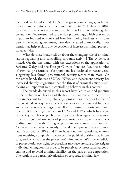increased: we found a total of 265 investigations and charges, with nine times as many enforcement actions initiated in 2011 than in 2004. This increase reflects the renewed emphasis at DOJ on curbing global corruption. Debarment and suspension proceedings, which prevent or impair an indicted or convicted firm from doing business with some part of the federal government, have also increased dramatically. These trends may help explain any perceptions of increased criminal prosecutorial activity.

What do these trends tell us about the changing role of criminal law in regulating and controlling corporate activity? The evidence is mixed. On the one hand, with the exceptions of the application of Sarbanes-Oxley and the Foreign Corrupt Practices Act, the number of criminal prosecutions of corporations has declined in recent years, suggesting less formal prosecutorial activity rather than more. On the other hand, the use of DPAs, NPAs, and debarment activity has increased sharply, suggesting that the threat of criminal action is still playing an important role in controlling behavior in this context.

The trends described in this report have led to an odd juncture in the evolution of this area of the law. Corporations and their directors are hesitant to directly challenge prosecutorial theories for fear of the collateral consequences. Federal agencies are increasing debarment and suspension proceedings in an effort to minimize waste and fraud. The result is the huge increase in DPAs and NPAs, which lack some of the key benefits of public law. Typically, these agreements involve little or no judicial oversight of prosecutorial activity, no formal factfinding, and often the hiring of private-sector compliance monitors. As a result, there may be greatly reduced development of the common law. Occasionally, NPAs and DPAs have contained questionable provisions requiring companies to take certain political positions or, in one case, endow a chair at the prosecutor's alma mater. With little judicial or prosecutorial oversight, corporations may face pressure to investigate individual wrongdoers in order to be perceived by prosecutors as cooperating and to avoid criminal liability on the part of the corporation. The result is the partial privatization of corporate criminal law.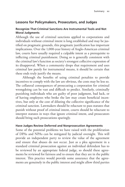## **Lessons for Policymakers, Prosecutors, and Judges**

#### **Recognize That Criminal Sanctions Are Instrumental Tools and Not Moral Judgments**

Although the use of criminal sanctions applied to corporations and individuals without criminal intent is long established and may be justified on pragmatic grounds, this pragmatic justification has important implications. Over the 1,000-year history of Anglo-American criminal law, courts have usually required a culpable intent as a prerequisite to inflicting criminal punishment. Doing so is generally consistent with the criminal law's function as society's strongest collective expression of its disapproval. When a community drops that requirement and uses criminal law purely for instrumental means, it should be certain that these ends truly justify the means.

Although the benefits of using criminal penalties to provide incentives to comply with the law are obvious, the costs may be less so. The collateral consequences of prosecuting a corporation for criminal wrongdoing can be vast and difficult to predict. Similarly, criminally punishing individuals who are guilty of poor judgment, bad luck, or of having employees who broke the law may create beneficial incentives, but only at the cost of diluting the collective significance of the criminal sanction. Lawmakers should be reluctant to pass statutes that punish without proof of criminal intent, courts should be reluctant to interpret statutes in ways that ignore criminal intent, and prosecutors should bring such prosecutions sparingly.

#### **Have Judges Review Deferred and Nonprosecution Agreements**

Some of the potential problems we have raised with the proliferation of DPAs and NPAs can be mitigated by judicial oversight. This will provide an independent party to review the value of the agreement and ensure that abuses do not occur. Just as a plea agreement in a standard criminal prosecution against an individual defendant has to be reviewed by an appropriate federal judge, so should these agreements be reviewed for fairness and to ensure that they are in the public interest. This practice would provide some assurance that the agreements are genuinely in the public interest and might allow third parties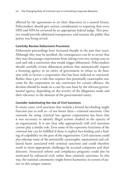affected by the agreements to air their objections in a neutral forum. Policymakers should give serious consideration to requiring that every DPA and NPA be reviewed by an appropriate federal judge. This practice would provide additional transparency and reassure the public that justice was being served.

### **Carefully Review Debarment Provisions**

Debarment proceedings have increased sharply in the past four years. Although they may be justified, the consequences can be so severe that they may discourage corporations from taking even very strong cases to trial and risk a conviction that would trigger debarment. Policymakers should carefully review debarment policies that automatically require a licensing agency or an entity of government to refuse to do business with or license a corporation that has been indicted or convicted. Rather than a *per se* rule that requires this potentially catastrophic outcome for the corporation on any conviction for certain offenses, the decision should be made on a case-by-case basis by the relevant governmental agency, depending on the severity of the allegations made and their relevance to the domain of the governmental entity.

### **Consider Substituting the Use of Civil Sanctions**

In many cases, civil sanctions that include a formal fact-finding might function just as well as—if not better than—criminal sanctions. One rationale for using criminal law against corporations has been that it was necessary to identify illegal actions cloaked in the opacity of an organization. It is not clear why appropriately stiff civil sanctions cannot play a similar role. Even some of the expressive functions of the criminal law can be fulfilled if there is explicit fact-finding and a finding of culpability on the part of the organization. Civil sanctions could also sidestep some of the potentially catastrophic reputational and collateral harm associated with criminal sanctions and could therefore result in more-appropriate challenges by accused companies and their directors. Structural reform and compliance programs could also be motivated by enhanced civil, rather than criminal, sanctions. In this way, the national community might better harmonize its system of justice in this unique context.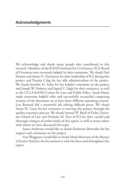We acknowledge and thank many people who contributed to this research. Members of the RAND Institute for Civil Justice (ICJ) Board of Overseers were extremely helpful in their comments. We thank Paul Heaton and James N. Dertouzos for their leadership of ICJ during this project and Pamela Calig for her able administration of the project. We thank Jennifer H. Arlen for her helpful comments on the project and Joseph W. Doherty and Ingrid V. Eagly for their assistance, as well as the UCLA-RAND Center for Law and Public Policy. Sarah Hauer made numerous helpful edits and successfully reconciled competing versions of the document on at least three different operating systems. Lisa Bernard did a masterful job editing difficult prose. We thank Susan M. Gates for her assistance in moving this project through the quality-assurance process. We thank Samuel W. Buell of Duke University School of Law and Nicholas M. Pace of ICJ for their careful and thorough critiques of earlier drafts of this report, as well as many others with whom we have discussed this topic.

James Anderson would like to thank Katherine Brownlee for her support and comments on the project.

Ivan Waggoner would like to thank Mark Motivans of the Bureau of Justice Statistics for his assistance with the data used throughout this report.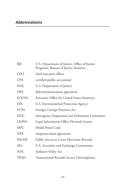| <b>BJS</b>   | U.S. Department of Justice, Office of Justice<br>Programs, Bureau of Justice Statistics |
|--------------|-----------------------------------------------------------------------------------------|
| <b>CEO</b>   | chief executive officer                                                                 |
| <b>CPA</b>   | certified public accountant                                                             |
| <b>DOJ</b>   | U.S. Department of Justice                                                              |
| <b>DPA</b>   | deferred-prosecution agreement                                                          |
| <b>EOUSA</b> | <b>Executive Office for United States Attorneys</b>                                     |
| EPA          | U.S. Environmental Protection Agency                                                    |
| <b>FCPA</b>  | Foreign Corrupt Practices Act                                                           |
| <b>ISDC</b>  | Interagency Suspension and Debarment Committee                                          |
| <b>LIONS</b> | Legal Information Office Network System                                                 |
| <b>MPC</b>   | Model Penal Code                                                                        |
| <b>NPA</b>   | nonprosecution agreement                                                                |
| <b>PACER</b> | Public Access to Court Electronic Records                                               |
| <b>SEC</b>   | U.S. Securities and Exchange Commission                                                 |
| SOX          | Sarbanes-Oxley Act                                                                      |
| <b>TRAC</b>  | <b>Transactional Records Access Clearinghouse</b>                                       |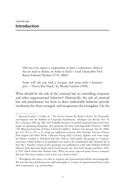Did you ever expect a corporation to have a conscience, when it has no soul to damn; no body to kick?—Lord Chancellor First Baron Edward Thurlow (1731–1806)1

Some will rob you with a six-gun, and some with a fountain pen.—"Pretty Boy Floyd," by Woody Guthrie (1958)

What should be the role of the criminal law in controlling corporate and other organizational behavior?2 Historically, the role of criminal law and punishment has been to deter undesirable behavior, provide retribution for those wronged, and incapacitate the wrongdoer. On the

Quoted in John C. Coffee, Jr., "'No Soul to Damn: No Body to Kick': An Unscandalized Inquiry into the Problem of Corporate Punishment," *Michigan Law Review*, Vol. 79, No. 3, January 1981, pp. 386–459. Probably because it so pithily expresses some of the challenges of regulating enterprises, this quotation has been used repeatedly (Samuel L. Buell, "The Blaming Function of Entity Criminal Liability," *Indiana Law Journal*, Vol. 81, 2006, pp. 473–537, p. 475, n. 8, citing two additional sources). John Poynder (*Literary Extracts from English and Other Works: Collected During Half a Century Together with Some Original Matter*, London: J. Hatchard and Son, 1844, p. 268) quotes the passage as "Corporations have neither bodies to be punished, nor souls to be condemned; they therefore do as they like." Another version of this quotation was published in Lady Saba Holland Holland (*Memoir of the Reverend Sydney Smith*, Sarah Austin, ed., New York: Harper and Bros., 1855, p. 376), which relates that Thurlow said, "Why, you never expected justice from a company, did you? They have neither a soul to lose, nor a body to kick."

<sup>2</sup> Throughout this report, we refer to *corporate* and *organizational liability* interchangeably. We note that the underlying issues addressed apply to a variety of organizational forms other than corporations, e.g., partnerships.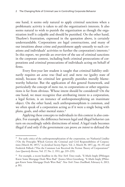one hand, it seems only natural to apply criminal sanctions when a problematic activity is taken to aid the organization's interests. It also seems natural to wish to punish the organization as though the organization itself is culpable and should be punished. On the other hand, Thurlow's frustration, expressed in the quotation above, is certainly understandable. Corporations are legal constructions, and many of our intuitions about crime and punishment apply uneasily to such creations and individuals' activities to further the corporation's interests.3 In this report, we provide an overview of the use of criminal sanctions in the corporate context, including both criminal prosecutions of corporations and criminal prosecutions of individuals acting on behalf of firms.

Every first-year law student is taught that criminal liability ordinarily requires an *actus reus* (bad act) and *mens rea* (guilty state of mind), because the criminal law generally punishes morally blameworthy behavior. But the application of this general framework, and particularly the concept of *mens rea*, to corporations or other organizations is far from obvious. Whose intent should be considered? On the one hand, we must recognize that attributing intent to a corporation, a legal fiction, is an instance of anthropomorphizing an inanimate object. On the other hand, such anthropomorphism is common, and we often speak of a corporation acting as if it were a single being with plans, goals, and other mental states.4

Applying these concepts to individuals in this context is also complex. For example, the difference between legal and illegal behavior can turn on exceedingly subtle distinctions of mind. A legal trade becomes illegal if and only if the government can prove *an intent* to defraud the

 $3$  For early critics of the anthropomorphization of the corporation, see Nathanial Lindley ("On the Principles Which Govern the Criminal and Civil Responsibilities of Corporations [March 30, 1857]," in *Juridical Society Papers*, Vol. 2, March 30, 1857, pp. 34–35) and Frederick Pollock ("Has the Common Law Received the Fiction Theory of Corporations?" *Law Quarterly Review*, Vol. 27, No. 2, 1911, pp. 219–235).

<sup>4</sup> For example, a recent headline in the *New York Times* reads, "E-Mails Imply JPMorgan Knew Some Mortgage Deals Were Bad" (Jessica Silver-Greenberg, "E-Mails Imply JPMorgan Knew Some Mortgage Deals Were Bad," *New York Times DealBook*, February 6, 2013, p. B1).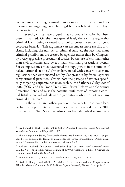counterparty. Defining criminal activity in an area in which authorities must untangle aggressive but legal business behavior from illegal behavior is difficult.5

Recently, critics have argued that corporate behavior has been overcriminalized. On the most general level, these critics argue that criminal law is being overused as a tool to create incentives for good corporate behavior. This argument can encompass more-specific criticisms, including the number of criminal statutes, the fact that many criminal prohibitions are created by agencies rather than by Congress, by overly aggressive prosecutorial tactics, by the use of criminal rather than civil sanctions, and by too many criminal prosecutions overall. For example, some critics have noted the huge growth in the number of federal criminal statutes.<sup>6</sup> Others have noted with concern that many regulations that were enacted not by Congress but by federal agencies carry criminal penalties.7 Others note the passage of statutes specifically targeting corporate behavior, such as the Sarbanes-Oxley Act of 2002 (SOX) and the Dodd-Frank Wall Street Reform and Consumer Protection Act,<sup>8</sup> and raise the potential unfairness of imposing criminal liability on individuals and organizations who did not have any criminal intention.9

On the other hand, others point out that very few corporate leaders have been prosecuted criminally, especially in the wake of the 2008 financial crisis. Wall Street executives have been described as "untouch-

<sup>5</sup> See Samuel L. Buell, "Is the White Collar Offender Privileged?" *Duke Law Journal*, Vol. 63, No. 4, January 2014, pp. 823–889.

<sup>&</sup>lt;sup>6</sup> The Heritage Foundation, for example, claims that, between 1985 and 2008, Congress added 1,450 crimes to the federal criminal code. See Heritage Foundation, "Overcriminalization," *Solutions 2014*, undated; referenced February 28, 2014.

<sup>7</sup> William Shepherd, "A Country Overburdened by Too Many Laws," *Criminal Justice*, Vol. 28, No. 1, Spring 2013 (citing estimate of 300,000 violations in Title 18 [Crimes and Criminal Procedure] of the U.S. Code).

<sup>8</sup> Public Law 107-204, July 30, 2002; Public Law 111-203, July 21, 2010.

<sup>&</sup>lt;sup>9</sup> David L. Douglass and Winifred M. Weitsen, "Overcriminalization of Corporate Acts: What Is a General Counsel to Do?" *In-House Defense Quarterly*, Winter 2013, pp. 26–31.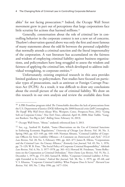ables" for not facing prosecution.10 Indeed, the Occupy Wall Street movement grew in part out of perceptions that large corporations face little scrutiny for actions that harmed millions.<sup>11</sup>

Generally, consternation about the role of criminal law in controlling behavior in the corporate context is not a new set of concerns. Thurlow's observation quoted above was only the first and most famous of many statements about the odd fit between the personal culpability that normally attends a criminal sanction and the literal impersonality of the corporation. A vast literature has accumulated on the fairness and wisdom of employing criminal liability against business organizations, and policymakers have long struggled to assess the wisdom and fairness of applying the criminal law, which developed to address individual wrongdoing, to corporate entities.12

Unfortunately, existing empirical research in this area provides limited guidance to policymakers. Past studies have focused on particular types of prosecutions, such as antitrust or Foreign Corrupt Practices Act (FCPA). As a result, it was difficult to draw any conclusions about the overall picture of the use of criminal liability. We draw on this research in our own analysis and review the available data from

<sup>10</sup> A PBS Frontline program titled *The Untouchables* describes the lack of prosecutions from the U.S. Department of Justice (DOJ) following the 2008 financial crisis (Jeff Connaughton, *The Payoff: Why Wall Street Always Wins*, Westport, Conn.: Prospecta Press, 2012; "Going Soft on Corporate Crime," *New York Times*, editorial, April 10, 2008; Matt Taibbi, "Gangster Bankers: Too Big to Jail," *Rolling Stone*, February 14, 2013).

<sup>11</sup> Occupy Wall Street, "About," undated; referenced June 3, 2013.

<sup>12</sup> See, e.g., Sanford H. Kadish, "Some Observations on the Use of Criminal Sanctions in Enforcing Economic Regulations," *University of Chicago Law Review*, Vol. 30, No. 3, Spring 1963, pp. 423–449, pp. 440–449; Norman Abrams, "Criminal Liability of Corporate Officers for Strict Liability Offenses—A Comment on *Dotterweich* and *Park*," *UCLA Law Review*, Vol. 28, No. 3, February 1981, pp. 463–477; James R. Elkins, "Corporations and the Criminal Law: An Uneasy Alliance," *Kentucky Law Journal*, Vol. 65, No. 1, 1976, pp. 73–129; W. B. Fisse, "The Social Policy of Corporate Criminal Responsibility," *Adelaide Law Review*, Vol. 6, No. 3, 1977–1978, pp. 361–412; Howard M. Friedman, "Some Reflections on the Corporation as Criminal Defendant," *Notre Dame Law Review*, Vol. 55, No. 2, December 1, 1979, pp. 173–202; Samuel R. Miller, "Corporate Criminal Liability: A Principle Extended to Its Limits," *Federal Bar Journal*, Vol. 38, No. 1, 1979, pp. 49–68; and V. S. Khanna, "Corporate Criminal Liability: What Purpose Does It Serve?" *Harvard Law Review*, Vol. 109, No. 7, May 1996, pp. 1477–1534.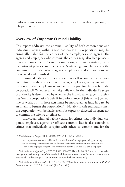multiple sources to get a broader picture of trends in this litigation (see Chapter Four).

## **Overview of Corporate Criminal Liability**

This report addresses the criminal liability of both corporations and individuals acting within these corporations. Corporations may be criminally liable for the crimes of their employees and agents. The agents and employees who commit the crimes may also face prosecution and punishment. As we discuss below, criminal statutes, Justice Department policies, and the Federal Sentencing Guidelines affect the circumstances under which agents, employees, and corporations are prosecuted and punished.

Criminal liability for the corporation itself is confined to offenses committed by the corporation's officers, employees, or agents within the scope of their employment and at least in part for the benefit of the corporation.13 Whether an activity falls within the individual's scope of authority is determined by whether the individual engages in activities "on the corporation's behalf in performance of [his or her] general line of work. . . . [T]hose acts must be motivated, at least in part, by an intent to benefit the corporation."14 Notably, if this standard is met, the corporation will be liable even if it expressly directed its agent not to commit the offense or offenses.<sup>15</sup>

Individual criminal liability exists for crimes that individual corporate employee, agents, or officers commit. But it also extends to crimes that individuals conspire with others to commit and for the

<sup>15</sup> *United States v. Potter*, 463 F.3d 9, 26 (1st Cir. 2006); *United States v. Automated Medical Laboratories, Inc.*, 770 F.2d 399, 406 (4th Cir. 1985).

<sup>13</sup> *United States v. Singh*, 518 F.3d 236, 249–250 (4th Cir. 2008):

<sup>[</sup>A] corporation accused is liable for the criminal acts of its employees and agents acting within the scope of their employment for the benefit of the corporation and such liability arises if the employee or agent acted for his own benefit as well as that of his employer.

<sup>14</sup> *United States v. Agosto-Vega*, 617 F.3d 541, 552–553 (1st Cir. 2010) ("[t]he test is whether the agent is performing acts of the kind which he is authorized to perform and those acts are motivated—at least in part—by an intent to benefit the corporation").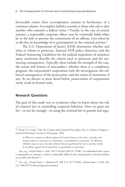foreseeable crimes their coconspirators commit in furtherance of a common scheme. Accomplice liability extends to those who aid or abet another who commits a federal crime.16 Finally, in the case of certain statutes, a responsible corporate officer may be criminally liable when he or she fails to prevent the commission of an offense, even when he or she has no knowledge of or participation in the criminal activity.17

The U.S. Department of Justice (DOJ) determines whether and what or whom to prosecute. Internal DOJ policy directives and the Federal Sentencing Guidelines for the judicial imposition of sentences upon conviction describe the criteria used to prosecute and the sentencing consequences. Typically, these include the strength of the case, the extent and history of misconduct, whether there is a compliance program, the corporation's cooperation with the investigation, the collateral consequences of the prosecution, and the extent of restitution, if any. As we discuss in more detail below, prosecutions of corporations rarely result in formal trials.

### **Research Questions**

The goal of this study was to synthesize what we know about the role of criminal law in controlling corporate behavior: Have we gone too far—or not far enough—in using the criminal law to punish and regu-

<sup>&</sup>lt;sup>16</sup> From U.S. Code, Title 18, Crimes and Criminal Procedure, Part I, Crimes, Chapter 1, General Provisions, Section 2, Principals, 1976:

<sup>(</sup>a) Whoever commits an offense against the United States or aids, abets, counsels, commands, induces or procures its commission, is punishable as a principal. (b) Whoever willfully causes an act to be done which if directly performed by him or another would be an offense against the United States, is punishable as a principal.

See, e.g., *United States v. Sain*, 141 F.3d 463 (3rd Cir. 1998) ("an individual who causes a corporation to commit a crime is criminally liable for the corporation's criminal conduct as an aider and abettor").

<sup>17</sup> See, e.g., *United States v. Dotterweich*, 320 U.S. 277 (1943); *United States v. Park*, 421 U.S. 658 (1975) (discussing such statutes).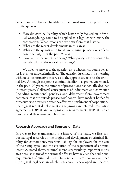late corporate behavior? To address these broad issues, we posed these specific questions:

- How did criminal liability, which historically focused on individual wrongdoing, come to be applied to a legal construction, the corporation? What lessons can we draw from that history?
- What are the recent developments in this area?
- What are the quantitative trends in criminal prosecutions of corporate activity over the past 25 years?
- How well is the system working? What policy reforms should be considered to address its shortcomings?

We offer no answer to the question as to whether corporate behavior is over- or undercriminalized. The question itself has little meaning without some normative theory as to the appropriate role for the criminal law. Although corporate criminal liability has grown enormously in the past 100 years, the number of prosecutions has actually declined in recent years. Collateral consequences of indictment and conviction (including reputational penalties and debarment from government contracts) that are outside prosecutors' control have made it harder for prosecutors to precisely titrate the effective punishment of corporations. The biggest recent development is the growth in deferred-prosecution agreements (DPAs) and nonprosecution agreements (NPAs), which have created their own complications.

## **Research Approach and Sources of Data**

In order to better understand the history of this issue, we first conducted legal research on the origins and development of criminal liability for corporations, vicarious liability for employers for the acts of their employees, and the evolution of the requirement of criminal intent. As noted above, criminal intent is particularly important in this area because many of the criminal offenses have relaxed the traditional requirements of criminal intent. To conduct this review, we examined the original legal cases in which these concepts developed and the con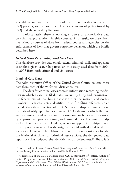siderable secondary literature. To address the recent developments in DOJ policies, we reviewed the relevant statements of policy issued by DOJ and the secondary literature.

Unfortunately, there is no single source of authoritative data on criminal prosecutions in this context. As a result, we drew from five primary sources of data from federal courts and agencies on the enforcement of laws that govern corporate behavior, which are briefly described here.

#### *Federal Court Cases: Integrated Data Base*

This database provides data on all federal criminal, civil, and appellate cases for a given year.18 In particular, this study used data from 2004 to 2008 from both criminal and civil cases.

#### **Criminal-Case Data**

The Administrative Office of the United States Courts collects these data from each of the 94 federal district courts.

The data for criminal cases contain information recording the district in which a case was filed; dates, including filing and termination; the federal circuit that has jurisdiction over the matter; and docket numbers. Each case entry identifies up to five filing offenses, which include the title and section of the U.S. Code in dispute. Furthermore, the data identify up to five sections of U.S. Code under which the case was terminated and sentencing information, such as the disposition type, prison and probation time, and criminal fines. The unit of analysis for these data is the defendant, who can appear in multiple cases. It is important to note that the original data identified all defendants' identities. However, the Urban Institute, in its responsibility for the the National Archives of Criminal Justice Data, the designated data repository, has stripped the identities of all defendants.19 Thus, it is

<sup>18</sup> Federal Judicial Center, *Federal Court Cases: Integrated Data Base*, Ann Arbor, Mich.: Inter-university Consortium for Political and Social Research, 2011.

<sup>&</sup>lt;sup>19</sup> A description of the data is available from U.S. Department of Justice, Office of Justice Programs, Bureau of Justice Statistics (BJS), *Federal Justice Statistics Program: Defendants in Federal Criminal Cases Filed in District Court, 2009*, Ann Arbor, Mich.: Interuniversity Consortium for Political and Social Research, June 3, 2011ff.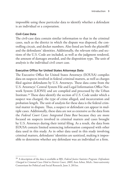impossible using these particular data to identify whether a defendant is an individual or a corporation.

## **Civil-Case Data**

The civil-case data contain similar information to that in the criminal cases, such as the district in which the dispute was disposed, the controlling circuit, and docket numbers. Also listed are both the plaintiffs' and the defendants' identities. Additionally, the relevant titles and sections of the U.S. Code are included, as well as the judgment rendered, the amount of damages awarded, and the disposition type. The unit of analysis is the individual civil court case.

## **Executive Office for United States Attorneys Data**

The Executive Office for United States Attorneys (EOUSA) compiles data on suspects involved in federal criminal matters, as well as charges filed against defendants by U.S. Attorneys. These data come from the U.S. Attorneys' Central System File and Legal Information Office Network System (LIONS) and are compiled and processed by the Urban Institute.20 These data identify the section of U.S. Code under which a suspect was charged, the type of crime alleged, and incarceration and probation length. The unit of analysis for these data is the federal criminal matter in dispute. Thus, a suspect or defendant can appear in multiple cases. Additionally, these data are not as extensive as the data from the *Federal Court Cases: Integrated Data Base* because they are more focused on suspects involved in criminal matters and cases brought by U.S. Attorneys during their initial filing. As a result, the data from EOUSA contain limited sentencing information compared with other data used in this study. As in other data used in this study involving criminal matters, defendants' identities are sanitized, making it impossible to determine whether any defendant was an individual or a firm.

<sup>20</sup> A description of the data is available at BJS, *Federal Justice Statistics Program: Defendants Charged in Criminal Cases Filed in District Court, 2009*, Ann Arbor, Mich.: Inter-university Consortium for Political and Social Research, June 3, 2011ee.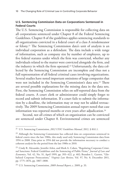## **U.S. Sentencing Commission Data on Corporations Sentenced in Federal Courts**

The U.S. Sentencing Commission is responsible for collecting data on all corporations sentenced under Chapter 8 of the Federal Sentencing Guidelines. Chapter 8 of the guidelines applies sentencing standards to all organizations convicted in a federal court of a class A misdemeanor or felony.21 The Sentencing Commission data's unit of analysis is an individual corporation as a defendant. The data include a wide range of information, such as company size by number of employees, up to five federal statutes under which the firm was convicted, whether any individuals related to the matter were convicted alongside the firm, and the industry in which the firm operated.22 Unfortunately, the data collected by the Sentencing Commission are incomplete and thus not a full representation of all federal criminal cases involving organizations. Several studies have noted important omissions of large companies that were not included in the Sentencing Commission's data sets.<sup>23</sup> There are several possible explanations for the missing data in the data sets. First, the Sentencing Commission relies on self-reported data from the federal courts. A court clerk or administrator could simply forget to record and submit information. If a court fails to submit the information by a deadline, the information may or may not be added retroactively. The 2009 Sentencing Commission annual report noted that case information was reported months or even years after adjudication.<sup>24</sup>

Second, not all crimes of which an organization can be convicted are sentenced under Chapter 8. Environmental crimes are sentenced

<sup>21</sup> U.S. Sentencing Commission, *2012 USSC Guidelines Manual*, 2012, § 8A1.1.

<sup>&</sup>lt;sup>22</sup> Although the Sentencing Commission has collected data on corporations sentenced in federal courts since the late 1980s, this study used only Sentencing Commission data from 1994 to 2008. Data prior to 1994 did not provide the information necessary to conduct a coherent analysis for the period from the late 1980s to 2010.

<sup>&</sup>lt;sup>23</sup> Cindy R. Alexander, Jennifer Arlen, and Mark A. Cohen, "Regulating Corporate Criminal Sanctions: Federal Guidelines and the Sentencing of Public Firms," *Journal of Law and Economics*, Vol. 42, No. S1, April 1999, pp. 393–422, p. 402; Brandon L. Garrett, "Globalized Corporate Prosecutions," *Virginia Law Review*, Vol. 97, No. 8, December 2011, pp. 1775–1876, pp. 1807–1808.

<sup>24</sup> U.S. Sentencing Commission, *2009 Annual Report*, c. 2009, p. 33.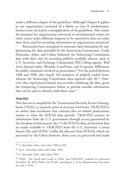under a different chapter of the guidelines. Although Chapter 8 applies to any organization convicted of a felony or class A misdemeanor, human error can lead to a misapplication of the guidelines. This creates the potential for organizations convicted of environmental crimes (or other crimes under different chapters) to be reported in data sets other than those used for recording information on organizations sentenced.

Researchers have attempted to overcome these limitations by supplementing the data provided by the Sentencing Commission. Cindy Alexander, Arlen, and Cohen bolstered the Sentencing Commission data with their own by searching publicly available sources, such as U.S. Securities and Exchange Commission (SEC) filing reports, *Wall Street Journal* index, Westlaw, LexisNexis, and Corporate Affiliations for public companies involved in prosecution.<sup>25</sup> For the period between 1988 and 1996, they found 243 sentences of publicly traded firms, whereas the Sentencing Commission data reported only 80.<sup>26</sup> However, they experienced limited success with combining the data, given the Sentencing Commission's failure to provide suitable information that can be used to identify individual cases.27

### **TRACFED**

This data set is compiled by the Transactional Records Access Clearinghouse (TRAC), a research center at Syracuse University. TRACFED is an online data warehouse that contains data on federal prosecutions similar to what the EOUSA data provide. TRACFED receives its information from the U.S. government through access guaranteed by the Freedom of Information Act.28 Like EOUSA data, prosecution data are made available to TRACFED from the U.S. Attorneys' Central System File and LIONS. Unlike the data sets from EOUSA, which are processed by the Urban Institute, these cases are processed and made

<sup>25</sup> C. Alexander, Arlen, and Cohen, 1999, p. 403.

<sup>26</sup> See C. Alexander, Arlen, and Cohen, 1999.

<sup>27</sup> C. Alexander, Arlen, and Cohen, 1999.

<sup>28</sup> TRAC, "The Quick-Start Guide to TRAC and TRACFED," undated (c); referenced November 28, 2012; Public Law 89-487, amending § 3 of the Administrative Procedure Act, July 4, 1966.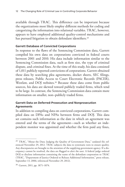available through TRAC. This difference can be important because the organizations most likely employ different methods for coding and categorizing the information into relational variables. TRAC, however, appears to have employed additional quality-control mechanisms and has pursued litigation to obtain defendant identifiers.<sup>29</sup>

### **Garrett Database of Convicted Corporations**

In response to the flaws of the Sentencing Commission data, Garrett compiled his own data on corporations convicted in federal courts between 2001 and 2010. His data include information similar to the Sentencing Commission data, such as firm size, the type of criminal dispute, and criminal fines. At the time of this study, his data consisted of 1,011 publicly reported convictions of corporations. Garrett obtained these data by searching plea agreements, docket sheets, SEC filings, press releases, Public Access to Court Electronic Records (PACER), Westlaw, and DOJ websites.<sup>30</sup> Because these data come from public sources, his data are skewed toward publicly traded firms, which tend to be large. In contrast, the Sentencing Commission data contain more information on smaller, non–publicly traded firms.

## **Garrett Data on Deferred-Prosecution and Nonprosecution Agreements**

In addition to compiling data on convicted corporations, Garrett compiled data on DPAs and NPAs between firms and DOJ. This data set contains such information as the date in which an agreement was entered and the terms of the agreement—such as whether an independent monitor was appointed and whether the firm paid any fines,

<sup>&</sup>lt;sup>29</sup> TRAC, "About the Data: Judging the Quality of Government Data," undated (b); referenced November 29, 2012. TRAC subjects the data to systematic tests to ensure quality. Any discrepancies are brought to the attention of the supplying government agency. If a discrepancy cannot be resolved, the data are flagged to alert the user. A federal judge ordered DOJ to disclose information containing the name of the defendant corporation to TRAC (TRAC, "Department of Justice Ordered to Release Additional Information," press release, September 13, 2006; referenced November 29, 2012).

<sup>30</sup> Garrett, 2011, pp. 1871–1874.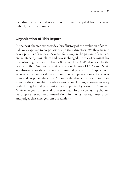including penalties and restitution. This was compiled from the same publicly available sources.

## **Organization of This Report**

In the next chapter, we provide a brief history of the evolution of criminal law as applied to corporations and their directors. We then turn to developments of the past 25 years, focusing on the passage of the Federal Sentencing Guidelines and how it changed the role of criminal law in controlling corporate behavior (Chapter Three). We also describe the case of Arthur Andersen and its effects on the rise of DPAs and NPAs as substitutes for the conventional criminal process. In Chapter Four, we review the empirical evidence on trends in prosecutions of corporations and corporate directors. Although the absence of a definitive data source reduces our ability to draw strong conclusions, a consistent story of declining formal prosecutions accompanied by a rise in DPAs and NPAs emerges from several sources of data. In our concluding chapter, we propose several recommendations for policymakers, prosecutors, and judges that emerge from our analysis.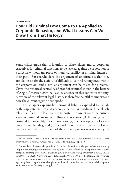#### CHAPTER TWO

# **How Did Criminal Law Come to Be Applied to Corporate Behavior, and What Lessons Can We Draw from That History?**

Some critics argue that it is unfair to shareholders and to corporate executives for criminal sanctions to be leveled against a corporation or a director without any proof of moral culpability or criminal intent on their part.<sup>1</sup> For shareholders, the argument of unfairness is that they are blameless for the actions of difficult-to-control wrongdoers within the corporation, and a similar argument can be raised for directors. Given the historical centrality of proof of criminal intent in the history of Anglo-American criminal law, its absence in this context is striking. A review of the relevant legal history is therefore helpful to understand how the current regime developed.<sup>2</sup>

This chapter explains how criminal liability expanded to include both corporate entities and corporate actors. We address three closely related shifts in the law that are important to understand the current status of criminal law in controlling corporations: (1) the emergence of criminal responsibility for corporations, (2) the development of vicarious criminal liability, and (3) the evolution of the requirement of *mens rea*, or criminal intent. Each of these developments was necessary for

<sup>1</sup> For example, Marc A. Levin, "At the State Level, So-Called Crimes Are Here, There, Everywhere," *Criminal Justice*, Vol. 28, No. 1, Spring 2013, pp. 4–9.

<sup>&</sup>lt;sup>2</sup> Roman law addressed the problem of criminal behavior on the part of corporations by simply discouraging corporations. Noting that Trajan refused to incorporate even a small company of firefighters, Edward Gibbon (*The Decline and Fall of the Roman Empire*, Vol. 2: *Chapters XVI–XXV*, New York: Alfred A. Knopf, 1993, p. 10) noted, "Roman policy viewed with the utmost jealousy and distrust any association among its subjects; and that the privileges of private corporations, though formed for the most harmless or beneficial purposes, were bestowed with a very sparing hand."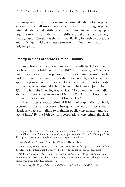the emergence of the current regime of criminal liability for corporate actions. The overall story that emerges is one of expanding corporate criminal liability and a shift away from criminal intent as being a prerequisite to criminal liability. This shift is usually justified on pragmatic grounds. We also see that criminal liability for both corporations and individuals without a requirement of criminal intent has a similarly long history.

## **Emergence of Corporate Criminal Liability**

Although, historically, corporations could be civilly liable, $3$  they could not be criminally liable. As early as 1612, in the *Case of Sutton's Hospital*, it was noted that corporations "cannot commit treason, nor be outlawed, nor excommunicate, for they have no souls, neither can they appear in person, but by attorney."4 The conventional authority for the ban on corporate criminal liability is Lord Chief Justice John Holt in 1701, to whom the following was ascribed: "A corporation is not indictable but the particular members of it are."5 William Blackstone cited this as an authoritative statement of English law.6

The first steps toward criminal liability of corporations probably occurred in the 18th century, when governmental units were found vicariously liable for failing to maintain public conveniences and subject to fines.7 By the 19th century, corporations were criminally liable

<sup>&</sup>lt;sup>3</sup> See generally Kathleen F. Brickey, "Corporate Criminal Accountability: A Brief History and an Observation," *Washington University Law Quarterly*, Vol. 60, No. 2, 1982a, pp. 393– 423, pp. 401–402, discussing development of corporate civil liability.

<sup>4</sup> *Case of Sutton's Hospital*, 77 Eng. Rep. 960, 973 (K.B. 1612).

<sup>5</sup> Anonymous, 88 Eng. Rep. 1518 (K.B. 1701). However, no fact, party, the nature of the dispute, or other information has survived to provide any context for this statement.

<sup>6</sup> William Blackstone, *Commentaries on the Laws of England*, 1765, p. 476 ("A corporation cannot commit treason, or felony, or other crime, in its corporate capacity: though its members may in their individual capacities").

<sup>7</sup> For example, *The King v. Inhabitants of Clifton*, 101 Eng. Rep. 280 (K.B. 1794).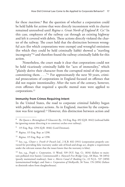for these *inactions*.8 But the question of whether a corporation could be held liable for *actions* that were directly inconsistent with its charter remained unresolved until *Regina v. Great North of England R. Co.*9 In this case, employees of the railway cut through an existing highway and left it covered with debris. These actions directly violated the charter of the railway. The court held that the distinction between wrongful acts (for which corporations were exempt) and wrongful omissions (for which they could be held criminally liable) showed a "startling incongruity"10 and therefore found the railway criminally liable for this action.

Nonetheless, the court made it clear that corporations could not be held vicariously criminally liable for "acts of immorality," which "plainly derive their character from the corrupted mind of the person committing them.  $\ldots$ <sup>"11</sup>. For approximately the next 50 years, criminal prosecutions of corporations in England focused on offenses that did not require intentionality. After the turn of the century, however, even offenses that required a specific mental state were applied to corporations.12

### **Immunity from Crimes Requiring Intent**

In the United States, the road to corporate criminal liability began with public-nuisance actions. As in England, *inaction* by the corporation was first targeted.13 However, this distinction between action and

<sup>8</sup> *The Queen v. Birmingham & Gloucester Ry.*, 114 Eng. Rep. 492 (Q.B. 1842) (railroad liable for ignoring statute directing it to construct arches over railway).

<sup>9</sup> 115 Eng. Rep. 1294 (Q.B. 1846) (Lord Denman).

<sup>10</sup> *Regina*, 115 Eng. Rep. at 1298.

<sup>11</sup> *Regina*, 115 Eng. Rep. at 1298.

<sup>12</sup> See, e.g., *Chuter v. Freeth & Pocock Ltd.*, 2 K.B. 832 (1911) (corporation properly convicted for providing false warranty under sale-of-food-and-drugs act, despite a requirement under the relevant statute that the issuer know that the warranty is false).

<sup>13</sup> See, e.g., *People v. Corporation*, 11 Wend. 539 (N.Y. Sup. Ct. 1834) (failure to maintain polluted river basin); *Commonwealth v. Hancock Free Bridge Corp.*, 68 Mass. 58 (1854) (poorly maintained roadway); *State v. Morris Canal & Banking Co.*, 22 N.J.L. 537 (1850) (unmaintained bridge); and *State v. Corporation of Shelbyville*, 36 Tenn. 176 (1856) (failure to diminish odors from slaughterhouse).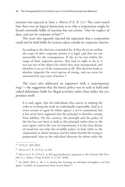inaction was rejected in *State v. Morris & E. R. Co.*<sup>14</sup> The court noted that there was no logical distinction as to why a corporation might be found criminally liable of inaction but not action: "why for neglect of duty, and not for violation of law?"15

The court also squarely rejected the argument that a corporation could not be held liable for actions taken outside its corporate charter:

According to the doctrine contended for, if they do an act within the scope of their corporate powers it is legal, and they are not answerable for the consequences. If the act be not within the range of their corporate powers, they had no right to do it; it was not one of the objects for which they were incorporated, and therefore is no act of the corporation at all. This doctrine leads to absolute impunity for every species of wrong, and can never be sanctioned by any court of justice.<sup>16</sup>

The court also addressed an argument with a contemporary ring17—the suggestion that the better policy was to seek to hold individual defendants liable for illegal activities rather than indict the corporation itself:

It is said, again, that the individuals who concur in making the order or in doing the work are individually responsible. And so is every servant or agent by whose agency a *tort* is committed, but it has never been supposed that the principal is therefore exempt from liability. On the contrary, the principle and the policy of the law has ever been to look to the principal rather than to the mere agent; and in the case of corporations, it is the clear dictate of sound law not only, but of public policy, to look rather to the corporation at whose instance and for whose benefit the wrong is perpetrated, than to the individual directors by whose order the

<sup>14</sup> 23 N.J.L. 360 (1852).

<sup>15</sup> *Morris & E. R.*, 23 N.J.L. at 369.

<sup>16</sup> *Morris & E. R.*, 23 N.J.L. at 369 (quoting Binney's argument in *The Chestnut Hill Turnpike Co. v. Rutter*, 4 Serg. & Rawl. 6, 12 [Pa. 1818]).

<sup>&</sup>lt;sup>17</sup> See Buell, 2014, p. 40, n. 6 (noting that focusing on individual wrongdoers and bad apples "crowd[s] out [arguments] about system failure").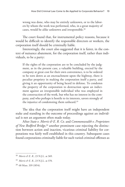wrong was done, who may be entirely unknown, or to the laborers by whom the work was performed, who, in a great majority of cases, would be alike unknown and irresponsible.18

The court found that, for instrumental policy reasons, because it would be difficult to identify the responsible directors or workers, the corporation itself should be criminally liable.

Interestingly, the court also suggested that it is fairer, in the context of nuisance abatement, for the corporation itself, rather than individuals, to be a party:

If the rights of the corporation are to be concluded by the judgment, as in the present case, a valuable building, erected by the company at great cost for their own convenience, is to be ordered to be torn down as an encroachment upon the highway, there is peculiar propriety in making the corporation itself a party, and giving it an opportunity of being heard in defense. To condemn the property of the corporation to destruction upon an indictment against an irresponsible individual who was employed in the construction of the work, but who has no interest in the company, and who perhaps is hostile to its interests, savors strongly of the injustice of condemning them unheard.19

The idea that the corporation itself might have an independent stake and standing in the outcome of proceedings against an individual is not an argument often made today.

After *State v. Morris & E. R. Co.* and *Commonwealth v. Proprietors of New Bedford Bridge*,20 another prominent case rejecting the distinction between action and inaction, vicarious criminal liability for corporations was fairly well established in this country. Subsequent cases found corporations criminally liable for such varied criminal offenses as

<sup>18</sup> *Morris & E. R.*, 23 N.J.L. at 369.

<sup>19</sup> *Morris & E. R.*, 23 N.J.L. at 370.

<sup>20</sup> 68 Mass. 339 (1854).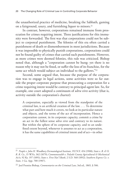the unauthorized practice of medicine, breaking the Sabbath, gaming on a fairground, usury, and furnishing liquor to minors.21

In contrast, however, corporations remained immune from prosecution for crimes requiring intent. Three justifications for this immunity were forwarded. The first was that corporations could not be subject to corporeal punishment. The felonies of this era often carried a punishment of death or dismemberment in most jurisdictions. Because it was impossible to physically punish corporations, corporations could not be found guilty of crimes that carried such punishments. However, as more crimes were deemed felonies, this rule was criticized. Bishop noted that, although a "corporation cannot be hung: yet there is no reason why it may not be fined, or suffer the loss of its franchise, for the same act which would subject an individual to the gallows."22

Second, some argued that, because the purpose of the corporation was to engage in legal actions, some activities were so far outside the proper corporate purpose that prosecuting a corporation for a crime requiring intent would be contrary to principal-agent law. So, for example, one court adopted a continuum of *ultra vires* activity (that is, activity outside the corporation's charter):

A corporation, especially as viewed from the standpoint of the criminal law, is an artificial creation of the law. . . . To determine what part and how much it covers, we look at its particular nature and objects, and the terms of the act of incorporation. Hence a corporation cannot, in its corporate capacity, commit a crime by an act in the fullest sense *ultra vires* and contrary to its nature. But within the sphere of its corporate capacity, and to an undefined extent beyond, whenever it assumes to act as a corporation, it has the same capabilities of criminal intent and of act—in other

<sup>21</sup> *People v. John H. Woodbury Dermatological Institute*, 192 N.Y. 454 (1908); *State v. B. & O. R. R. Co.*, 15 W.Va. 362 (1879); *Commonwealth v. Pulaski County Agricultural & Mechanical Ass'n*, 92 Ky. 197 (1891); *State v. First Nat'l Bank*, 2 S.D. 568 (1892); *Southern Express Co. v. State*, 1 Ga. App. 700 (1907).

<sup>22</sup> Joel Prentiss Bishop, *Commentaries on the Criminal Law*, 3rd ed., 1865, § 506.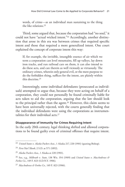words, of crime—as an individual man sustaining to the thing the like relations.23

Third, some argued that, because the corporation had "no soul," it could not have "actual wicked intent."24 Accordingly, another distinction that arose in this era was between crimes that required specific intent and those that required a more generalized intent. One court explained the concept of corporate intent this way:

If, for example, the invisible, intangible essence of air which we term a corporation can level mountains, fill up valleys, lay down iron tracks, and run railroad cars on them, it can also intend to do these acts, and can therein as well viciously as virtuously. The ordinary crimes, wherein only general evil, or the mere purpose to do the forbidden thing, suffices for the intent, are plainly within this doctrine.25

Interestingly, some individual defendants (prosecuted as individuals) attempted to argue that, because they were acting on behalf of a corporation, they could not personally be found criminally liable for acts taken to aid the corporation, arguing that the law should look to the principal rather than the agent.<sup>26</sup> However, this claim seems to have been universally rejected, with the courts generally finding that the individual defendants were using the corporations as instrumentalities for their individual acts.27

#### **Disappearance of Immunity for Crimes Requiring Intent**

In the early 20th century, legal thinking shifted and allowed corporations to be found guilty even of criminal offenses that require intent.

<sup>23</sup> *United States v. Alaska Packers Asso.*, 1 Alaska 217, 220 (1901) (quoting Bishop).

<sup>24</sup> *First Nat'l Bank*, 2 S.D. at 571 (1892).

<sup>25</sup> *Alaska Packers Asso.*, 1 Alaska at 220 (1901).

<sup>26</sup> See, e.g., *Milbrath v. State*, 138 Wis. 354 (1909) and *United States v. MacAndrews & Forbes Co.*, 149 F. 823 (S.D.N.Y. 1906).

<sup>27</sup> *MacAndrews & Forbes Co.*, 149 F. 823 (1906).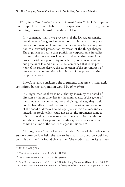In 1909, *New York Central R. Co. v. United States*,28 the U.S. Supreme Court upheld criminal liability for corporations against arguments that doing so would be unfair to shareholders:

It is contended that these provisions of the law are unconstitutional because Congress has no authority to impute to a corporation the commission of criminal offenses, or to subject a corporation to a criminal prosecution by reason of the things charged. The argument is that to thus punish the corporation is in reality to punish the innocent stockholders, and to deprive them of their property without opportunity to be heard, consequently without due process of law. And it is further contended that these provisions of the statute deprive the corporation of the presumption of innocence—a presumption which is part of due process in criminal prosecutions.29

The Court also considered the arguments that any criminal action committed by the corporation would be *ultra vires*:

It is urged that, as there is no authority shown by the board of directors or the stockholders for the criminal acts of the agents of the company, in contracting for and giving rebates, they could not be lawfully charged against the corporation. As no action of the board of directors could legally authorize a crime, and as, indeed, the stockholders could not do so, the arguments come to this: That, owing to the nature and character of its organization and the extent of its power and authority, a corporation cannot commit a crime of the nature charged in this case.30

Although the Court acknowledged that "some of the earlier writers on common law held the law to be that a corporation could not commit a crime,"31 it found that, under "the modern authority, univer-

<sup>28</sup> 212 U.S. 481 (1909).

<sup>29</sup> *New York Central R. Co.*, 212 U.S. 481 (1909).

<sup>30</sup> *New York Central R. Co.*, 212 U.S. 481 (1909).

<sup>31</sup> *New York Central R. Co.*, 212 U.S. 481 (1909), citing Blackstone (1765, chapter 18, § 12) ("A corporation cannot commit treason, or felony, or other crime in its corporate capacity,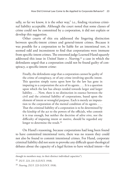sally, so far we know, it is the other way," i.e., finding vicarious criminal liability acceptable. Although the court noted that some classes of crime could not be committed by a corporation, it did not explain or develop this suggestion.

Other courts of this era addressed the lingering distinction between specific-intent crimes and general-intent crimes. Because it was possible for a corporation to be liable for an intentional tort, it seemed odd and inconsistent to find that corporations were immune from specific-intent crimes. The esteemed judge Learned Hand squarely addressed this issue in *United States v. Nearing*,<sup>32</sup> a case in which the defendants urged that a corporation could not be found guilty of conspiracy, a specific-intent crime:

Finally, the defendants urge that a corporation cannot be guilty of the crime of conspiracy, or of any crime involving specific intent. This question simply turns upon how far the law has gone in imputing to a corporation the acts of its agents. . . . It is a question upon which the law has always tended towards larger and larger liability. . . . Now, there is no distinction in essence between the civil and the criminal liability of corporations, based upon the element of intent or wrongful purpose. Each is merely an imputation to the corporation of the mental condition of its agents. . . . That the criminal liability of a corporation is to be determined by the kinship of the act to the powers of the officials, who commit it is true enough, but neither the doctrine of *ultra vires*, nor the difficulty of imputing intent or motive, should be regarded any longer to determine the result.<sup>33</sup>

On Hand's reasoning, because corporations had long been found to have committed intentional torts, there was no reason they could not also be found to commit intentional crimes. For Hand, corporate criminal liability did not seem to provoke any difficult quasi-theological debates about the capacity of a legal fiction to have wicked intent—for

though its members may, in their distinct individual capacities").

<sup>32</sup> 252 F. 223, 231 (S.D.N.Y. 1918).

<sup>33</sup> *Nearing*, 252 F. 223 (S.D.N.Y. 1918).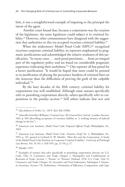him, it was a straightforward example of imputing to the principal the intent of the agent.

 Another court found that, because a corporation was the creation of the legislature, the same legislature could subject it to criminal liability.34 However, other commentators have disagreed with the suggestion that authorities in this era accepted vicarious criminal liability.35

When the midcentury Model Penal Code (MPC)<sup>36</sup> recognized vicarious corporate criminal liability, its reporters emphasized its pragmatic justifications and acknowledged the relative weakness of this justification. "In many cases . . . such penal provisions . . . form an integral part of the regulatory policy and are based on considerable pragmatic experience indicating their usefulness."37 One reporter all but pined for a better justification: "It would be hoped that more could be pointed to in justification of placing the pecuniary burdens of criminal fines on the innocent than the difficulties of proving the guilt of the culpable individual."38

By the later decades of the 20th century, criminal liability for corporations was well established. Although some statutes specifically refer to punishing corporations directly, others specifically refer to corporations in the penalty section.<sup>39</sup> Still others indicate that acts and

<sup>38</sup> Mueller, 1957.

<sup>34</sup> *MacAndrews & Forbes Co.*, 149 F. 823, 836 (1906).

<sup>35</sup> Glanville Llewellyn Williams, *Criminal Law: The General Part*, 2nd ed., London: Stevens, 1961, p. 853 (describing acceptance of vicarious liability as "a striking instance of judicial change in the law").

<sup>36</sup> American Law Institute, *Model Penal Code: Proposed Official Draft*, Philadelphia, Pa., 1962.

<sup>37</sup> American Law Institute, *Model Penal Code: Tentative Draft No. 4*, Philadelphia, Pa., 1955, p. 147, quoted in Gerhard O. W. Mueller, "*Mens Rea* and the Corporation: A Study of the Model Penal Code Position on Corporate Criminal Liability," *University of Pittsburgh Law Review*, Vol. 19, No. 1, Fall 1957, pp. 21–50, p. 27.

<sup>&</sup>lt;sup>39</sup> Examples of statutes that refer specifically to punishing corporations directly are U.S. Code, Title 15, Commerce and Trade, Chapter 1, Monopolies and Combinations in Restraint of Trade, Section 7, "Person" or "Persons" Defined, 1976; U.S. Code, Title 15, Commerce and Trade, Chapter 2A, Securities and Trust Indentures, Subchapter I, Domestic Securities, Section 77b, Definitions—Promotion of Efficiency, Competition, and Capi-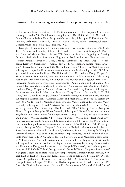#### omissions of corporate agents within the scope of employment will be

tal Formation, 1976; U.S. Code, Title 15, Commerce and Trade, Chapter 2B, Securities Exchanges, Section 78c, Definitions and Application, 1976; U.S. Code, Title 21, Food and Drugs, Chapter 9, Federal Food, Drug, and Cosmetic Act, Subchapter II, Definitions, Section 321, Definitions—Generally, 1976; U.S. Code, Title 41, Public Contracts, Chapter 1, General Provisions, Section 52, Definitions, 1976.

Examples of statutes that refer to corporations in their penalty sections are U.S. Code, Title 12, Banks and Banking, Chapter 3, Federal Reserve System, Subchapter X, Powers and Duties of Member Banks, Section 378, Dealers in Securities Engaging in Banking Business—Individuals or Associations Engaging in Banking Business, Examinations and Reports, Penalties, 1976; U.S. Code, Title 15, Commerce and Trade, Chapter 15, Economic Recovery, Subchapter II, Commodity Credit Corporation, Section 714m, Crimes and Offenses, 1976; U.S. Code, Title 21, Food and Drugs, Chapter 12, Meat Inspection, Subchapter I, Inspection Requirements—Adulteration and Misbranding, Section 602, Congressional Statement of Findings, 1976; U.S. Code, Title 21, Food and Drugs, Chapter 12, Meat Inspection, Subchapter I, Inspection Requirements—Adulteration and Misbranding, Section 610, Prohibited Acts, 1976; U.S. Code, Title 21, Food and Drugs, Chapter 12, Meat Inspection, Subchapter I, Inspection Requirements—Adulteration and Misbranding, Section 611, Devices, Marks, Labels, and Certificates—Simulations, 1976; U.S. Code, Title 21, Food and Drugs, Chapter 4, Animals, Meats, and Meat and Dairy Products, Subchapter I, Examination of Animals, Meats, and Meat and Dairy Products, Section 88, 1976; U.S. Code, Title 21, Food and Drugs, Chapter 4, Animals, Meats, and Meat and Dairy Products, Subchapter I, Examination of Animals, Meats, and Meat and Dairy Products, Section 90, 1976; U.S. Code, Title 33, Navigation and Navigable Waters, Chapter 1, Navigable Waters Generally, Subchapter I, General Provisions, Section 1, Regulations by Secretary of the Army for Navigation of Waters Generally, 1976; U.S. Code, Title 33, Navigation and Navigable Waters, Chapter 1, Navigable Waters Generally, Subchapter I, General Provisions, Section 3, Regulations to Prevent Injuries from Target Practice, 1976; U.S. Code, Title 33, Navigation and Navigable Waters, Chapter 9, Protection of Navigable Waters and of Harbor and River Improvements Generally, Subchapter I, In General, Section 406, Penalty for Wrongful Construction of Bridges, Piers, etc.—Removal of Structures, 1976; U.S. Code, Title 33, Navigation and Navigable Waters, Chapter 9, Protection of Navigable Waters and of Harbor and River Improvements Generally, Subchapter I, In General, Section 411, Penalty for Wrongful Deposit of Refuse—Use of or Injury to Harbor Improvements, and Obstruction of Navigable Waters Generally, 1976; U.S. Code, Title 33, Navigation and Navigable Waters, Chapter 9, Protection of Navigable Waters and of Harbor and River Improvements Generally, Subchapter I, In General, Section 419, Regulation by Secretary Governing Transportation and Dumping of Dredgings, Refuse, etc., into Navigable Waters—Oyster Lands, Appropriations, 1976; U.S. Code, Title 33, Navigation and Navigable Waters, Chapter 9, Protection of Navigable Waters and of Harbor and River Improvements Generally, Subchapter III, New York Harbor, Harbor of Hampton Roads, and Harbor of Baltimore, Section 449, Disposition of Dredged Matter—Persons Liable, Penalty, 1976; U.S. Code, Title 33, Navigation and Navigable Waters, Chapter 12, River and Harbor Improvements Generally, Subchapter IV, Particular Work or Improvements, Section 602, Maintenance of Channel of South Pass of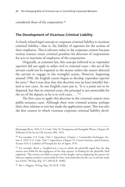considered those of the corporation.40

### **The Development of Vicarious Criminal Liability**

A closely related legal concept to corporate criminal liability is vicarious criminal liability—that is, the liability of superiors for the actions of their employees. This is relevant today in the corporate context because various statutes create criminal penalties for directors of corporations for acts or inactions of employees of the corporation.

Originally, at common law, this concept (referred to as *respondeat superior*) did not apply to either civil or criminal cases—the act of the servant could not be imputed to the master unless the master directed the servant to engage in the wrongful action. However, beginning around 1700, the English courts begun to develop *respondeat superior* for torts.<sup>41</sup> But it was clear that this doctrine was (at least initially) limited to tort cases. As one English court put it, "It is a point not to be disputed, but that in criminal cases, the principal is not answerable for the act of the deputy, as he is in civil cases.  $\dots$ ."42

The first cases to apply this doctrine in the criminal context were public-nuisance cases. Although these were criminal actions, perhaps their close relation to tort law made the application easier. This was also the first context in which vicarious corporate criminal liability devel-

Mississippi River, 1976; U.S. Code, Title 33, Navigation and Navigable Waters, Chapter 20, Pollution of the Sea by Oil, Section 1001, 1976.

<sup>&</sup>lt;sup>40</sup> For example, U.S. Code, Title 7, Agriculture, Chapter 1, Commodity Exchanges, Section 4, 1976; U.S. Code, Title 7, Agriculture, Chapter 19, Cotton Statistics and Estimates, Section 473c-3, Liability of Principal for Act of Agent, 1976.

<sup>41</sup> For example, *Boson v. Sandford* was a case in which the plaintiffs urged that the ship owners were liable for the negligence of the ship captain. In finding for the plaintiffs, Holt explained, "The owners are liable in respect of the freight, and as employing the master; for whoever employs another is answerable for him, and undertakes for his care to all that make use of him" (90 Eng. Rep. 377, 638 [K.B. 1690]).

<sup>42</sup> *Rex v. Huggins*, 93 Eng. Rep. 915 (K.B. 1730).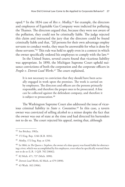oped.<sup>43</sup> In the 1834 case of *Rex v. Medley*,<sup>44</sup> for example, the directors and employees of Equitable Gas Company were indicted for polluting the Thames. The directors argued that, because they were not aware of the pollution, they could not be criminally liable. The judge rejected this claim and instructed the jury that the directors could be found criminally liable and that, "[i]f persons for their own advantage employ servants to conduct works, they must be answerable for what is done by those servants."45 This rule was held to apply even in a context in which the owner specifically ordered his employees to comply with the law.46

In the United States, several courts found that vicarious liability was appropriate. In 1890, the Michigan Supreme Court upheld nuisance convictions of both the corporation and the corporate officers in *People v. Detroit Lead Works*.47 The court explained,

It is not necessary to conviction that they should have been actually engaged in work upon the premises. The work is carried on by employees. The directors and officers are the persons primarily responsible, and therefore the proper ones to be prosecuted. A fine can be collected against the defendant company, and therefore it is subject to prosecution.<sup>48</sup>

The Washington Supreme Court also addressed the issue of vicarious criminal liability in *State v. Constatine.*<sup>49</sup> In this case, a tavern owner was convicted of selling alcohol to a minor despite the fact that the owner was out of state at the time and had directed his bartenders not to do so. The court rejected his appeal, noting that, although

<sup>43</sup> See Brickey, 1982a.

<sup>44</sup> 172 Eng. Rep. 1246 (K.B. 1834).

<sup>45</sup> *Medley*, 172 Eng. Rep. at 1250.

<sup>46</sup> In 1866, in *The Queen v. Stephens*, the owner of a slate quarry was found liable for obstructing a river, which was accomplished by his employees, even when he specifically warned them not to do so (L.R. 1 Q.B. 702 [1866]).

<sup>47</sup> 82 Mich. 471, 737 (Mich. 1890).

<sup>48</sup> *Detroit Lead Works*, 82 Mich. at 479 (1890).

<sup>49</sup> 43 Wash. 102 (1906).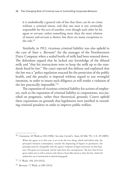it is undoubtedly a general rule of law that there can be no crime without a criminal intent, and that one man is not criminally responsible for the acts of another, even though such other be his agent or servant, unless something more than the mere relation of master and servant is shown, but there are many exceptions to the rule  $50$ 

Similarly, in 1912, vicarious criminal liability was also upheld in the case of *State v. Burnam*<sup>51</sup> for the manager of the Northwestern Dairy Company when a sealed bottle of milk had been watered down. The defendant argued that he lacked any knowledge of the diluted milk and "that his instructions were to keep the milk up to the standards fixed by law." The court rejected this defense and explained that the law was a "police regulation enacted for the protection of the public health, and the penalty is imposed without regard to any wrongful intention, in order to insure such diligence as will render a violation of the law practically impossible."52

The expansion of vicarious criminal liability for actions of employees, such as the expansion of criminal liability to corporations, was justified on pragmatic, rather than theoretical, grounds. Courts upheld these expansions on grounds that legislatures were justified in extending criminal penalties in order to improve public welfare.

<sup>50</sup> *Constatine*, 43 Wash at 104 (1906). See also *Carroll v. State*, 63 Md. 551, 3 A. 29 (1885):

When the agent, as in this case, is set to do the very thing, which and which only, the principal's business contemplates, namely the dispensing of liquors to purchasers, the principal must be chargeable with the agent's violation of legal restriction on that business. His gains are increased, and he must bear the consequences. The fact that he has given orders not to sell to minors only shows a bona fide intent to obey the law, which all authorities say is immaterial in determining guilt.

<sup>51</sup> 71 Wash. 199, 219 (1912).

<sup>52</sup> *Burnam*, 71 Wash. at 200 (1912).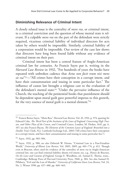## **Diminishing Relevance of Criminal Intent**

A closely related issue is the centrality of *mens rea*, or criminal intent, to a criminal conviction and the question of whose mental state is relevant. If a culpable *mens rea* on the part of the defendant were strictly required, vicarious criminal liability of individual directors for acts taken by others would be impossible. Similarly, criminal liability of a corporation would be impossible. Our review of the case law shows that directors have long been found liable without any evidence of criminal intent on their part.

Criminal intent has been a central feature of Anglo-American criminal law for centuries. As Francis Sayre put it, writing in the *Harvard Law Review* in 1932, "For hundreds of years the books have repeated with unbroken cadence that *Actus non facit reum nisi mens sit rea*"53—"All crimes have their conception in a corrupt intent, and have their consummation and issuing in some particular fact." The influence of canon law brought a religious cast to the evaluation of the defendant's mental state:<sup>54</sup> "Under the pervasive influence of the Church, the teaching of the penitential books that punishment should be dependent upon moral guilt gave powerful impetus to this growth, for the very essence of moral guilt is a mental element."<sup>55</sup>

<sup>53</sup> Francis Bowes Sayre, "Mens Rea," *Harvard Law Review*, Vol. 45, 1932, p. 974, quoting Sir Edward Coke, *The Third Part of the Institutes of the Laws of England: Concerning High Treason, and Other Pleas of the Crown, and Criminall Causes*, London: M. Flesher, 1641, pp. 6, 107; see also Francis Bacon, *The Elements of the Common Lawes of England: Branched into a Double Trial*, Clark, N.J.: Lawbook Exchange Ltd., 2003 ("All crimes have their conception in a corrupt intent, and have their consummation and issuing in some particular fact").

<sup>54</sup> Sayre, 1932, pp. 983–984.

<sup>55</sup> Sayre, 1932, p. 988; see also Deborah W. Denno, "Criminal Law in a Post-Freudian World," *University of Illinois Law Review*, Vol. 2005, 2005, pp. 601–774, p. 612. Though even in Bracton, often cited for evidence of the centrality of *mens rea* in Anglo-American criminal law, one can find criminal liability absent evil intent; see, e.g., Henry de Bracton, *On the Laws and Customs of England*, George E. Woodbine, ed., Samuel E. Thorne, trans., Cambridge: Belknap Press of Harvard University Press, 1968, p. 384. See also Samuel H. Pillsbury, "Evil and the Law of Murder," *University of California Davis Law Review*, Vol. 24, No. 2, Winter 1990, pp. 437–488, pp. 460–463.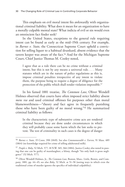This emphasis on evil moral intent fits awkwardly with organizational criminal liability. What does it mean for an organization to have a morally culpable mental state? What indicia of evil or sin would even an omniscient fact finder seek?

In the United States, exceptions to the general rule requiring intent can be found as early as the mid–19th century. For example, in *Barnes v. State*, the Connecticut Supreme Court upheld a conviction for selling liquor to a habitual drunkard, absent evidence that the tavern keeper was aware of the fact.<sup>56</sup> And for the Michigan Supreme Court, Chief Justice Thomas M. Cooley noted,

I agree that as a rule there can be no crime without a criminal intent, but this is not by any means a universal rule. . . . Many statutes which are in the nature of police regulations as this is, impose criminal penalties irrespective of any intent to violate them, the purpose being to require a degree of diligence for the protection of the public which shall render violation impossible.<sup>57</sup>

In his famed 1881 treatise, *The Common Law*, Oliver Wendell Holmes observed that courts have often imposed strict liability absent *mens rea* and used criminal offenses for purposes other than moral blameworthiness—"theory and fact agree in frequently punishing those who have been guilty of no moral wrong."58 He summarized criminal liability as follows:

In the characteristic type of substantive crime acts are rendered criminal because they are done under circumstances in which they will probably cause some harm which the law seeks to prevent. The test of criminality in such cases is the degree of danger

<sup>56</sup> *Barnes v. State*, 19 Conn. 398 (1849). See also *Commonwealth v. Farren*, 91 Mass. 489 (1864) (no knowledge required for crime of selling adulterated milk).

<sup>57</sup> *People v. Roby*, 52 Mich. 577, 18 N.W. 365, 366 (1884). Justice Cooley also noted in passing that one can be guilty of manslaughter, a felony, though "his only fault is gross negligence" (52 Mich. 577).

<sup>58</sup> Oliver Wendell Holmes, Jr., *The Common Law*, Boston, Mass.: Little, Brown, and Company, 1881, pp. 44–45; see also *Roby*, 52 Mich. at 51–58 (noting ways in which even the traditional crime of murder ignores the specifics of individual culpability).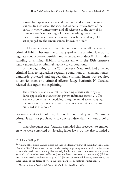shown by experience to attend that act under those circumstances. In such cases, the *mens rea*, or actual wickedness of the party, is wholly unnecessary, and all reference to the state of his consciousness is misleading if it means anything more than that the circumstances in connection with which the tendency of his act is judged are the circumstances known to him.59

In Holmes's view, criminal intent was not at all necessary to criminal liability because the primary goal of the criminal law was to regulate conduct—not punish morally culpable conduct.<sup>60</sup> This understanding of criminal liability is consistent with the 19th century's steady expansion of criminal liability to corporations.

By the beginning of the 20th century, New York had attached criminal fines to regulations regarding conditions of tenement houses. Landlords protested and argued that criminal intent was required to convict them of a criminal offense. Judge Benjamin N. Cardozo rejected this argument, explaining,

The defendant asks us to test the meaning of this statute by standards applicable to statutes that govern infamous crimes. . . . The element of conscious wrongdoing, the guilty mind accompanying the guilty act, is associated with the concept of crimes that are punished as infamous.<sup>61</sup>

Because the violation of a regulation did not qualify as an "infamous crime," it was not problematic to convict a defendant without proof of intent.

In a subsequent case, Cardozo extended this precedent to employers who were convicted of violating labor laws. But he also sounded a

<sup>59</sup> Holmes, 1881, p. 75.

<sup>60</sup> Among other examples, he pointed out that, in Macauley's draft of the Indian Penal Code (Act 45 of 1860), breaches of contract for the carriage of passengers were made criminal—not because the carriers were morally blameworthy but because harm could come to the passengers and civil remedies were ineffective (because the carriers were too poor to sue) (Holmes, 1881, p. 40); see also Holmes, 1881, p. 50 ("[T]he tests of [criminal] liability are external, and independent of the degree of evil in the particular person's motives or intentions").

<sup>61</sup> *Tenement House Dep't v. McDevitt*, 109 N.E. 88, 90 (N.Y. 1915).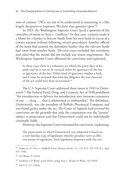note of caution: "[W]e are not to be understood as sustaining to a like length the power to imprison. We leave that question open."62

In 1923, the Washington Supreme Court faced a question of the centrality of intent in *State v. Lindberg.*63 In that case, a statute made it a felony for a banker to borrow funds from his own bank in excess of a certain amount without following certain procedures. Another official of the bank had assured the defendant banker that the relevant funds had come from another bank. The trial court excluded this testimony and ruled that the statute did not include any intent requirement. The Washington Supreme Court affirmed the conviction and explained,

In these cases there is a voluntary act which the party does at his peril, and he is not to be excused either by ignorance of the law or ignorance of the fact. Either kind of ignorance implies a fault, and it must be assumed that with due diligence the true character of the act could have been ascertained.64

The U.S. Supreme Court addressed these issues in 1943 in *Dotterweich*.65 The Federal Food, Drug, and Cosmetic Act of 1938 prohibited "the introduction or delivery for introduction into interstate commerce of any . . . drug . . . that is adulterated or misbranded." The defendant, Dotterweich, was the president of Buffalo Pharmacal Company and was found guilty under the act. The Court of Appeals had reversed his conviction on the grounds that only the corporation was the "person" subject to prosecution and that Dotterweich could not be individually criminally liable.

However, the Supreme Court reinstated his conviction, explaining,

The prosecution to which Dotterweich was subjected is based on a now familiar type of legislation whereby penalties serve as effective means of regulation. Such legislation dispenses with the con-

<sup>62</sup> *People ex rel. Price v. Sheffield Farms-Slawson-Decker Co.*, 121 N.E. 474, 476 (Ct. App. N.Y. 1918).

<sup>63</sup> 125 Wash. 51 (1923).

<sup>64</sup> *Lindberg*, 125 Wash. at 64 (1923), citing *State v. Nicolls*, 61 Wash. 142 (1910).

<sup>65</sup> 320 U.S. 277 (1943).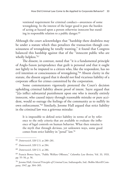ventional requirement for criminal conduct—awareness of some wrongdoing. In the interest of the larger good it puts the burden of acting at hazard upon a person otherwise innocent but standing in responsible relation to a public danger.<sup>66</sup>

Although the court acknowledges that "hardship there doubtless may be under a statute which thus penalizes the transaction though consciousness of wrongdoing be totally wanting," it found that Congress balanced this hardship against that of the "innocent public who are wholly helpless."<sup>67</sup>

The dissent, in contrast, noted that "it is a fundamental principle of Anglo-Saxon jurisprudence that guilt is personal and that it ought not lightly to be imputed to a citizen who, like the respondent, has no evil intention or consciousness of wrongdoing."68 Absent clarity in the statute, the dissent argued that it should not find vicarious liability of a corporate officer for crimes committed by the corporation.

Some commentators vigorously protested the Court's decision upholding criminal liability absent proof of intent. Sayre argued that "[t]o inflict substantial punishment upon one who is morally entirely innocent, who caused injury through reasonable mistake or pure accident, would so outrage the feelings of the community as to nullify its own enforcement."69 Similarly, Jerome Hall argued that strict liability in the criminal law was a grievous mistake:

It is impossible to defend strict liability in terms of or by reference to the only criteria that are available to evaluate the influence of legal controls on human behavior. What then remains is the myth that through devious, yet unknown ways, some good comes from strict liability in "penal" law.70

<sup>66</sup> *Dotterweich*, 320 U.S. at 280–281.

<sup>67</sup> *Dotterweich*, 320 U.S. at 284.

<sup>68</sup> *Dotterweich*, 320 U.S. at 286.

<sup>69</sup> Francis Bowes Sayre, "Public Welfare Offenses," *Columbia Law Review*, Vol. 33, 1933, pp. 55–56, p. 56.

<sup>70</sup> Jerome Hall, *General Principles of Criminal Law*, Indianapolis, Ind.: Bobbs-Merrill Company, 1947, pp. 304–305.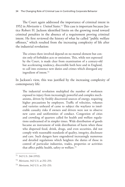The Court again addressed the importance of criminal intent in 1952 in *Morissette v. United States*. 71 This case is important because Justice Robert H. Jackson identified limits on the growing trend toward criminal penalties in the absence of a requirement proving criminal intent. He first reviewed the history of what he called "public welfare offenses," which resulted from the increasing complexity of life after the industrial revolution:

The crimes there involved depend on no mental element but consist only of forbidden acts or omissions. This, while not expressed by the Court, is made clear from examination of a century-old but accelerating tendency, discernible both here and in England, to call into existence new duties and crimes which disregard any ingredient of intent.72

In Jackson's view, this was justified by the increasing complexity of contemporary life:

The industrial revolution multiplied the number of workmen exposed to injury from increasingly powerful and complex mechanisms, driven by freshly discovered sources of energy, requiring higher precautions by employers. Traffic of velocities, volumes and varieties unheard of came to subject the wayfarer to intolerable casualty risks if owners and drivers were not to observe new cares and uniformities of conduct. Congestion of cities and crowding of quarters called for health and welfare regulations undreamed of in simpler times. Wide distribution of goods became an instrument of wide distribution of harm when those who dispersed food, drink, drugs, and even securities, did not comply with reasonable standards of quality, integrity, disclosure and care. Such dangers have engendered increasingly numerous and detailed regulations which heighten the duties of those in control of particular industries, trades, properties or activities that affect public health, safety or welfare.73

<sup>71</sup> 342 U.S. 246 (1952).

<sup>72</sup> *Morissette*, 342 U.S. at 252–253.

<sup>73</sup> *Morissette*, 342 U.S. at 252–253.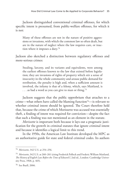Jackson distinguished conventional criminal offenses, for which specific intent is presumed, from public-welfare offenses, for which it is not:

Many of these offenses are not in the nature of positive aggressions or invasions, with which the common law so often dealt, but are in the nature of neglect where the law requires care, or inaction where it imposes a duty.74

Jackson also sketched a distinction between regulatory offenses and more-serious crimes:

Stealing, larceny, and its variants and equivalents, were among the earliest offenses known to the law that existed before legislation; they are invasions of rights of property which stir a sense of insecurity in the whole community and arouse public demand for retribution, the penalty is high and, when a sufficient amount is involved, the infamy is that of a felony, which, says Maitland, is ... as bad a word as you can give to man or thing.<sup>75</sup>

Jackson suggests that the public opprobrium that attaches to a crime—what others have called the blaming function76—is relevant to whether criminal intent should be ignored. The Court therefore held that, because the crime of which Morissette was accused was essentially theft, a finding of intent was required for conviction—despite the fact that such a finding was not mentioned as an element in the statute.

*Morissette* is important both because it lays out a pragmatic justification for the growth in criminal statutes that ignore criminal intent and because it identifies a logical limit to this trend.

In the 1950s, the American Law Institute developed the MPC as an authoritative guide for state and federal criminal codes. Its authors

<sup>74</sup> *Morissette*, 342 U.S. at 254–256.

<sup>75</sup> *Morissette*, 342 U.S. at 260–261 (citing Frederick Pollock and Frederic William Maitland, *The History of English Law Before the Time of Edward I*, 2nd ed., London: Cambridge University Press, 1968, p. 465).

<sup>76</sup> See Buell, 2006.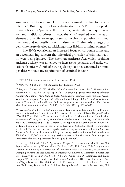announced a "frontal attack" on strict criminal liability for serious offenses.77 Building on Jackson's distinction, the MPC also adopted a division between "public welfare offenses," which did not require *mens rea*, and traditional crimes. In fact, the MPC required *mens rea* as an element of any offense except those that involve comparatively minimal sanctions and no possibility of imprisonment.<sup>78</sup> Similarly, a large academic literature developed criticizing strict-liability criminal offenses.79

The 1970s occasioned an increased focus on corporate crime and an accompanying concern that historical principles of criminal liability were being ignored. The Sherman Antitrust Act, which prohibits antitrust activity, was amended to increase its penalties and make violations felonies.80 A raft of new regulatory statutes contained criminal penalties without any requirement of criminal intent.<sup>81</sup>

<sup>77</sup> MPC § 2.05, comment (American Law Institute, 1955).

<sup>78</sup> MPC §§ 1.04(5), 2.05(1)(a) (American Law Institute, 1962).

<sup>79</sup> See, e.g., Gerhard O. W. Mueller, "On Common Law Mens Rea," *Minnesota Law Review*, Vol. 42, No. 6, May 1958, pp. 1043–1104 (arguing against strict-liability offenses); Anthony A. Cuomo, "*Mens Rea* and Status Criminality," *Southern California Law Review*, Vol. 40, No. 3, Spring 1967, pp. 463–528; and James J. Hippard, Sr., "The Unconstitutionality of Criminal Liability Without Fault: An Argument for a Constitutional Doctrine of Mens Rea," *Houston Law Review*, Vol. 10, No. 5, July 1973, pp. 1039–1058.

<sup>80</sup> See, e.g., U.S. Code, Title 15, Commerce and Trade, Chapter 1, Monopolies and Combinations in Restraint of Trade, Section 1, Trusts, etc., in Restraint of Trade Illegal—Penalty, 1976; U.S. Code, Title 15, Commerce and Trade, Chapter 1, Monopolies and Combinations in Restraint of Trade, Section 2, Monopolizing Trade a Felony—Penalty, 1976; U.S. Code, Title 15, Commerce and Trade, Chapter 1, Monopolies and Combinations in Restraint of Trade, Section 3, Trusts in Territories or District of Columbia Illegal—Combination a Felony, 1976 (the three sections together reclassifying violations of § 1 of the Sherman Antitrust Act from misdemeanor to felony, increasing maximum fines for individuals from \$50,000 to \$100,000, and increasing maximum term of imprisonment from one year to three years; also creating corporate fines of up to \$1 million).

<sup>81</sup> See, e.g., U.S. Code, Title 7, Agriculture, Chapter 21, Tobacco Statistics, Section 503, Reports—Necessity, by Whom Made, Penalties, 1976; U.S. Code, Title 7, Agriculture, Chapter 20, Dumping or Destruction of Interstate Produce, Section 491, Destruction or Dumping of Farm Produce Received in Interstate Commerce by Commission Merchants, etc.—Penalty, 1976; 12 U.S.C. § 378 (1976); U.S. Code, Title 15, Commerce and Trade, Chapter 2A, Securities and Trust Indentures, Subchapter III, Trust Indentures, Section 77yyy, Penalties, 1976; U.S. Code, Title 15, Commerce and Trade, Chapter 2B, Securities Exchanges, Section 78dd-1, Prohibited Foreign Trade Practices by Issuers, 1976; U.S.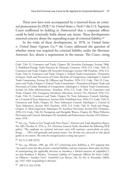These new laws were accompanied by a renewed focus on criminal prosecutions by DOJ.82 In *United States v. Park*,83 the U.S. Supreme Court reaffirmed its holding in *Dotterweich* that a corporate officer could be held criminally liable absent any intent. These developments renewed concern about the expanding scope of criminal liability.<sup>84</sup>

In the wake of these developments, in 1978, in *United States v. United States Gypsum Co.*,<sup>85</sup> the Court addressed the question of whether intent was required for criminal liability under the Sherman Antitrust Act, absent a requirement in the statute. The Court, citing

<sup>83</sup> 421 U.S. 658 (1975).

<sup>84</sup> See, e.g., Abrams, 1981, pp. 476–477 (criticizing strict liability), p. 475 (arguing that "we tend to resist the idea of strict criminal liability, and our resistance often takes the form of reinterpreting the applicable doctrine to introduce a limited measure of culpability"); see also Kathleen F. Brickey, "Criminal Liability of Corporate Officers for Strict Liability Offenses—Another View," *Vanderbilt Law Review*, Vol. 35, No. 6, November 1982b, pp. 1337–1382 (responding to Abrams).

<sup>85</sup> 438 U.S. 422 (1978).

Code, Title 15, Commerce and Trade, Chapter 2B, Securities Exchanges, Section 78dd-2, Prohibited Foreign Trade Practices by Domestic Concerns, 1976; U.S. Code, Title 15, Commerce and Trade, Chapter 2B, Securities Exchanges, Section 78ff, Penalties, 1976; U.S. Code, Title 15, Commerce and Trade, Chapter 2, Federal Trade Commission—Promotion of Export Trade and Prevention of Unfair Methods of Competition, Subchapter I, Federal Trade Commission, Section 50, Offenses and Penalties, 1976; U.S. Code, Title 15, Commerce and Trade, Chapter 2, Federal Trade Commission—Promotion of Export Trade and Prevention of Unfair Methods of Competition, Subchapter I, Federal Trade Commission, Section 54, False Advertisements—Penalties, 1976; U.S. Code, Title 15, Commerce and Trade, Chapter 16A, Emergency Petroleum Allocation, Section 754, Omitted, 1976; U.S. Code, Title 15, Commerce and Trade, Chapter 53, Toxic Substances Control, Subchapter I, Control of Toxic Substances, Section 2614, Prohibited Acts, 1976; U.S. Code, Title 15, Commerce and Trade, Chapter 53, Toxic Substances Control, Subchapter I, Control of Toxic Substances, Section 2615, Penalties, 1976; U.S. Code, Title 21, Food and Drugs, Chapter 12, Meat Inspection, Subchapter IV, Auxiliary Provisions, Section 676, Violations, 1976; U.S. Code, Title 33, Navigation and Navigable Waters, Chapter 26, Water Pollution Prevention and Control, Subchapter III, Standards and Enforcement, Section 1319, Enforcement, 1976.

<sup>82</sup> See, e.g., "Saxbe to Get Tough with Price-Fixers," *Antitrust and Trade Regulation Report*, No. 683, October 8, 1974, p. A-5 (Attorney General Saxbe described the following DOJ policy: "The emphasis on criminal anti-trust cases will continue—particularly on price fixing. . . . [W]e will generally seek prison terms—for all who are convicted or who plead guilty or no contest. The time for unequal justice is long since past").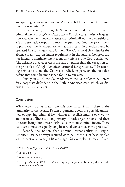and quoting Jackson's opinion in *Morissette*, held that proof of criminal intent was required.86

More recently, in 1994, the Supreme Court addressed the role of criminal intent in *Staples v. United States.*<sup>87</sup> In that case, the issue in question was whether a federal statute that criminalized the ownership of a fully automatic weapon—a machine gun—required the government to prove that the defendant knew that the firearm in question could be operated in a fully automatic fashion. The Court held that, despite the absence of any express intent requirement in the statute, Congress did not intend to eliminate intent from this offense. The Court explained, "the existence of a *mens rea* is the rule of, rather than the exception to, the principles of Anglo-American criminal jurisprudence."88 In reaching this conclusion, the Court also relied, in part, on the fact that defendants could be imprisoned for up to ten years.

Finally, in 2005, the Court addressed the issue of criminal intent for a corporate defendant in the Arthur Andersen case, which we discuss in the next chapter.

## **Conclusion**

What lessons do we draw from this brief history? First, there is the familiarity of the debate. Recent arguments about the possible unfairness of applying criminal law without an explicit finding of *mens rea* are not novel. There is a long history of both organizations and their directors being found vicariously liable without criminal intent. There has been almost an equally long history of concern over the practice.<sup>89</sup>

Second, the notion that criminal responsibility in Anglo-American law has always required criminal intent is, at best, riddled with exceptions. Nearly 140 years ago, for example, Holmes influen-

<sup>86</sup> *United States Gypsum Co*., 438 U.S. at 436–437.

<sup>87</sup> 511 U.S. 600 (1994).

<sup>88</sup> *Staples*, 511 U.S. at 605.

<sup>89</sup> See, e.g., *Morissette*, 342 U.S. at 256 (noting misgivings about dispensing with the traditional requirement of *mens rea*).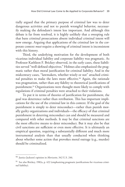tially argued that the primary purpose of criminal law was to deter dangerous activities and not to punish wrongful behavior, necessarily making the defendant's intent less important. And although this debate is far from resolved, it is highly unlikely that a sweeping rule that bans criminal prosecutions absent individual criminal intent will now emerge. Arguing that applications of the criminal law in the corporate context *must* require a showing of criminal intent is inconsistent with this history.

Third, the underlying motivation for the development of both vicarious individual liability and corporate liability was pragmatic. As Professor Kathleen F. Brickey observed, in the early cases, these liabilities served "well-defined objectives." Holmes also emphasized the pragmatic rather than moral justification for criminal liability. And in the midcentury cases, "lawmakers, whether wisely or not" attached criminal penalties to make the laws more effective.<sup>90</sup> Again, the rationale was pragmatism, rather than any fidelity to theoretical justifications of punishment.91 Organizations were thought more likely to comply with regulations if criminal penalties were attached to their violations.

To put it in terms of theories of justification for punishment, the goal was deterrence rather than retribution. This has important implications for the use of the criminal law in this context. If the goal of the punishment is simply to deter misconduct—rather than punish morally guilty organizations and individuals—the efficacy of that criminal punishment in deterring misconduct can and should be measured and compared with other methods. It may be that criminal sanctions are the most effective means to deter misconduct. But it may also be that civil sanctions are sufficient or even more effective. It is ultimately an empirical question, requiring a substantially different and much more instrumental analysis than that usually conducted when thinking about whether some action that provokes moral outrage (e.g., murder) should be criminalized.

<sup>90</sup> Justice Jackson's opinion in *Morissette*, 342 U.S. 246.

 $91$  See also Brickey, 1982a, p. 422 (emphasizing pragmatic justifications for vicarious criminal liability).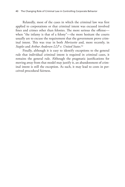Relatedly, most of the cases in which the criminal law was first applied to corporations or that criminal intent was excused involved fines and crimes other than felonies. The more serious the offense when "the infamy is that of a felony"—the more hesitant the courts usually are to excuse the requirement that the government prove criminal intent. This was true in both *Morissette* and, more recently, in *Staples* and *Arthur Andersen LLP v. United States.*<sup>92</sup>

Finally, although it is easy to identify exceptions to the general rule that individual criminal intent is required in criminal cases, it remains the general rule. Although the pragmatic justifications for moving away from that model may justify it, an abandonment of criminal intent is still the exception. As such, it may lead to costs in perceived procedural fairness.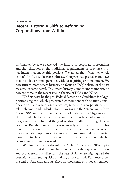# **Recent History: A Shift to Reforming Corporations from Within**

In Chapter Two, we reviewed the history of corporate prosecutions and the relaxation of the traditional requirements of proving criminal intent that made this possible. We noted that, "whether wisely or not" (in Justice Jackson's phrase), Congress has passed many laws that included criminal penalties without requiring criminal intent. We now turn to more-recent history and focus on DOJ policies of the past 30 years in some detail. This recent history is important to understand how we came to the recent rise in the use of DPAs and NPAs.

We first describe the pre–Federal Sentencing Guidelines for Organizations regime, which prosecuted corporations with relatively small fines in an era in which compliance programs within corporations were relatively small and underdeveloped. We turn to the Sentencing Reform Act of 1984 and the Federal Sentencing Guidelines for Organizations of 1991, which dramatically increased the importance of compliance programs and emphasized the goal of structurally reforming the corporation. But the restructuring was initially a requirement of probation and therefore occurred only after a corporation was convicted. Over time, the importance of compliance programs and restructuring moved up in the criminal process and became a criterion on which a decision to prosecute was made.

We also describe the downfall of Arthur Andersen in 2002, a pivotal case that carried a powerful message to both corporate directors and prosecutors. For directors, the fate of Andersen highlighted the potentially firm-ending risks of taking a case to trial. For prosecutors, the end of Andersen and its effect on thousands of innocent employ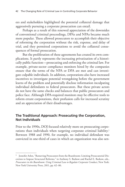ees and stakeholders highlighted the potential collateral damage that aggressively pursuing a corporate prosecution can entail.

Perhaps as a result of this renewed appreciation of the downsides of conventional criminal proceedings, DPAs and NPAs became much more popular. These allowed prosecutors to accomplish their objective of reforming the corporation without the risk, expense, and delay of trial, and they permitted corporations to avoid the collateral consequences of formal prosecution.

But the proliferation of these agreements has created its own complications. It partly represents the increasing privatization of a historically public function—prosecuting and enforcing the criminal law. For example, private-sector compliance monitors hired by the companies ensure that the terms of the NPA or DPA are met and can investigate culpable individuals. In addition, corporations also have increased incentives to investigate potential wrongdoing before the government learns of the problem and potentially disclose information inculpating individual defendants to federal prosecutors. But these private actors do not have the same checks and balances that public prosecutors and police face. Although DPA-required monitors may be effective tools to reform errant corporations, their profusion calls for increased scrutiny and an appreciation of their disadvantages.

## **The Traditional Approach: Prosecuting the Corporation, Not Individuals**

Prior to the 1990s, DOJ focused relatively more on prosecuting corporations than individuals when targeting corporate criminal liability.<sup>1</sup> Between 1988 and 1990, for example, no individual defendant was convicted in one-third of cases in which an organization was also sen-

<sup>&</sup>lt;sup>1</sup> Jennifer Arlen, "Removing Prosecutors from the Boardroom: Limiting Prosecutorial Discretion to Impose Structural Reforms," in Anthony S. Barkow and Rachel E. Barkow, eds., *Prosecutors in the Boardroom: Using Criminal Law to Regulate Corporate Conduct*, New York: New York University Press, 2011, pp. 62–86.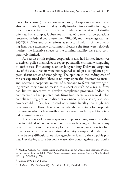tenced for a crime (except antitrust offenses).<sup>2</sup> Corporate sanctions were also comparatively small and typically involved fines similar in magnitude to ones levied against individuals who were convicted of similar offenses. For example, Cohen found that 60 percent of corporations sentenced in federal court were fined \$10,000, and the average was just \$45,790.<sup>3</sup> DPAs and other efforts at structural reform of the offending firm were extremely uncommon. Because the fines were relatively modest, the incentive effects of the criminal liability were also comparatively limited.

As a result of this regime, corporations also had limited incentives to actively police themselves or report potentially criminal wrongdoing to authorities. For example, under longstanding Delaware corporate law of the era, directors were not required to adopt a compliance program absent notice of wrongdoing. The opinion in the leading case of the era explained that "there is no duty upon the directors to install and operate a corporate system of espionage to ferret out wrongdoing which they have no reason to suspect exists."4 As a result, firms had limited incentives to develop compliance programs. Indeed, as commentators have pointed out, firms had incentives *not* to develop compliance programs or to discover wrongdoing because any such discovery could, in fact, lead to civil or criminal liability that might not otherwise exist. Thus, there were considerable incentives for corporate directors to adopt a head-in-the-sand approach with respect to potential criminal activity.

The absence of robust corporate compliance programs meant that that individual offenders were less likely to be caught. Unlike many other crimes, crime that takes place within an organization is often difficult to detect. Even once criminal activity is suspected or detected, it can be very difficult for outside agencies to identify the culpable parties. Developing a case beyond a reasonable doubt against a particular

<sup>&</sup>lt;sup>2</sup> Mark A. Cohen, "Corporate Crime and Punishment: An Update on Sentencing Practice in the Federal Courts, 1988–1990," *Boston University Law Review*, Vol. 71, No. 2, March 1991, pp. 247–280, p. 268.

<sup>3</sup> Cohen, 1991, pp. 254–256.

<sup>4</sup> *Graham v. Allis-Chalmers Mfg. Co*., 188 A.2d 125, 130 (Del. 1963).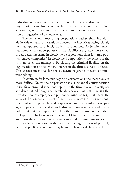individual is even more difficult. The complex, decentralized nature of organizations can also mean that the individuals who commit criminal actions may not be the most culpable and may be doing so at the direction or suggestion of someone else.

The focus on prosecuting corporations rather than individuals in this era also differentially affected the incentives facing closely held, as opposed to publicly traded, corporations. As Jennifer Arlen has noted, vicarious corporate criminal liability is arguably more effective at deterring crime in closely held corporations than for large publicly traded companies.<sup>5</sup> In closely held corporations, the owners of the firm are often the managers. By placing the criminal liability on the organization itself, the owner's interest in the firm is directly affected. This creates incentives for the owner/managers to prevent criminal wrongdoing.

In contrast, for large publicly held corporations, the incentives are more diffuse. Unless the perpetrator has a substantial equity position in the firm, criminal sanctions applied to the firm may not directly act as a deterrent. Although the shareholders have an interest in having the firm itself police employees to prevent criminal activity that harms the value of the company, this set of incentives is more indirect than those that exist in the privately held corporation and the familiar principalagency problems associated with divergent management and shareholder interests can apply. On the other hand, many compensation packages for chief executive officers (CEOs) are tied to share prices, and most directors are likely to want to avoid criminal investigations, so this distinction between the incentives facing directors of privately held and public corporations may be more theoretical than actual.

<sup>5</sup> Arlen, 2011, pp. 69–70.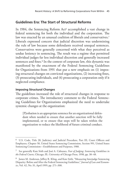## **Guidelines Era: The Start of Structural Reforms**

In 1984, the Sentencing Reform Act<sup>6</sup> accomplished a vast change in federal sentencing for both the individual and the corporation. The law was enacted by an unusual coalition of liberals and conservatives.<sup>7</sup> Liberals expressed concern that judicial discretion was undermining the rule of law because some defendants received unequal sentences. Conservatives were generally concerned with what they perceived as undue leniency in sentencing. The result was a regime that permitted individual judges far less individual discretion and generally increased sentences and fines.<sup>8</sup> In the context of corporate law, this dynamic was manifested by the enactment of the Federal Sentencing Guidelines for Organizations from 1991 that put a new emphasis on (1) imposing structural changes on convicted organizations, (2) increasing fines, (3) prosecuting individuals, and (4) prosecuting a corporation only if it neglected compliance.

### **Imposing Structural Changes**

The guidelines increased the role of structural changes in response to corporate crimes. The introductory comment to the Federal Sentencing Guidelines for Organizations emphasized the need to undertake systemic changes at the organization:

[P]robation is an appropriate sentence for an organizational defendant when needed to ensure that another sanction will be fully implemented, or to ensure that steps will be taken within the organization to reduce the likelihood of future criminal conduct.

<sup>6</sup> U.S. Code, Title 28, Judiciary and Judicial Procedure, Part III, Court Officers and Employees, Chapter 58, United States Sentencing Commission, Section 991, United States Sentencing Commission—Establishment and Purposes, 1988.

<sup>7</sup> See generally Kate Stith and José A. Cabranes, *Fear of Judging: Sentencing Guidelines in the Federal Courts*, Chicago, Ill.: University of Chicago Press, 1998, pp. 38–48.

<sup>8</sup> James M. Anderson, Jeffrey R. Kling, and Kate Stith, "Measuring Interjudge Sentencing Disparity: Before and After the Federal Sentencing Guidelines," *Journal of Law and Economics*, Vol. 42, No. S1, April 1999, pp. 271–308.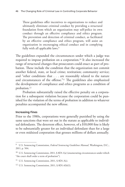These guidelines offer incentives to organizations to reduce and ultimately eliminate criminal conduct by providing a structural foundation from which an organization may self-police its own conduct through an effective compliance and ethics program. The prevention and detection of criminal conduct, as facilitated by an effective compliance and ethics program, will assist an organization in encouraging ethical conduct and in complying fully with all applicable laws.<sup>9</sup>

The guidelines expanded the circumstances under which a judge was required to impose probation on a corporation.10 It also increased the range of structural changes that prosecutors could enact as part of probation. These include the condition that the organization not commit another federal, state, or local crime; restitution; community service; and "other conditions that . . . are reasonably related to the nature and circumstances of the offense."11 The guidelines also emphasized the development of compliance and ethics programs as a condition of probation.12

Probation substantially raised the effective penalty on a corporation for a subsequent violation because the corporation could be punished for the violation of the terms of probation in addition to whatever penalties accompanied the new offense.

#### **Increasing Fines**

Prior to the 1980s, corporations were generally punished by using the same sanctions that were set out in the statute as applicable to individual defendants. The deterrent effect, however, of a \$10,000 fine is likely to be substantially greater for an individual defendant than for a large or even midsized corporation that grosses millions of dollars annually.

<sup>9</sup> U.S. Sentencing Commission, *Federal Sentencing Guidelines Manual*, Washington, D.C., 2011, p. 504.

<sup>&</sup>lt;sup>10</sup> U.S. Sentencing Commission, 2011, § 8D1.1(a) (enumerating circumstances under which "the court shall order a term of probation").

<sup>&</sup>lt;sup>11</sup> U.S. Sentencing Commission, 2011, § 8D1.3(c).

<sup>12</sup> U.S. Sentencing Commission, 2011, § 8D1.4(b)(1).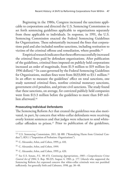Beginning in the 1980s, Congress increased the sanctions applicable to corporations and directed the U.S. Sentencing Commission to set forth sentencing guidelines applicable to organizations separately from those applicable to individuals. In response, in 1991, the U.S. Sentencing Commission enacted the Federal Sentencing Guidelines for Organizations. These substantially increased the fines that corporations paid and also included nonfine sanctions, including restitution to victims of the criminal offense and remediation, where possible.13

Empirical research indicates that these efforts successfully increased the criminal fines paid by defendant organizations. After publication of the guidelines, criminal fines imposed on publicly held corporations increased an order of magnitude, from \$1.9 million to \$19 million (in 1996 dollars).14 In cases governed by the Federal Sentencing Guidelines for Organizations, median fines went from \$633,000 to \$3.1 million.15 In an effort to measure the guidelines' effect on total sanctions, one study summed criminal fines, nonfine criminal monetary sanctions, government civil penalties, and private civil sanctions. The study found that these sanctions, on average, for convicted publicly held companies went from \$13.3 million before the guidelines to more than \$49 million afterward.<sup>16</sup>

#### **Prosecuting Individual Defendants**

The Sentencing Reform Act that created the guidelines was also motivated, in part, by concern that white-collar defendants were receiving overly lenient sentences and that judges were reluctant to send whitecollar offenders to prison.<sup>17</sup> Prior to publication of the guidelines,

<sup>13</sup> U.S. Sentencing Commission, 2011, §§ 8B1 ("Remedying Harm from Criminal Conduct"), 8D1.1 ("Imposition of Probation: Organizations").

<sup>14</sup> C. Alexander, Arlen, and Cohen, 1999, p. 410.

<sup>15</sup> C. Alexander, Arlen, and Cohen, 1999.

<sup>16</sup> C. Alexander, Arlen, and Cohen, 1999, p. 420.

<sup>17</sup> See U.S. Senate, *P.L. 98-473, Continuing Appropriations, 1985—Comprehensive Crime Control Act of 1984*, S. Rep. 98-225, August 4, 1983, p. 177. Liberals who supported the Sentencing Reform Act expressed concern that white-collar criminals were not punished sufficiently. See generally Stith and Cabranes, 1998, pp. 38–48.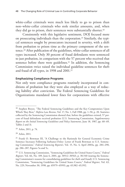white-collar criminals were much less likely to go to prison than non–white-collar criminals who stole similar amounts, and, when they did go to prison, their sentences were substantially shorter.<sup>18</sup>

Consistently with this legislative sentiment, DOJ focused more on prosecuting individuals than the corporation.19 Similarly, the typical sentences sought by prosecutors increased in severity, with a shift from probation to prison time as the primary component of the sentence.20 After publication of the guidelines, white-collar sentences of all types increased. Only 30 percent of fraud defendants were sentenced to just probation, in comparison with the 57 percent who received that sentence before there were guidelines.<sup>21</sup> In addition, the Sentencing Commission twice raised the individual guideline sentences for theft and fraud of all types, in 1998 and 2001.<sup>22</sup>

#### **Emphasizing Compliance Programs**

Not only were compliance programs routinely incorporated in conditions of probation but they were also employed as a way of reducing liability after conviction. The Federal Sentencing Guidelines for Organizations mandated lower fines for corporations with effective

<sup>&</sup>lt;sup>18</sup> Stephen Breyer, "The Federal Sentencing Guidelines and the Key Compromises Upon Which They Rest," *Hofstra Law Review*, Vol. 17, No. 1, Fall 1988, pp. 1–50, p. 20. Statistics collected by the Sentencing Commission showed that, before the guidelines existed, 57 percent of fraud defendants received probation (U.S. Sentencing Commission, *Supplementary Report on the Initial Sentencing Guidelines and Policy Statements*, June 18, 1987, pp. 68–69, Tables 2 and 3).

<sup>19</sup> Arlen, 2011, p. 74.

<sup>20</sup> Arlen, 2011.

<sup>&</sup>lt;sup>21</sup> Frank O. Bowman III, "A Challenge to the Rationale for General Economic Crime Sentence Increases Following Sarbanes-Oxley: Letter of Frank Bowman to U.S. Sentencing Commission," *Federal Sentencing Reporter*, Vol. 15, No. 4, April 2003a, pp. 284–290, pp. 286–287, Figures 5a and 5c.

<sup>22</sup> U.S. Sentencing Commission, "Sentencing Guidelines for United States Courts," *Federal Register*, Vol. 66, No. 109, June 6, 2001, pp. 30512–30563, p. 30,540 (stating the Sentencing Commission's reasons for consolidating guidelines for theft and fraud); U.S. Sentencing Commission, "Sentencing Guidelines for United States Courts," *Federal Register*, Vol. 63, No. 229, November 30, 1998, pp. 65979–65993, pp. 65,982–65,992.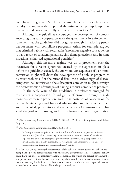compliance programs.23 Similarly, the guidelines called for a less severe penalty for any firm that reported the misconduct promptly upon its discovery and cooperated fully with federal authorities.<sup>24</sup>

Although the guidelines encouraged the development of compliance programs and cooperation with the government in enforcement, some felt that the guidelines did not go far enough in reducing penalties for firms with compliance programs. Arlen, for example, argued that criminal liability still resulted in "enormous negative consequences . . . as a result of collateral penalties, civil damages actions, and in some situations, enhanced reputational penalties."25

Although this incentive regime was an improvement over the incentives for director ignorance created by the approach in place before the guidelines existed, the enormous consequences of a criminal conviction might still deter the development of a robust program to discover problems. For the rational firm, the disadvantages of discovering criminal activity and the subsequent conviction might outweigh the postconviction advantages of having a robust compliance program.

In the early years of the guidelines, a preference emerged for restructuring corporations found guilty of crimes. Through outside monitors, corporate probation, and the importance of cooperation for Federal Sentencing Guidelines calculation after an offense is identified and prosecuted, prosecutors and the Sentencing Commission emphasized the goal of improving and restructuring the errant organization

If the organization (A) prior to an imminent threat of disclosure or government investigation; and (B) within a reasonably prompt time after becoming aware of the offense, reported the offense to appropriate governmental authorities, fully cooperated in the investigation, and clearly demonstrated recognition and affirmative acceptance of responsibility for its criminal conduct, subtract 5 points.

<sup>25</sup> Arlen, 2011, p. 75. Among the most serious of the collateral consequences was debarment being banned from doing business with the federal government. This "collateral" penalty could have the effect of essentially ending companies for which the federal government is a major customer. Similarly, federal or state regulators could be required to revoke licenses that are necessary for the firms' core businesses. As we explain in the next chapter, debarment actions have increased substantially in the past several years.

<sup>&</sup>lt;sup>23</sup> U.S. Sentencing Commission, 2011, § 8C2.5(f) ("Effective Compliance and Ethics Program").

<sup>&</sup>lt;sup>24</sup> U.S. Sentencing Commission, 2011, § 8C2.5(g)(1):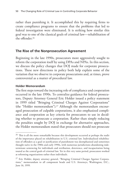rather than punishing it. It accomplished this by requiring firms to create compliance programs to ensure that the problems that led to federal investigation were eliminated. It is striking how similar this goal was to one of the classical goals of criminal law—rehabilitation of the offender.26

## **The Rise of the Nonprosecution Agreement**

Beginning in the late 1990s, prosecutors more aggressively sought to reform the corporation itself by using DPAs and NPAs. In this section, we discuss the policy changes that DOJ made for corporate prosecutions. These new directions in policy both help explain some of the variation that we observe in corporate prosecutions and, at times, prove controversial as a matter of procedural law.

### **Holder Memorandum**

The first steps toward the increasing role of compliance and cooperation occurred in the late 1990s. To centralize guidance for federal prosecutors, Deputy Attorney General Eric Holder issued a policy statement in 1999 titled "Bringing Criminal Charges Against Corporations" (the "Holder memorandum").27 Although the memorandum encouraged prosecution of culpable corporations, it also emphasized compliance and cooperation as key criteria for prosecutors to use in deciding whether to prosecute a corporation. Rather than simply reducing the penalties sought by DOJ in exchange for alternative approaches, the Holder memorandum stated that prosecutors should not prosecute

<sup>&</sup>lt;sup>26</sup> This is all the more remarkable because this development occurred at perhaps the nadir of the importance placed on rehabilitation in U.S. criminal law. Individualized rehabilitation of offenders as a goal or justification of punishment was deemphasized and sometimes thought naïve in the 1980s and early 1990s, with numerous jurisdictions abandoning indeterminate sentencing for individuals and retribution, deterrence, and incapacitation being touted as the central goals of criminal law. Yet in this very same period, prosecutors worked at reforming organizations rather than individuals.

<sup>&</sup>lt;sup>27</sup> Eric Holder, deputy attorney general, "Bringing Criminal Charges Against Corporations," memorandum to all component heads and U.S. Attorneys, Washington, D.C., June 16, 1999.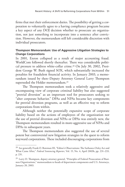firms that met their enforcement duties. The possibility of getting a corporation to voluntarily agree to a having compliance program became a key aspect of any DOJ decision whether to prosecute an organization, not just something to incorporate into a sentence after conviction. However, the memorandum still left considerable discretion with individual prosecutors.

## **Thompson Memorandum: Use of Aggressive Litigation Strategies to Change Corporations**

In 2001, Enron collapsed as a result of major accounting fraud. WorldCom followed shortly thereafter. There was considerable political pressure to address white-collar crime.28 On July 30, 2002, President George W. Bush signed SOX, which substantially increased the penalties for fraudulent financial activity. In January 2003, a memorandum issued by then–Deputy Attorney General Larry Thompson superseded the Holder memorandum.<sup>29</sup>

The Thompson memorandum took a relatively aggressive and encompassing view of corporate criminal liability but also suggested "pretrial diversion" as an important tool for prosecutors seeking to "alter corporate behavior." DPAs and NPAs became key components for pretrial diversion programs, as well as an effective way to reform corporations from within.

Although neither the potentially expansive scope of corporate liability based on the actions of employees of the organization nor the use of pretrial diversion and NPAs or DPAs was entirely new, the Thompson memorandum resulted in more-aggressive use of NPAs and DPAs in subsequent years.

The Thompson memorandum also suggested the use of several potent but controversial new litigation strategies in the quest to reform wayward corporations. These included discouraging corporations from

<sup>&</sup>lt;sup>28</sup> See generally Frank O. Bowman III, "Editor's Observations: The Sarbanes-Oxley Act and What Came After," *Federal Sentencing Reporter*, Vol. 15, No. 4, April 2003b, pp. 231–233, p. 231.

<sup>&</sup>lt;sup>29</sup> Larry D. Thompson, deputy attorney general, "Principles of Federal Prosecution of Business Organizations," memorandum to heads of department components and U.S. Attorneys, January 20, 2003.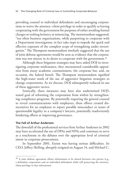providing counsel to individual defendants and encouraging corporations to waive the attorney–client privilege in order to qualify as having cooperating with the government for purposes of either avoiding formal charges or seeking leniency at sentencing. The memorandum suggested, "too often business organizations, while purporting to cooperate with a Department investigation, in fact take steps to impede the quick and effective exposure of the complete scope of wrongdoing under investigation." The Thompson memorandum similarly suggested that the use of joint defense agreements would be seen as evidence that the corporation was not sincere in its desire to cooperate with the government.<sup>30</sup>

Although these litigation strategies may have aided DOJ in investigating corporate misfeasance, they encountered considerable opposition from many academic commentators, the corporate bar, and, on occasion, the federal bench. The Thompson memorandum signified the high-water mark of the use of aggressive litigation strategies to change corporations. As we discuss, DOJ subsequently reduced its use of these aggressive tactics.

Ironically, these measures may have also undermined DOJ's stated goal of reforming the corporation from within by strengthening compliance programs. By potentially requiring the general counsel to reveal communications with employees, these efforts created disincentives for an employee to report possible misconduct or issues of questionable legality to a company's lawyers, potentially inadvertently hindering efforts at improving governance.

#### **The Fall of Arthur Andersen**

The downfall of the professional services firm Arthur Andersen in 2002 may have accelerated the use of DPAs and NPAs and continues to serve as a touchstone in the debates over the appropriate level of criminal intent in corporate prosecutions.

In September 2001, Enron was having serious difficulties. Its CEO, Jeffrey Skilling, abruptly resigned on August 14, and Michael C.

 $30$  A joint defense agreement allows information to be shared between two parties (e.g., a defendant corporation and an individual defendant) while still protecting the attorney– client privilege in that information.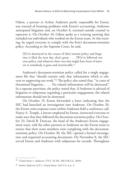Odom, a partner at Arthur Andersen partly responsible for Enron, was warned of looming problems with Enron's accounting. Andersen anticipated litigation and, on October 8, retained outside counsel to represent it. On October 10, Odom spoke at a training meeting that included ten individuals who worked on the Enron team. At this training, he urged everyone to comply with the firm's document-retention policy. According to the Supreme Court, he said,

[I]f it's destroyed in the course of [the] normal policy and litigation is filed the next day, that's great. . . . [W]e've followed our own policy, and whatever there was that might have been of interest to somebody is gone and irretrievable.<sup>31</sup>

Andersen's document-retention policy called for a single engagement file that "should contain only that information which is relevant to supporting our work."32 The policy also stated that, "in cases of threatened litigation, . . . . No related information will be destroyed." In a separate provision, the policy noted that, if Andersen is advised of litigation or subpoenas regarding a particular engagement, the related information should not be destroyed.

On October 19, Enron forwarded a letter indicating that the SEC had launched an investigation into Andersen. On October 20, the Enron crisis-response team within Andersen held a conference call. Nancy A. Temple, a lawyer employed by Enron, instructed everyone to make sure that they followed the document-retention policy. On October 23, David B. Duncan, the head of the Andersen–Enron engagement team, told the other partners at Andersen on the Enron team to ensure that their team members were complying with the documentretention policy. On October 30, the SEC opened a formal investigation and requested accounting documents. On November 8, the SEC served Enron and Andersen with subpoenas for records. Throughout

<sup>31</sup> *United States v. Andersen*, 374 F. 3d 281, 286 (5th Cir. 2004).

<sup>32</sup> *Arthur Andersen LLP v. United States*, 544 U.S. at n. 4.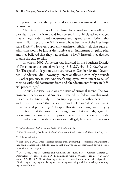this period, considerable paper and electronic document destruction occurred.33

After investigation of this chronology, Andersen was offered a plea deal to permit it to avoid indictment if it publicly acknowledged that it illegally destroyed documents and agreed to restrictions that were similar to probation.<sup>34</sup> This would have been one of the first largescale DPAs.35 However, apparently Andersen officials felt that such an admission would be just as destructive as an indictment or guilty plea, and they believed that they had broken no law.36 Instead, they decided to take the case to trial.

In March 2002, Andersen was indicted in the Southern District of Texas on one count of violating 18 U.S.C. §§ 1512(b)(2)(A) and (B). The specific allegation was that, between October 10 and November 9, Andersen "did knowingly, intentionally and corruptly persuade . . . other persons, to wit: Andersen's employees, with intent to cause" them to withhold documents from and alter documents for use in "official proceedings."

At trial, a critical issue was the issue of criminal intent. The government's theory was that Andersen violated the federal law that made it a crime to "knowingly . . . corruptly persuade another person . . . with intent to cause" that person to "withhold" or "alter" documents in an "official proceeding."37 Despite this statutory language, the jury instructions that the government sought and that the judge gave did not require the government to prove that individual actors within the firm understood that their actions were illegal, however. The instruc-

<sup>33</sup> *Arthur Andersen LLP v. United States*, 544 U.S. at n. 4.

<sup>34</sup> Kurt Eichenwald, "Andersen Refused a Probation Deal," *New York Times*, April 2, 2002.

<sup>35</sup> Eichenwald, 2002.

 $36$  Eichenwald, 2002. Once Andersen refused this agreement, prosecutors may have felt that they had no choice but to take the case to trial, if only to protect their credibility in negotiations with other companies.

<sup>37</sup> U.S. Code, Title 18, Crimes and Criminal Procedure, Part I, Crimes, Chapter 73, Obstruction of Justice, Section 1512, Tampering with a Witness, Victim, or an Informant, 1976,  $\P$  (b)(2)(A) (withholding testimony, records, documents, or other objects) and (B) (altering, destroying, mutilating, or concealing something with intent to impair its integrity or availability).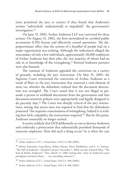tions permitted the jury to convict if they found that Andersen's actions "subvert[ed], undermine[d] or impede[d]" the government's investigation.38

On June 15, 2002, Arthur Andersen LLP was convicted for these actions. On August 31, 2002, the firm surrendered its certified public accountant (CPA) license and effectively ceased operations. The disproportionate effect that the actions of a handful of people had on a major organization was striking. Although the indictment alleged the misconduct of only a few individuals, approximately 28,000 employees of Arthur Andersen lost their jobs, the vast majority of whom had no role in or knowledge of the wrongdoing.39 Retired Andersen partners were also harmed.

The remnant of Andersen appealed the conviction on a variety of grounds, including the jury instruction. On May 31, 2005, the Supreme Court overturned the conviction of Arthur Andersen as a result of flaws in the jury instruction that removed a vital element of *mens rea*, whether the defendant realized that the document destruction was wrongful. The Court noted that it was not illegal to persuade a person to withhold documents from the government and that document-retention policies were appropriately and legally designed to do precisely that.40 The Court was sharply critical of the jury instructions, noting that jurors were not required to find that the defendants possessed "the requisite consciousness of wrongdoing. Indeed it is striking how little culpability the instructions required."41 But by this point, Andersen essentially no longer existed.

It seems unlikely that DOJ deliberately set out to destroy Andersen and undertake a prosecution that substantially punished thousands of innocent employees. How did such a thing occur? As is often the case

<sup>38</sup> *Arthur Andersen LLP v. United States*, 544 U.S. 696 (2005).

<sup>&</sup>lt;sup>39</sup> Delroy Alexander, Greg Burns, Robert Manor, Flynn McRoberts, and E. A. Torriero, "The Fall of Andersen," *Hartford Courant*, November 1, 2002; see also Unmesh Kher, "The End of Arthur Andersen?" *Time*, March 11, 2002 (noting that "some of Andersen's most prestigious and loyal clients . . . are cancelling contracts").

<sup>40</sup> *Arthur Andersen LLP v. United States*, 544 U.S. 696 (2005).

<sup>41</sup> *Arthur Andersen LLP v. United States*, 544 U.S. 696 (2005).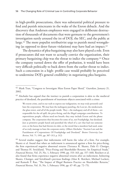in high-profile prosecutions, there was substantial political pressure to find and punish miscreants in the wake of the Enron debacle. And the discovery that Andersen employees were engaged in deliberate destruction of thousands of documents that were germane to the government's investigation surely aroused the ire of DOJ, the SEC, and the public at large.<sup>42</sup> The more populist retributivist urge to punish moral wrongdoing (as opposed to deter future violations) may have had an impact. $43$ 

The dynamics of plea-bargaining may also have played a role. Even if prosecutors did not want to actually convict the organization, their primary bargaining chip was the threat to indict the company.44 Once the company turned down the offer of probation, it would have been very difficult politically to back down from the earlier threat to indict. Such a concession in a high- profile case would probably be perceived to undermine DOJ's general credibility in negotiating plea bargains.

We resent crime, and in our rush to express our indignation, we may truly personify and hate the corporation. We may hate the mahogany paneling, the Lear jet, the smokestack, the glass tower, and *all* of the people inside. They—the mahogany and all of them—are responsible for the oil spill, the price-fixing, and the illegal campaign contributions. To superstitious people, villains need not breath; they may include Exxon and the phone company. The corporation thus becomes for some of us, not Frankpledge, but deodand. Just as primitive people hated and punished the wheel of a cart that had run someone over, or the horse that had thrown its rider, or the sword that a murderer had used, some of us truly manage to hate the corporate entity. (Albert Alschuler, "Ancient Law and the Punishment of Corporations: Of Frankpledge and Deodand," *Boston University Law Review*, Vol. 71, 1991, pp. 307–313, p. 312)

<sup>44</sup> Several studies suggest that indictments will harm the value of a firm. For example, Skantz et al. found that when an indictment is announced against a firm for price-fixing, the firm experienced negative abnormal returns (Terrance R. Skantz, Dale O. Cloniger, and Thomas H. Strickland, "Price-Fixing and Shareholder Returns: An Empirical Study," *Financial Review*, Vol. 25, No. 1, February 1990, pp. 153–163, pp. 157–160). Reichert et al. also found that firms experience negative abnormal returns after an indictment, bolstering Skantz, Cloniger, and Strickland's previous findings (Alan K. Reichert, Michael Lockett, and Ramesh P. Rao, "The Impact of Illegal Business Practice on Shareholder Returns," *Financial Review*, Vol. 31, No. 1, February 1996, pp. 67–85, pp. 72–75).

<sup>42</sup> Mark Tran, "Congress to Investigate Mass Enron Paper Shred," *Guardian*, January 21, 2002.

 $43$  Alschuler has argued that the instinct to punish a corporation is akin to the medieval practice of deodand, the punishment of inanimate objects associated with a crime: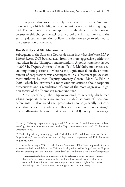Corporate directors also surely drew lessons from the Andersen prosecution, which highlighted the potential extreme risks of going to trial. Even with what may have appeared to the directors to be a strong defense to this charge (the lack of any proof of criminal intent and the existing document-retention policy), the decision to go to trial led to the destruction of the firm.

#### **The McNulty and Filip Memoranda**

Subsequent to the Supreme Court's decision in *Arthur Andersen LLP v. United States*, DOJ backed away from the more-aggressive positions it had taken in the Thompson memorandum. A policy statement issued in 2006 by Deputy Attorney General Paul J. McNulty moderated several important positions.45 More recently, guidance about the criminal pursuit of corporations was encompassed in a subsequent policy statement authored by then–Deputy Attorney General Mark R. Filip in 2008, which has expressed a more cautious attitude about corporate prosecutions and a repudiation of some of the more-aggressive litigation tactics of the Thompson memorandum.<sup>46</sup>

More specifically, the Filip memorandum generally disclaimed asking corporate targets not to pay the defense costs of individual defendants. It also stated that prosecutors should generally not consider this factor in deciding whether a corporation is cooperating.<sup>47</sup> It also affirmatively stated that it was not DOJ policy to encourage

<sup>&</sup>lt;sup>45</sup> Paul J. McNulty, deputy attorney general, "Principles of Federal Prosecution of Business Organizations," memorandum to heads of department components and U.S. Attorneys, December 2006.

<sup>&</sup>lt;sup>46</sup> Mark Filip, deputy attorney general, "Principles of Federal Prosecution of Business Organizations," memorandum to heads of department components and U.S. Attorneys, August 28, 2008.

<sup>&</sup>lt;sup>47</sup> In a case involving KPMG LLP, the United States asked KPMG not to provide financial assistance to individual defendants. This was harshly criticized by Judge Lewis A. Kaplan, who was presiding over the individual defendant's trial and found a violation of due process:

<sup>[</sup>The prosecutor's] deliberate interference with the defendants' rights was outrageous and shocking in the constitutional sense because it was fundamentally at odds with two of our most basic constitutional values—the right to counsel and the right to fair criminal proceedings. (*United States v. Stein*, 495 F. Supp. 2d 390 [S.D.N.Y. 2007])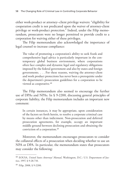either work-product or attorney–client privilege waivers: "eligibility for cooperation credit is not predicated upon the waiver of attorney-client privilege or work-product protection." Indeed, under the Filip memorandum, prosecutors were no longer permitted to provide credit to a corporation for waiving either of these privileges.

The Filip memorandum also acknowledged the importance of legal counsel to increase compliance:

The value of promoting a corporation's ability to seek frank and comprehensive legal advice is particularly important in the contemporary global business environment, where corporations often face complex and dynamic legal and regulatory obligations imposed by the federal government and also by states and foreign governments. . . . For these reasons, waiving the attorney-client and work product protections has never been a prerequisite under the department's prosecution guidelines for a corporation to be viewed as cooperative.<sup>48</sup>

The Filip memorandum also seemed to encourage the further use of DPAs and NPAs. In § 9-2200, discussing general principles of corporate liability, the Filip memorandum includes an important new comment:

In certain instances, it may be appropriate, upon consideration of the factors set forth herein, to resolve a corporate criminal case by means other than indictment. Non-prosecution and deferred prosecution agreements, for example, occupy an important middle ground between declining prosecution and obtaining the conviction of a corporation.49

Moreover, the memorandum encourages prosecutors to consider the collateral effects of a prosecution when deciding whether to use an NPA or DPA. In particular, the memorandum states that prosecutors may consider the following:

<sup>48</sup> EOUSA, *United States Attorneys' Manual*, Washington, D.C.: U.S. Department of Justice, 1997, § 9-28.710.

 $49$  Filip, 2008, § 9-2200.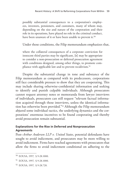possibly substantial consequences to a corporation's employees, investors, pensioners, and customers, many of whom may, depending on the size and nature of the corporation and their role in its operations, have played no role in the criminal conduct, have been unaware of it or have been unable to prevent it.<sup>50</sup>

Under those conditions, the Filip memorandum emphasizes that,

where the collateral consequences of a corporate conviction for innocent third parties may be significant, [it] may be appropriate to consider a non-prosecution or deferred prosecution agreement with conditions designed, among other things, to promote compliance with applicable law and to prevent recidivism.<sup>51</sup>

Despite the substantial change in tone and substance of the Filip memorandum as compared with its predecessors, corporations still face considerable pressure to show that they are cooperating. This may include sharing otherwise-confidential information and seeking to identify and punish culpable individuals. Although prosecutors cannot request attorney notes or memoranda from lawyer interviews of individuals, prosecutors can still request "relevant factual information acquired through those interviews, unless the identical information has otherwise been provided."52 Although the Filip memorandum abjured some individual tactics, the underlying dynamics and the corporations' enormous incentives to be found cooperating and thereby avoid prosecution remain substantial.

#### **Explanations for the Rise in Deferred and Nonprosecution Agreements**

Post–*Arthur Andersen LLP v. United States*, potential defendants have sought to avoid indictment, and prosecutors may be more willing to avoid indictment. Firms have reached agreements with prosecutors that allow the firms to avoid indictment conditional on adhering to the

<sup>50</sup> EOUSA, 1997, § 9-28.1000.

<sup>51</sup> EOUSA, 1997, § 9-28.1000.

<sup>52</sup> EOUSA, 1997, § 9-28.720.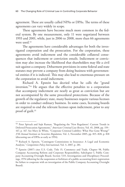agreement. These are usually called NPAs or DPAs. The terms of these agreements can vary widely in scope.

These agreements have become much more common in the federal system. By one measurement, only 11 were negotiated between 1993 and 2001, while, just in 2006 to 2008, more than 66 agreements were used.<sup>53</sup>

The agreements have considerable advantages for both the investigated corporation and the prosecution. For the corporation, these agreements avoid indictment and the considerable collateral consequences that indictment or conviction entails. Indictment or conviction may also increase the likelihood that shareholders may file a civil suit against a company. Debarment provisions in some federal and state statutes may prevent a company from doing business with governmental entities if it is indicted. This may also lead to enormous pressure on the corporation to avoid indictment.

Richard A. Epstein has decried what he calls the "grand inversion."54 He argues that the effective penalties to a corporation that accompany indictment are nearly as great as conviction but are not accompanied by the same procedural protections. Because of the growth of the regulatory state, many businesses require various licenses in order to conduct ordinary business. In some cases, licensing boards are required to end the relevant licenses upon indictment, prior to any proof of guilt.<sup>55</sup>

<sup>53</sup> Peter Spivack and Sujit Raman, "Regulating the 'New Regulators': Current Trends in Deferred Prosecution Agreements," *American Criminal Law Review*, Vol. 45, 2008, pp. 159– 167, p. 167. See Mary Jo White, "Corporate Criminal Liability: What Has Gone Wrong?" *37th Annual Institute on Securities Regulation*, Vol. 2, November 2005, pp. 815–828, p. 818 (discussing use of DPAs as early as 1994).

<sup>&</sup>lt;sup>54</sup> Richard A. Epstein, "Contingent Commissions in Insurance: A Legal and Economic Analysis," *Competition Policy International*, Vol. 3, 2007, p. 281.

<sup>&</sup>lt;sup>55</sup> Epstein (2007) cites U.S. Code, Title 15, Commerce and Trade, Chapter 98, Public Company Accounting Reform and Corporate Responsibility, Subchapter I, Public Company Accounting Oversight Board, Section 7215, Investigations and Disciplinary Proceedings, 1976 (allowing for the suspension or forfeiture of a public accounting firm's registration for failure to cooperate with an investigation of the Public Company Accounting Oversight Board).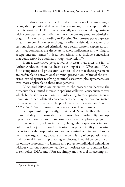In addition to whatever formal elimination of licenses might occur, the reputational damage that a company suffers upon indictment is considerable. Firms may rationally wish to avoid doing business with a company under indictment, well before any proof or admission of guilt. As a result, according to Epstein, "Indictment poses a greater threat than conviction, even though it offers a defendant weaker protections than a convicted criminal." As a result, Epstein expressed concern that companies are desperate to avoid indictment and willing to accept onerous terms; "indeed, sometimes they include concessions that could *never* be obtained through conviction."56

From a descriptive perspective, it is clear that, after the fall of Arthur Andersen, there has been a striking rise in DPAs and NPAs. Both companies and prosecutors seem to believe that these agreements are preferable to conventional criminal prosecution. Many of the criticisms leveled against resolving criminal cases with plea agreements are even more applicable to these arrangements.

DPAs and NPAs are attractive to the prosecution because the prosecutor has limited interest in sparking collateral consequences over which he or she has no control. Unleashing hard-to-predict reputational and other collateral consequences that may or may not match the prosecutor's estimates can be problematic, with the *Arthur Andersen LLP v. United States* prosecution being an excellent example.

Perhaps most importantly, DPAs and NPAs further the prosecutor's ability to reform the organization from within. By employing outside monitors and mandating extensive compliance programs, the prosecutor can, at least in theory, change the corporation's internal culture. A key justification for vicarious corporate liability is creating incentives for the corporation to root out criminal activity itself. Proponents have argued that, because of the complexity of corporations and their rational interest in protecting employees, it would be too difficult for outside prosecutors to identify and prosecute individual defendants without vicarious corporate liability to motivate the corporation itself to self-police. DPAs and NPAs are simply another tool for accomplish-

<sup>56</sup> Epstein, 2007, p. 41.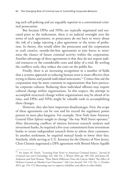ing such self-policing and are arguably superior to a conventional criminal prosecution.

But because DPAs and NPAs are typically negotiated and executed prior to the indictment, there is no judicial oversight over the terms of such agreements, so prosecutors do not have to worry about the risk of a judge rejecting a plea agreement or the terms of probation. In theory, this would allow the prosecutor and the corporation to craft creative, outside-the-box agreements to join forces to minimize the chance of future criminal activity within the corporation. Another advantage of these agreements is that they do not require judicial resources or the considerable costs and delay of a trial. By settling the conflicts early, they reduce the costs on the public fisc.

Finally, there is an increasing recognition in a number of fields that a systems approach to reducing human error is more effective than trying to blame and punish individual miscreants.57 Crimes that aid the corporation may be more common in organizations that have particular corporate cultures. Reducing these individual offenses may require cultural change within organizations. In this respect, the attempt to accomplish structural change within organizations may be ahead of its time, and DPAs and NPAs might be valuable tools in accomplishing these changes.

However, they also have important disadvantages. First, the scope of these agreements can be vast and far exceed the regulatory power present in most plea bargains. For example, New York State Attorney General Eliot Spitzer sought to change "the way Wall Street operates." After discovering conflicts of interest between research analysts and investment banks, he required a five-year commitment from investment banks to retain independent research firms to advise their customers. In another settlement, he required mutual funds to lower their fees. Similarly, while serving as U.S. Attorney for the District of New Jersey, Chris Christie negotiated a DPA agreement with Bristol-Myers Squibb

<sup>57</sup> See James M. Doyle, "Learning from Error in American Criminal Justice," *Journal of Criminal Law and Criminology*, Vol. 100, No. 1, Winter 2010, pp. 109–148, and James M. Anderson and Paul Heaton, "How Much Difference Does the Lawyer Make? The Effect of Defense Counsel on Murder Case Outcomes," *Yale Law Journal*, Vol. 122, No. 1, October 2012, pp. 154–172 (discussing ways to improve reliability and efforts in other fields).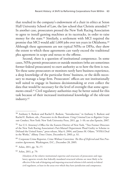that resulted in the company's endowment of a chair in ethics at Seton Hall University School of Law, the law school that Christie attended.<sup>58</sup> In another case, prosecutors pressed the New York Racing Association to agree to install gaming machines at its racetracks, in order to raise money for the state.59 Similarly, a settlement with MCI required the promise that MCI would add 1,600 jobs over ten years in Oklahoma.<sup>60</sup> Although these agreements are not typical NPAs or DPAs, they show the extent to which these agreements can vastly exceed the traditional plea agreement in scope and nexus to the offense.

Second, there is a question of institutional competence. In some cases, NPAs permit prosecutors or outside monitors (who are sometimes former federal prosecutors) to exert authority as to how the firm is run. Yet these same prosecutors or monitors rarely have business experience, a deep knowledge of the particular firms' business, or the skills necessary to manage a large firm. Prosecutors' offices are not institutionally well suited to engage in business decisionmaking or even collect the data that would be necessary for the level of oversight that some agreements entail.61 Civil regulatory authorities may be better suited for this task because of their increased institutional knowledge of the relevant industry.62

<sup>62</sup> Arlen, 2011, p. 79:

<sup>58</sup> Anthony S. Barkow and Rachel E. Barkow, "Introduction," in Anthony S. Barkow and Rachel E. Barkow, eds., *Prosecutors in the Boardroom: Using Criminal Law to Regulate Corporate Conduct*, New York: New York University Press, 2011, pp. 1–10; see also Epstein, 2007.

<sup>59</sup> See U.S. Attorney's Office for the Eastern District of New York, "Two Former Directors of the New York Racing Association's Pari-Mutuel Department Plead Guilty to Scheme to Defraud the United States," press release, May 6, 2004, and James M. Odato, "NYRA Deal in the Works," *Albany Times Union*, December 6, 2003, p. A1.

<sup>60</sup> Corporate Crime Reporter, *Crime Without Conviction: The Rise of Deferred and Non Prosecution Agreements*, Washington, D.C., December 28, 2005.

 $61$  Arlen, 2011, pp. 76–77.

<sup>[</sup>A]nalysis of the relative institutional expertise and structures of prosecutors and regulatory agencies reveals that federally mandated structural reforms are most likely to be effective if the task of designing and imposing structural reforms is left entirely to federal civil regulators, at least in the areas over which they have jurisdiction and competence.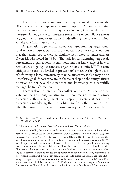There is also rarely any attempt to systematically measure the effectiveness of the compliance measures imposed. Although changing corporate compliance culture may be a wise goal, it is also difficult to measure. Although one can measure some kinds of compliance efforts (e.g., number of employees trained), identifying the rate of criminal activity at a firm is very difficult.

A generation ago, critics noted that undertaking large structural reform of bureaucratic institutions was not an easy task, nor one that the federal courts were particularly well suited to undertake. As Owen M. Fiss noted in 1984, "The task [of restructuring large-scale bureaucratic organizations] is enormous and our knowledge of how to restructure on-going bureaucratic organizations is limited."63 The same critique can surely be leveled at prosecutors' offices. Although the idea of reforming a large bureaucracy may be attractive, it also may be an unrealistic goal if those who are in charge of shaping the entity's future direction do not have the experience and knowledge to successfully manage the transformation.

There is also the potential for conflicts of interest.<sup>64</sup> Because oversight contracts are fairly lucrative and the contracts often go to former prosecutors, these arrangements can appear unseemly at best, with prosecutors mandating that firms hire law firms that may, in turn, offer the prosecutors lucrative future employment.<sup>65</sup> For example, in

<sup>63</sup> Owen M. Fiss, "Against Settlement," *Yale Law Journal*, Vol. 93, No. 6, May 1984, pp. 1073–1090, p. 1083.

<sup>64</sup> "The Kindness of Cronies," *New York Times*, editorial, May 25, 2008.

<sup>65</sup> Lisa Kern Griffin, "Inside-Out Enforcement," in Anthony S. Barkow and Rachel E. Barkow, eds., *Prosecutors in the Boardroom: Using Criminal Law to Regulate Corporate Conduct*, New York: New York University Press, 2011, pp. 110–131. Griffin suggests that useful lessons might be learned from the U.S. Environmental Protection Agency's (EPA's) use of Supplemental Environmental Projects. These are projects proposed by an industry that are environmentally beneficial and, at EPA's discretion, can lead to reduced penalties. EPA permits the organization to contract with a third party but does not endorse or identify such parties in order to reduce the appearance of conflict of interest, explaining, "a close working relationship with such organizations could create the appearance that EPA is using the organization[s] as a means to indirectly manage or direct SEP funds" (John Peter Suarez, assistant administrator of the U.S. Environmental Protection Agency, "Guidance Concerning the Use of Third Parties in the Performance of Supplemental Environmental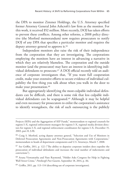the DPA to monitor Zimmer Holdings, the U.S. Attorney specified former Attorney General John Ashcroft's law firm as the monitor. For this work, it received \$52 million. More recently, DOJ has taken efforts to prevent these conflicts. Among other reforms, a 2008 policy directive (the Morford memorandum) now requires prosecutors to notify DOJ of any DPA that specifies a particular monitor and requires the deputy attorney general to approve it.<sup>66</sup>

Independent monitors also raise the risk of their independence from the corporation that they are investigating. The corporations employing the monitors have an interest in advancing a narrative in which they are relatively blameless. The corporation and the outside monitor (and the prosecutor) may have an interest in identifying individual defendants to prosecute.<sup>67</sup> A DOJ official recently told an audience of corporate investigators that, "If you want full cooperation credit, make your extensive efforts to secure evidence of individual culpability the first thing you talk about when you walk in the door to make your presentation.<sup>68</sup>

But appropriately identifying the most-culpable individual defendants can be difficult, and there is some risk that less culpable individual defendants can be scapegoated.<sup>69</sup> Although it may be helpful and even necessary for prosecutors to enlist the corporation's assistance to identify wrongdoers, the risk of such outsourcing is the publicly

Projects (SEPs) and the Aggregation of SEP Funds," memorandum to regional counsels for regions I–X, regional enforcement managers for regions I–X, regional media division directors for regions I–X, and regional enforcement coordinators for regions I–X, December 15, 2003, part II, § B).

<sup>&</sup>lt;sup>66</sup> Craig S. Morford, acting deputy attorney general, "Selection and Use of Monitors in Deferred Prosecution Agreements and Non-Prosecution Agreements with Corporations," memorandum to heads of department components and U.S. Attorneys, March 7, 2008.

<sup>67</sup> See Griffin, 2011, p. 122 ("The ability to deputize corporate insiders does expedite the prosecution of individual defendants and increases the total number of indictments and convictions").

<sup>68</sup> Aruna Viswantatha and Nate Raymond, "Holder Asks Congress for Help in Fighting Wall Street Crime," *Pittsburgh Post-Gazette*, September 18, 2014, p. A6.

<sup>69</sup> Griffin, 2011, pp. 113–114 (describing use of corporate investigators).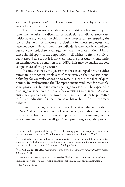accountable prosecutors' loss of control over the process by which such wrongdoers are identified.

These agreements have also attracted criticism because they can sometimes require the dismissal of particular unindicted employees. Critics have argued that, in this instance, prosecutors are usurping the role of the board of directors, particularly for those employees who have not been indicted.<sup>70</sup> For those individuals who have been indicted but not convicted, there is an argument that the presumption of innocence should apply. If the corporation itself wishes to fire the individual, it should do so, but it is not clear that the prosecutor should insist on termination as a condition of an NPA. This may be outside the core competencies of the prosecutor.

In some instances, the government has encouraged firms to either terminate or sanction employees if they exercise their constitutional rights by, for example, choosing to remain silent in the face of questioning. In implementing the Thompson memorandum,<sup>71</sup> for example, some prosecutors have indicated that organizations will be expected to discharge or sanction individuals for exercising these rights.72 As some critics have pointed out, the government itself would not be permitted to fire an individual for the exercise of his or her Fifth Amendment rights.73

Finally, these agreements can raise First Amendment questions. In New York's prosecution of brokerage houses, a condition of the settlement was that the firms would support legislation making contingent commission contracts illegal.74 As Epstein suggests, "the problem

 $70$  For example, Epstein, 2007, pp. 53–54 (discussing practice of requiring dismissal of employees as condition for NPA and how it can encourage board to fire a CEO).

 $71$  In particular, the clause indicating that cooperation may not be found if the organization is supporting "culpable employees and agents . . . through retaining the employees without sanction for their misconduct" (Thompson, 2003, pp. 7–8).

<sup>72</sup> R. William Ide III, *ABA Presidential Task Force on the Attorney–Client Privilege*, August 2006, pp. 15–16.

<sup>73</sup> *Gardner v. Broderick*, 392 U.S. 273 (1968) (finding that a state may not discharge its employee solely for refusing to waive constitutional right against self-incrimination).

<sup>74</sup> See Epstein, 2007.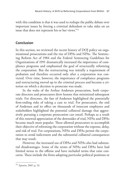with this condition is that it was used to reshape the public debate over important issues by forcing a criminal defendant to take sides on an issue that does not represent his or her views."75

# **Conclusion**

In this section, we reviewed the recent history of DOJ policy on organizational prosecutions and the rise of DPAs and NPAs. The Sentencing Reform Act of 1984 and the Federal Sentencing Guidelines for Organizations of 1991 dramatically increased the importance of compliance programs and emphasized the goal of structurally reforming the corporation. But the restructuring was initially a requirement of probation and therefore occurred only after a corporation was convicted. Over time, however, the importance of compliance programs and restructuring moved up in the criminal process and became a criterion on which a decision to prosecute was made.

In the wake of the Arthur Andersen prosecution, both corporate directors and prosecutors drew lessons that minimized subsequent trials. For directors, the fate of Andersen highlighted the potentially firm-ending risks of taking a case to trial. For prosecutors, the end of Andersen and its effect on thousands of innocent employees and stakeholders highlighted the potential collateral damage that aggressively pursuing a corporate prosecution can entail. Perhaps as a result of this renewed appreciation of the downsides of trial, NPAs and DPAs became much more popular. These allowed prosecutors to accomplish their objective of reforming the corporation without the expense, delay, and risk of trial. For corporations, NPAs and DPAs permit the corporation to avoid indictment and the substantial collateral consequences that may result.

However, the increased use of DPAs and NPAs also had substantial disadvantages. Some of the terms of NPAs and DPAs have had limited nexus to the offense and have included terms that raise concerns. These include the firms adopting particular political positions or

<sup>75</sup> Epstein, 2007, p. 53.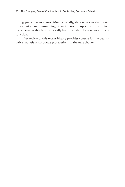hiring particular monitors. More generally, they represent the partial privatization and outsourcing of an important aspect of the criminal justice system that has historically been considered a core government function.

Our review of this recent history provides context for the quantitative analysis of corporate prosecutions in the next chapter.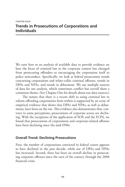# **Trends in Prosecutions of Corporations and Individuals**

We turn here to an analysis of available data to provide evidence on how the focus of criminal law in the corporate context has changed from prosecuting offenders to encouraging the corporation itself to police misconduct. Specifically, we look at federal prosecution trends concerning corporations and white-collar criminal offenses, trends in DPAs and NPAs, and trends in debarment. We use multiple sources of data for our analysis, which sometimes conflict but overall show a consistent theme. (See Chapter One for details about our data sources.)

The notion that there is a recent shift to using criminal law to reform offending corporations from within is supported by an array of empirical evidence that shows that DPAs and NPAs, as well as debarments, have been on the rise. This evidence also demonstrates that, contrary to some perceptions, prosecutions of corporate actors are declining. With the exceptions of the application of SOX and the FCPA, we found that prosecutions of corporations and corporate-related offenses have been declining since the mid-1990s.

#### **Overall Trend: Declining Prosecutions**

First, the number of corporations convicted in federal courts appears to have declined in the past decade, while use of DPAs and NPAs has increased. Second, there has been an overall decline in prosecuting corporate offenses since the turn of the century through the 2008 financial crisis.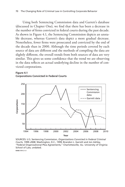Using both Sentencing Commission data and Garrett's database (discussed in Chapter One), we find that there has been a decrease in the number of firms convicted in federal courts during the past decade. As shown in Figure 4.1, the Sentencing Commission depicts an unstable decrease, whereas Garrett's data depict a more gradual decrease. Nonetheless, fewer firms were prosecuted and convicted by the end of the decade than in 2000. Although the time periods covered by each source of data are different and the methods of compiling the data are slightly different, the overall trends from both sources of data are very similar. This gives us some confidence that the trend we are observing in the data reflects an actual underlying decline in the number of convicted corporations.





SOURCES: U.S. Sentencing Commission, *Organizations Convicted in Federal Criminal Courts, 1999–2008*, Washington, D.C., 1999; Brandon L. Garrett and Jon Ashley, "Federal Organizational Plea Agreements," Charlottesville, Va.: University of Virginia School of Law, undated. **RAND** *RR412-4.1*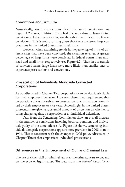# **Convictions and Firm Size**

Numerically, small corporations faced the most convictions. As Figure 4.2 shows, midsized firms had the second-most firms facing convictions. Large corporations, on the other hand, faced the fewest convictions. This is not surprising given that there are fewer large corporations in the United States than small firms.

However, when examining trends in the *percentage* of firms of different sizes that have been convicted, the situation reverses. A greater percentage of large firms were convicted in federal courts than midsized and small firms, respectively (see Figure 4.2). Thus, in our sample of convicted firms, large firms were more likely than smaller ones to experience prosecutions and convictions.

## **Prosecution of Individuals Alongside Convicted Corporations**

As was discussed in Chapter Two, corporations can be vicariously liable for their employees' behavior. However, there is no requirement that corporations always be subject to prosecution for criminal acts committed by their employees or vice versa. Accordingly, in the United States, prosecutors are given a substantial amount of discretion on whether to bring charges against a corporation or an individual defendant.

Data from the Sentencing Commission show an overall increase in the number of convictions involving both corporations and individuals guilty of the same offense. As Figure 4.3 shows, sentencing individuals alongside corporations appears more prevalent in 2008 than in 1994. This is consistent with the changes in DOJ policy (discussed in Chapter Three) that emphasized individual prosecutions.

### **Differences in the Enforcement of Civil and Criminal Law**

The use of either civil or criminal law over the other appears to depend on the type of legal matter. The data from the *Federal Court Cases:*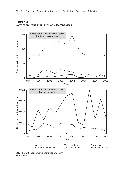



SOURCE: U.S. Sentencing Commission, 1999. **RAND RR412-4.2**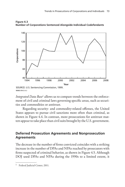

**Figure 4.3 Number of Corporations Sentenced Alongside Individual Codefendants**

*Integrated Data Base*1 allows us to compare trends between the enforcement of civil and criminal laws governing specific areas, such as securities and commodities or antitrust.

Regarding security- and commodity-related offenses, the United States appears to pursue civil sanctions more often than criminal, as shown in Figure 4.4. In contrast, more prosecutions for antitrust matters appear to take place than civil suits brought by the U.S. government.

## **Deferred Prosecution Agreements and Nonprosecution Agreements**

The decrease in the number of firms convicted coincides with a striking increase in the number of DPAs and NPAs reached by prosecutors with firms suspected of criminal behavior, as shown in Figure 4.5. Although DOJ used DPAs and NPAs during the 1990s to a limited extent, it

SOURCE: U.S. Sentencing Commission, 1999.

<sup>&</sup>lt;sup>1</sup> Federal Judicial Center, 2011.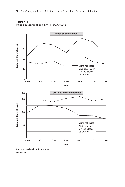



SOURCE: Federal Judicial Center, 2011. **RAND RR412-4.4**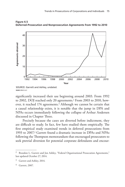

**Figure 4.5 Deferred-Prosecution and Nonprosecution Agreements from 1992 to 2010**

significantly increased their use beginning around 2003. From 1992 to 2002, DOJ reached only 20 agreements.2 From 2003 to 2010, however, it reached 174 agreements.<sup>3</sup> Although we cannot be certain that a causal relationship exists, it is notable that the jump in DPA and NPAs occurs immediately following the collapse of Arthur Andersen discussed in Chapter Three.

Precisely because the cases are diverted before indictment, they are difficult to study. In fact, few have studied them empirically. The first empirical study examined trends in deferred prosecutions from 1993 to 2007.4 Garrett found a dramatic increase in DPAs and NPAs following the Thompson memorandum that encouraged prosecutors to seek pretrial diversion for potential corporate defendants and encour-

SOURCE: Garrett and Ashley, undated. **RAND** *RR412-4.5*

<sup>&</sup>lt;sup>2</sup> Brandon L. Garrett and Jon Ashley, "Federal Organizational Prosecution Agreements," last updated October 27, 2014.

 $3$  Garrett and Ashley, 2014.

Garrett, 2007.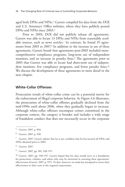aged both DPAs and NPAs.<sup>5</sup> Garrett compiled his data from the DOJ and U.S. Attorneys' Office websites, where they have publicly posted DPAs and NPAs since 2003.<sup>6</sup>

Prior to 2003, DOJ did not publicly release all agreements. Garrett was able to locate 13 DPAs and NPAs from reasonably available sources, such as news articles.7 In contrast, he found 35 agreements from 2003 to 2007.8 In addition to the increase in use of these agreements, Garrett found that agreements post-2003 included morecomprehensive compliance programs, long-term use of independent monitors, and an increase in penalty fines.<sup>9</sup> The agreements prior to 2003 that Garrett was able to locate had short-term use of independent monitors, few compliance programs, and fewer penalty fines.<sup>10</sup> We discuss the development of these agreements in more detail in the next chapter.

#### **White-Collar Offenses**

Prosecution trends of white-collar crime can be a potential metric for the enforcement of illegal corporate behavior. As Figure 4.6 illustrates, the prosecution of white-collar offenses gradually declined from the mid-1990s until about 2006, when they gradually began to increase. Although white-collar offenses encompass crimes committed in the corporate context, the category is broader and includes a wide range of fraudulent conduct that does not necessarily occur in the corporate

<sup>5</sup> Garrett, 2007, p. 894.

<sup>6</sup> Garrett, 2007, p. 938.

 $7$  Garrett, 2007. Garrett admits that he is not confident that he has located all DPAs and NPAs obtained prior to 2003.

<sup>8</sup> Garrett, 2007.

<sup>&</sup>lt;sup>9</sup> Garrett, 2007, pp. 901, 938–957.

<sup>&</sup>lt;sup>10</sup> Garrett, 2007, pp. 938–957. Garrett hoped that his data would serve as a foundation for prosecutors, scholars, and others who may be interested in assessing these agreements' effectiveness (Garrett, 2007, p. 937). To date, however, no study has attempted to assess their effectiveness or their costs to the targeted corporations.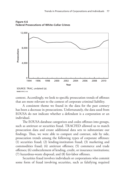

**Figure 4.6 Federal Prosecutions of White-Collar Crimes**

context. Accordingly, we look to specific prosecution trends of offenses that are more relevant to the context of corporate criminal liability.

A consistent theme we found in the data for the past century has been a decrease in prosecutions. Unfortunately, the data used from EOUSA do not indicate whether a defendant is a corporation or an individual.

The EOUSA database categorizes and codes offenses into groups, such as antitrust or securities fraud. TRACFED allowed us to match prosecution data and create additional data sets to substantiate our findings. Thus, we were able to compare and contrast, side by side, prosecution trends among the following types of corporate offenses: (1) securities fraud; (2) lending-institution fraud; (3) marketing and commodities fraud; (4) antitrust offenses; (5) commerce and trade offenses; (6) embezzlement of lending, credit, or insurance institutions; (7) hazardous-waste disposal; and (8) fair-labor offenses.

Securities fraud involves individuals or corporations who commit some form of fraud involving securities, such as falsifying required

SOURCE: TRAC, undated (a).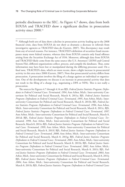periodic disclosures to the SEC. As Figure 4.7 shows, data from both EOUSA and TRACFED show a significant decline in prosecution activity since 2000.11

The sources for Figures 4.7 through 4.14 are BJS, *Federal Justice Statistics Program: Defendants in Federal Criminal Cases: Terminated, 1994*, Ann Arbor, Mich.: Inter-university Consortium for Political and Social Research, March 8, 2011a; BJS, *Federal Justice Statistics Program: Defendants in Federal Criminal Cases: Terminated, 1995*, Ann Arbor, Mich.: Interuniversity Consortium for Political and Social Research, March 8, 2011b; BJS, *Federal Justice Statistics Program: Defendants in Federal Criminal Cases: Terminated, 1996*, Ann Arbor, Mich.: Inter-university Consortium for Political and Social Research, March 8, 2011c; BJS, *Federal Justice Statistics Program: Defendants in Federal Criminal Cases: Terminated, 1997*, Ann Arbor, Mich.: Inter-university Consortium for Political and Social Research, March 8, 2011d; BJS, *Federal Justice Statistics Program: Defendants in Federal Criminal Cases: Terminated, 1998*, Ann Arbor, Mich.: Inter-university Consortium for Political and Social Research, March 8, 2011e; BJS, *Federal Justice Statistics Program: Defendants in Federal Criminal Cases: Terminated, 1999*, Ann Arbor, Mich.: Inter-university Consortium for Political and Social Research, March 8, 2011f; BJS, *Federal Justice Statistics Program: Defendants in Federal Criminal Cases: Terminated, 2000*, Ann Arbor, Mich.: Inter-university Consortium for Political and Social Research, March 8, 2011g; BJS, *Federal Justice Statistics Program: Defendants in Federal Criminal Cases: Terminated, 2001*, Ann Arbor, Mich.: Inter-university Consortium for Political and Social Research, March 8, 2011h; BJS, *Federal Justice Statistics Program: Defendants in Federal Criminal Cases: Terminated, 2002*, Ann Arbor, Mich.: Inter-university Consortium for Political and Social Research, March 8, 2011i; BJS, *Federal Justice Statistics Program: Defendants in Federal Criminal Cases: Terminated, 2003*, Ann Arbor, Mich.: Inter-university Consortium for Political and Social Research, March 8, 2011j; BJS, *Federal Justice Statistics Program: Defendants in Federal Criminal Cases: Terminated, 2004*, Ann Arbor, Mich.: Inter-university Consortium for Political and Social Research, March 8, 2011k; BJS, *Federal Justice Statistics Program: Defendants in Federal Criminal Cases:* 

<sup>&</sup>lt;sup>11</sup> Although both sets of data show a decline in prosecution activity leading up to the 2008 financial crisis, data from EOUSA do not show as dramatic a decrease in referrals from investigative agencies as TRACFED data do (Garrett, 2007). This discrepancy may result from any of several reasons. For instance, TRACFED's definition of securities fraud encompasses many more federal statutes, whereas data from EOUSA contain only fraud offenses arising from the Securities Exchange Act of 1934. Moreover, although data from EOUSA and TRACFED likely come from the same source (the U.S. Attorneys' LIONS and Central System File), different organizations collect, process, and compile the databases. Thus, some information may have been lost or manipulated during the differing processes used. On a final note, TRACFED's data, which are more recent, show a slight increase in prosecutorial activity in this area since 2008 (Garrett, 2007). Note that prosecutorial activity differs from prosecution. A prosecution involves the filing of a charge against an individual or organization. One of the developments we discuss is an increase in prosecutorial activity that does not result in the filing of a charge (e.g., negotiating a DPA or NPA). This is not really a prosecution.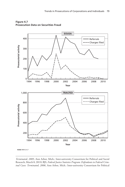

**Figure 4.7 Prosecution Data on Securities Fraud**

*Terminated, 2005*, Ann Arbor, Mich.: Inter-university Consortium for Political and Social Research, March 8, 2011l; BJS, *Federal Justice Statistics Program: Defendants in Federal Criminal Cases: Terminated, 2006*, Ann Arbor, Mich.: Inter-university Consortium for Political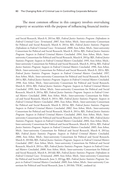The most common offense in this category involves overvaluing property or securities with the purpose of influencing financial institu-

and Social Research, March 8, 2011m; BJS, *Federal Justice Statistics Program: Defendants in Federal Criminal Cases: Terminated, 2007*, Ann Arbor, Mich.: Inter-university Consortium for Political and Social Research, March 8, 2011n; BJS, *Federal Justice Statistics Program: Defendants in Federal Criminal Cases: Terminated, 2008*, Ann Arbor, Mich.: Inter-university Consortium for Political and Social Research, March 8, 2011o; BJS, *Federal Justice Statistics Program: Suspects in Federal Criminal Matters Concluded, 1994*, Ann Arbor, Mich.: Interuniversity Consortium for Political and Social Research, March 8, 2011p; BJS, *Federal Justice Statistics Program: Suspects in Federal Criminal Matters Concluded, 1995*, Ann Arbor, Mich.: Inter-university Consortium for Political and Social Research, March 8, 2011q; BJS, *Federal Justice Statistics Program: Suspects in Federal Criminal Matters Concluded, 1996*, Ann Arbor, Mich.: Inter-university Consortium for Political and Social Research, March 8, 2011r; BJS, *Federal Justice Statistics Program: Suspects in Federal Criminal Matters Concluded, 1997*, Ann Arbor, Mich.: Inter-university Consortium for Political and Social Research, March 8, 2011s; BJS, *Federal Justice Statistics Program: Suspects in Federal Criminal Matters Concluded, 1998*, Ann Arbor, Mich.: Inter-university Consortium for Political and Social Research, March 8, 2011t; BJS, *Federal Justice Statistics Program: Suspects in Federal Criminal Matters Concluded, 1999*, Ann Arbor, Mich.: Inter-university Consortium for Political and Social Research, March 8, 2011u; BJS, *Federal Justice Statistics Program: Suspects in Federal Criminal Matters Concluded, 2000*, Ann Arbor, Mich.: Inter-university Consortium for Political and Social Research, March 8, 2011v; BJS, *Federal Justice Statistics Program: Suspects in Federal Criminal Matters Concluded, 2001*, Ann Arbor, Mich.: Inter-university Consortium for Political and Social Research, March 8, 2011w; BJS, *Federal Justice Statistics Program: Suspects in Federal Criminal Matters Concluded, 2002*, Ann Arbor, Mich.: Inter-university Consortium for Political and Social Research, March 8, 2011x; BJS, *Federal Justice Statistics Program: Suspects in Federal Criminal Matters Concluded, 2003*, Ann Arbor, Mich.: Interuniversity Consortium for Political and Social Research, March 8, 2011y; BJS, *Federal Justice Statistics Program: Suspects in Federal Criminal Matters Concluded, 2004*, Ann Arbor, Mich.: Inter-university Consortium for Political and Social Research, March 8, 2011z; BJS, *Federal Justice Statistics Program: Suspects in Federal Criminal Matters Concluded, 2005*, Ann Arbor, Mich.: Inter-university Consortium for Political and Social Research, March 8, 2011aa; BJS, *Federal Justice Statistics Program: Suspects in Federal Criminal Matters Concluded, 2006*, Ann Arbor, Mich.: Inter-university Consortium for Political and Social Research, March 8, 2011bb; BJS, *Federal Justice Statistics Program: Suspects in Federal Criminal Matters Concluded, 2007*, Ann Arbor, Mich.: Inter-university Consortium for Political and Social Research, March 8, 2011cc; BJS, *Federal Justice Statistics Program: Suspects in Federal Criminal Matters Concluded, 2008*, Ann Arbor, Mich.: Inter-university Consortium for Political and Social Research, March 8, 2011dd; BJS, *Federal Justice Statistics Program: Defendants in Federal Criminal Cases: Terminated, 2009*, Ann Arbor, Mich.: Inter-university Consortium for Political and Social Research, June 3, 2011gg; BJS, *Federal Justice Statistics Program: Suspects in Federal Criminal Matters Concluded, 2009*, Ann Arbor, Mich.: Inter-university Consortium for Political and Social Research, June 3, 2011hh; TRAC, undated (a).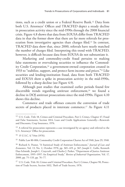tions, such as a credit union or a Federal Reserve Bank.12 Data from both U.S. Attorneys' Offices and TRACFED depict a steady decline in prosecution activity since the mid-1990s through the 2008 financial crisis. Figure 4.8 shows that data from EOUSA differ from TRACFED data in that the former show that there are far more referrals for prosecution from investigative agencies than charges filed.13 In contrast, TRACFED data show that, since 2000, referrals have nearly matched the number of charges filed. Interpreting this trend with TRACFED, however, is difficult because data from EOUSA do not substantiate it.

Marketing and commodity-credit fraud pertains to making false statements or overvaluing securities to influence the Commodity Credit Corporation,<sup>14</sup> a government-owned corporation created in 1933 to "stabilize, support, and protect farm income and prices."15 Like securities and lending-institution fraud, data from both TRACFED and EOUSA show a spike in prosecution activity in the mid-1990s, followed by a sharp decline (see Figure 4.9).

Although past studies that examined earlier periods found few discernible trends regarding antitrust enforcement,<sup>16</sup> we found a decline in DOJ antitrust prosecutions since the mid-1990s. Figure 4.10 shows this decline.

Commerce and trade offenses concern the conversion of trade secrets of products placed in interstate commerce.<sup>17</sup> As Figure 4.11

<sup>&</sup>lt;sup>12</sup> U.S. Code, Title 18, Crimes and Criminal Procedure, Part I, Crimes, Chapter 47, Fraud and False Statements, Section 1014, Loan and Credit Applications Generally—Renewals and Discounts, Crop Insurance, 1976.

<sup>&</sup>lt;sup>13</sup> A referral for prosecution represents a case investigated by an agency and referred to the U.S. Attorneys' Office for prosecution.

<sup>14</sup> 15 U.S.C. § 714m (1976).

<sup>15</sup> Public Law 80-806, Commodity Credit Corporation Charter Act of 1948, June 29, 1948.

<sup>16</sup> Richard A. Posner, "A Statistical Study of Antitrust Enforcement," *Journal of Law and Economics*, Vol. 13, No. 2, October 1970, pp. 365–419, p. 367; Joseph C. Gallo, Kenneth Dau-Schmidt, Joseph L. Craycraft, and Charles J. Parker, "Department of Justice Antitrust Enforcement, 1995–1997: An Empirical Study," *Review of Industrial Organization*, Vol. 17, 2000, pp. 75–133, pp. 76–77.

<sup>&</sup>lt;sup>17</sup> U.S. Code, Title 18, Crimes and Criminal Procedure, Part I, Crimes, Chapter 90, Protection of Trade Secrets, Section 1832, Theft of Trade Secrets, 1976.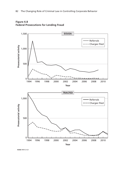

**Figure 4.8 Federal Prosecutions for Lending Fraud**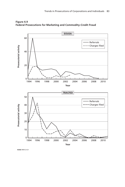

**Figure 4.9 Federal Prosecutions for Marketing and Commodity-Credit Fraud**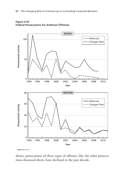



shows, prosecutions of these types of offenses, like the other prosecutions discussed above, have declined in the past decade.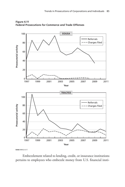

**Figure 4.11 Federal Prosecutions for Commerce and Trade Offenses**

Embezzlement related to lending, credit, or insurance institutions pertains to employees who embezzle money from U.S. financial insti-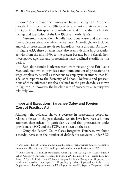tutions.18 Referrals and the number of charges filed by U.S. Attorneys have declined since a mid-1990s spike in prosecution activity, as shown in Figure 4.12. This spike was probably related to the aftermath of the savings and loan crises of the late 1980s and early 1990s.

Numerous corporations handle hazardous waste and are therefore subject to relevant environmental laws. Accordingly, we included analysis of prosecution trends for hazardous-waste disposal. As shown in Figure 4.13, these offenses have also seen a decline in prosecution activity from the mid-1990s to the present because both referrals from investigative agencies and prosecutions have declined steadily in this period.

Fair-labor-standard offenses stem from violating the Fair Labor Standards Act, which provides a minimum amount of protections for wage employees, as well as sanctions to employers or unions that falsify labor reports to the Secretary of Labor.19 Referrals and prosecutions of these offenses have also declined in the past decade, as shown in Figure 4.14; however, the baseline rate of prosecutorial activity was relatively low.

#### **Important Exceptions: Sarbanes-Oxley and Foreign Corrupt Practices Act**

Although the evidence shows a decrease in prosecuting corporaterelated offenses in the past decade, certain laws have received more attention than others. In particular, we find that prosecutions under provisions of SOX and the FCPA have been on the rise.

Using the Federal Court Cases Integrated Database, we found a steady increase in the number of defendants convicted under SOX

<sup>&</sup>lt;sup>18</sup> U.S. Code, Title 18, Crimes and Criminal Procedure, Part I, Crimes, Chapter 31, Embezzlement and Theft, Section 657, Lending, Credit and Insurance Institutions, 1976.

<sup>&</sup>lt;sup>19</sup> Public Law 75-718, Fair Labor Standards Act of 1938, June 25, 1938; U.S. Code, Title 29, Labor, Chapter 8, Fair Labor Standards, Section 215, Prohibited Acts—Prima Facie Evidence, 1976; U.S. Code, Title 29, Labor, Chapter 11, Labor-Management Reporting and Disclosure Procedure, Subchapter III, Reporting by Labor Organizations, Officers and Employees of Labor Organizations, and Employers, Section 433, Report of Employers, 1976.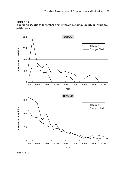

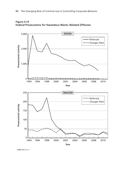

**Figure 4.13 Federal Prosecutions for Hazardous Waste–Related Offenses**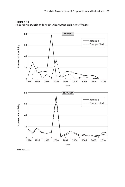

**Figure 4.14 Federal Prosecutions for Fair Labor Standards Act Offenses**

RAND RR412-4.14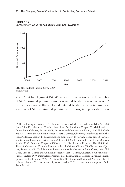



since 2004 (see Figure 4.15). We measured convictions by the number of SOX criminal provisions under which defendants were convicted.20 In the data since 2004, we found 3,476 defendants convicted under at least one of SOX's criminal provisions. In short, it appears that pros-

SOURCE: Federal Judicial Center, 2011.

<sup>&</sup>lt;sup>20</sup> The following sections of U.S. Code were associated with the Sarbanes-Oxley Act: U.S. Code, Title 18, Crimes and Criminal Procedure, Part I, Crimes, Chapter 63, Mail Fraud and Other Fraud Offenses, Section 1348, Securities and Commodities Fraud, 1976; U.S. Code, Title 18, Crimes and Criminal Procedure, Part I, Crimes, Chapter 63, Mail Fraud and Other Fraud Offenses, Section 1349, Attempt and Conspiracy, 1976; U.S. Code, Title 18, Crimes and Criminal Procedure, Part I, Crimes, Chapter 63, Mail Fraud and Other Fraud Offenses, Section 1350, Failure of Corporate Officers to Certify Financial Reports, 1976; U.S. Code, Title 18, Crimes and Criminal Procedure, Part I, Crimes, Chapter 73, Obstruction of Justice, Section 1514A, Civil Action to Protect Against Retaliation in Fraud Cases, 1976; U.S. Code, Title 18, Crimes and Criminal Procedure, Part I, Crimes, Chapter 73, Obstruction of Justice, Section 1519, Destruction, Alteration, or Falsification of Records in Federal Investigations and Bankruptcy, 1976; U.S. Code, Title 18, Crimes and Criminal Procedure, Part I, Crimes, Chapter 73, Obstruction of Justice, Section 1520, Destruction of Corporate Audit Records, 1976.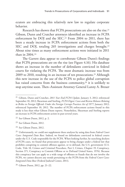ecutors are embracing this relatively new law to regulate corporate behavior.

Research has shown that FCPA prosecutions are also on the rise.<sup>21</sup> Gibson, Dunn and Crutcher attorneys identified an increase in FCPA enforcement by DOJ and the SEC.<sup>22</sup> From 2004 to 2011, there has been a steady increase in FCPA enforcement actions from both the SEC and DOJ, totaling 265 investigations and charges brought.<sup>23</sup> About nine times as many enforcement actions were initiated in 2011 than in 2004.24

The Garrett data appear to corroborate Gibson Dunn's findings that FCPA prosecutions are on the rise (see Figure 4.16). His database shows an increase in the number of defendants convicted in federal courts for violating the FCPA. The most dramatic increase was from 2009 to 2010, resulting in an increase of ten prosecutions.<sup>25</sup> Although this new increase in the use of the FCPA to police global corruption has raised concerns from the business community,<sup>26</sup> it is unlikely to stop anytime soon. Then–Assistant Attorney General Lanny A. Breuer

<sup>21</sup> Gibson, Dunn and Crutcher, *2011 Year End FCPA Update*, January 3, 2012; referenced September 10, 2012; Shearman and Sterling, *FCPA Digest: Cases and Review Releases Relating to Bribes to Foreign Officials Under the Foreign Corrupt Practices Act of 1977*, January 2012; referenced September 10, 2012. The number of FCPA enforcement actions found in this study is less than what Gibson Dunn reports. Nonetheless, Shearman and Sterling reports an increase in FCPA enforcement action in past several years.

<sup>22</sup> See Gibson Dunn, 2012, p. 2.

<sup>23</sup> See Gibson Dunn, 2012.

<sup>24</sup> See Gibson Dunn, 2012.

<sup>25</sup> Unfortunately, we could not supplement these analyses by using data from *Federal Court Cases: Integrated Data Base*. Indeed, we found no defendants convicted in federal courts under the U.S. Code responsible for the FCPA. When looking further, by searching dockets of FCPA cases, we found that prosecutors appear to bring charges under a federal law that prohibits conspiring to commit offenses against, or to defraud, the U.S. government (U.S. Code, Title 18, Crimes and Criminal Procedure, Part I, Crimes, Chapter 19, Conspiracy, Section 371, Conspiracy to Commit Offense or to Defraud United States, 1976). Because this conspiracy law can apply to a wide range of offenses or frauds that do not involve the FCPA, we cannot discern any trends pertaining to the FCPA from the *Federal Court Cases: Integrated Data Base* (Federal Judicial Center, 2011).

<sup>26</sup> Gibson Dunn, 2012, pp. 21–22.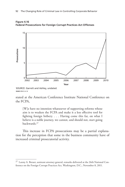



stated at the American Conference Institute National Conference on the FCPA,

[W]e have no intention whatsoever of supporting reforms whose aim is to weaken the FCPA and make it a less effective tool for fighting foreign bribery. . . . Having come this far, on what I believe is a noble journey, we cannot, and should not, start going backwards.27

This increase in FCPA prosecutions may be a partial explanation for the perception that some in the business community have of increased criminal prosecutorial activity.

SOURCE: Garrett and Ashley, undated.

 $27$  Lanny A. Breuer, assistant attorney general, remarks delivered at the 26th National Conference on the Foreign Corrupt Practices Act, Washington, D.C., November 8, 2011.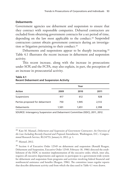## **Debarments**

Government agencies use debarment and suspension to ensure that they contract with responsible companies. Debarred contractors are excluded from obtaining government contracts for a set period of time, depending on the law most applicable to the conduct.<sup>28</sup> Suspended contractors cannot obtain government contracts during an investigation or litigation pertaining to their conduct.29

Debarments and suspensions appear to be sharply increasing.<sup>30</sup> Table 4.1 illustrates the recent increase in debarment and suspension activity.

This recent increase, along with the increase in prosecutions under SOX and the FCPA, may also explain, in part, the perception of an increase in prosecutorial activity.

| Year  |       |       |
|-------|-------|-------|
| 2009  | 2010  | 2011  |
| 417   | 612   | 928   |
| 750   | 1,945 | 2,512 |
| 1,501 | 1.651 | 2,398 |
|       |       |       |

## **Table 4.1 Recent Debarment and Suspension Activity**

SOURCE: Interagency Suspension and Debarment Committee (ISDC), 2011, 2012.

<sup>28</sup> Kate M. Manuel, *Debarment and Suspension of Government Contractors: An Overview of the Law Including Recently Enacted and Proposed Amendments*, Washington, D.C.: Congressional Research Service, RL34753, January 6, 2012, p. 1.

<sup>29</sup> Manuel, 2012.

<sup>&</sup>lt;sup>30</sup> Section 4 of Executive Order 12549 on debarment and suspension (Ronald Reagan, Debarment and Suspension, Executive Order 12549, February 18, 1986) directed the establishment of the ISDC to monitor implementation of the executive order, which, inter alia, requires all executive departments and agencies to participate in a government-wide system for debarment and suspension from programs and activities involving federal financial and nonfinancial assistance and benefits (Reagan, 1986). The committee issues regular reports that describe debarment activity and from which the data used in Table 4.1 were drawn.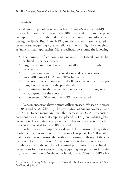# **Summary**

Overall, most types of prosecutions have *decreased* since the mid-1990s. This decline continued through the 2008 financial crisis and, at present, appears to have stabilized at a rate much lower than enforcement during the 1990s. But DPAs, NPAs, and debarments have increased in recent years, suggesting a greater reliance on what might be thought of as "noncriminal" approaches. More specifically, we found the following:

- The number of corporations convicted in federal courts has declined in the past decade.
- Large firms are more likely than smaller firms to be subject to prosecution.
- Individuals are usually prosecuted alongside corporations.
- Since 2003, use of DPAs and NPAs has increased.
- Prosecutions of corporate-related offenses, including investigations, have decreased in the past decade.
- Predominance in the use of civil law over criminal law, or vice versa, depends on the context.
- Enforcement of SOX and the FCPA have increased.

Debarment actions have dramatically increased. We see an increase in DPAs and NPAs following the prosecution of Arthur Andersen and the 2003 Holder memorandum. The increase in FCPA prosecutions corresponds with a recent emphasis placed by DOJ on curbing global corruption. These data also appear to corroborate reports on the lack of prosecutions related to the 2008 financial crisis.<sup>31</sup>

So how does the empirical evidence help us answer the question of whether there is an overcriminalization of corporate law? Ultimately, that question is not answerable without a normative theory of the correct level of criminalization. All we can offer is data on recent trends. On the one hand, the number of criminal prosecutions has declined in recent years for most types of cases, suggesting less prosecutorial activity, rather than more. On the other hand, use of DPAs and NPAs has

<sup>31</sup> See Peter J. Henning, "Dim Prospects for Financial Crisis Prosecutions," *New York Times DealBook*, May 29, 2012.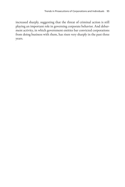increased sharply, suggesting that the threat of criminal action is still playing an important role in governing corporate behavior. And debarment activity, in which government entities bar convicted corporations from doing business with them, has risen very sharply in the past three years.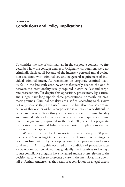To consider the role of criminal law in the corporate context, we first described how the concept emerged. Originally, corporations were not criminally liable at all because of the intensely personal moral evaluation associated with criminal law and its general requirement of individual criminal intent. As restrictions on corporate criminal liability fell in the late 19th century, critics frequently decried the odd fit between the intentionality usually required in criminal law and corporate prosecutions. Yet despite this opposition, prosecutors, legislatures, and judges have long upheld these prosecutions, primarily on pragmatic grounds. Criminal penalties are justified, according to this view, not only because they are a useful incentive but also because criminal behavior that occurs within a corporation is otherwise very difficult to detect and prevent. With this justification, corporate criminal liability and criminal liability for corporate officers without requiring criminal intent has gradually expanded in the past 150 years. This pragmatic justification for criminal liability has important implications that we discuss in this chapter.

We next turned to developments in this area in the past 30 years. The Federal Sentencing Guidelines began a shift toward reforming corporations from within by developing compliance programs and structural reform. At first, this occurred as a condition of probation after a corporation was convicted, but gradually the incentives to having a robust compliance program have increased and are often relevant to the decision as to whether to prosecute a case in the first place. The downfall of Arthur Andersen as the result of a conviction on a legal theory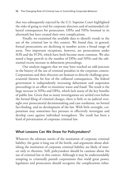that was subsequently rejected by the U.S. Supreme Court highlighted the risks of going to trial for corporate directors and of unintended collateral consequences for prosecutors. DPAs and NPAs boomed in its aftermath but have created their own complications.

Finally, we examined the available data to identify trends in the use of the criminal law in this context. We found that, in general, formal prosecutions are declining in number across a broad range of areas. Two important exceptions, however, are prosecutions under SOX and the FCPA, which have both become more common. We also noted a huge growth in the number of DPAs and NPAs and the substantial recent increase in debarment proceedings.

Our analysis suggests that we may have reached an odd juncture in the history of the use of criminal penalties in the corporate context. Corporations and their directors are hesitant to directly challenge prosecutorial theories for fear of the collateral consequences. The federal government is independently increasing debarment and suspension proceedings in an effort to minimize waste and fraud. The result is the huge increase in NPAs and DPAs, which lack many of the key benefits of public law. Given that so many investigations are settled even before the formal filing of criminal charges, there is little or no judicial oversight over prosecutorial decisionmaking and case resolution, no formal fact-finding, and no development of the law. With little oversight, corporations may sometimes face pressure to effectively investigate and develop cases against individual wrongdoers. The result has been a kind of privatization of corporate criminal law.

## **What Lessons Can We Draw for Policymakers?**

Whatever the ultimate merits of the institution of corporate criminal liability, the genie is long out of the bottle, and arguments about abolishing the institution of corporate criminal liability are likely of interest only to theorists. Still, policymakers should be cautious about the use of criminal law in this context. Although it may be understandably tempting to criminally punish corporations that wield great power, legislators and prosecutors should recognize the complications inher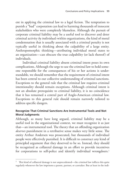ent in applying the criminal law to a legal fiction. The temptation to punish a "bad" corporation can lead to harming thousands of innocent stakeholders who were completely blameless. Although the pursuit of corporate criminal liability may be a useful tool to discover and deter criminal activity *by individuals* within organizations, the kind of moral condemnation that is usually associated with a criminal penalty is not typically useful in thinking about the culpability of a large entity. Anthropomorphic thinking—attributing individual moral states to an organization—can obscure the true culpability (or lack thereof) of individuals.

Individual criminal liability absent criminal intent poses its own complications. Although the urge to use the criminal law to hold someone responsible for the consequences of his or her actions is understandable, we should remember that the requirement of criminal intent has been central to our collective understanding of criminal sanctions. Exceptions to the general rule that the criminal law requires criminal intentionality should remain exceptions. Although criminal intent is not an absolute prerequisite to criminal liability, it is no coincidence that it has remained a central part of Anglo-American criminal law. Exceptions to this general rule should remain narrowly tailored to address specific dangers.

## **Recognize That Criminal Sanctions Are Instrumental Tools and Not Moral Judgments**

Although, as many have long argued, criminal liability may be a useful tool in the organizational context, we must recognize it as just that—an instrumental tool. The theory that an offending organization *deserves* punishment in a retributive sense makes very little sense. The entity Arthur Andersen was prosecuted, but thousands of individual people were effectively punished. It is difficult to construct any kind of principled argument that they deserved to be so. Instead, they should be recognized as collateral damage in an effort to provide incentives for corporations to self-police and identify individual wrongdoers.<sup>1</sup>

 $1$  This kind of collateral damage is not unprecedented—the criminal law inflicts this quite regularly whenever the law imprisons a parent, partner, or caretaker. But at least in the indi-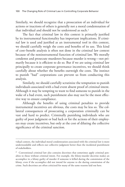Similarly, we should recognize that a prosecution of an individual for actions or inactions of others is generally not a moral condemnation of that individual and should not be understood as such.<sup>2</sup>

The fact that criminal law in this context is primarily justified by its instrumental functionality has important implications. If criminal law is used and justified as an instrumental tool in this context, we should carefully weigh the costs and benefits of its use. This kind of cost–benefit analysis is often not done in the criminal law context because of the noninstrumental function of criminal law. We morally condemn and prosecute murderers because murder is wrong—not primarily because it is efficient to do so. But if we are using criminal law principally to create corporate governance incentives, we should think carefully about whether the benefits outweigh the costs. The instinct to punish "bad" corporations can prevent us from conducting this analysis.

Similarly, we should carefully scrutinize the temptation to punish individuals associated with a bad event absent proof of criminal intent. Although it may be tempting to want to find someone to punish in the wake of a bad event, such punishment also may not be the most effective way to ensure compliance.

Although the benefits of using criminal penalties to provide instrumental incentives are obvious, the costs may be less so. The collateral consequences of prosecuting a corporation criminally can be vast and hard to predict. Criminally punishing individuals who are guilty of poor judgment or bad luck or for the actions of their employees may create incentives, but only at the cost of diluting the collective significance of the criminal sanction.

vidual context, the individual moral condemnation associated with the criminal law is more understandable and reflects our collective judgment better than the incidental punishment of stakeholders.

<sup>&</sup>lt;sup>2</sup> Conventional criminal law also contains doctrines that sometimes apply criminal penalties to those without criminal intent. For example, the felony-murder doctrine makes an accomplice in a felony guilty of murder if someone is killed during the commission of the felony, even if the accomplice did not intend for anyone to die during commission of the crime. Such doctrines are often criticized for many of the same reasons laid out here.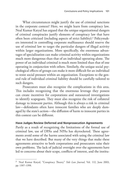What circumstances might justify the use of criminal sanctions in the corporate context? Here, we might learn from conspiracy law. Neal Kumar Katyal has argued that the unique organizational dangers of criminal conspiracies justify elements of conspiracy law that have often been criticized (including aspects of strict liability).3 Policymakers interested in controlling corporate malfeasance should reserve the use of criminal law to target the particular dangers of illegal activity within larger organizations. More specifically, the enormous advantages of specialization can make criminal activity within organizations much more dangerous than that of an individual operating alone. The power of an individual criminal is much more limited than that of one operating in conjunction with others. Similarly, the unique social psychological effects of groups can make it more difficult for an individual to resist social pressure within an organization. Exceptions to the general rule of individual criminal liability should be carefully tailored to such dangers.

Prosecutors must also recognize the complications in this area. This includes recognizing that the enormous leverage they possess can create incentives for corporations and outsourced investigations to identify scapegoats. They must also recognize the risk of collateral damage to innocent parties. Although this is always a risk in criminal law—defendants often have innocent families who are deeply damaged by the state's action—the diffusion of harm to innocent parties in this context can be different.

#### **Have Judges Review Deferred and Nonprosecution Agreements**

Partly as a result of recognizing the limitations of the formal use of criminal law, use of DPAs and NPAs has skyrocketed. These agreements avoid some of the harms associated with using the criminal law that we have described. But many of the very things that make these agreements attractive to both corporations and prosecutors raise their own problems. The lack of judicial oversight over the agreements have led to concerns about their scope, conflicts of interest, and the institu-

<sup>3</sup> Neal Kumar Katyal, "Conspiracy Theory," *Yale Law Journal*, Vol. 112, June 2003, pp. 1307–1398.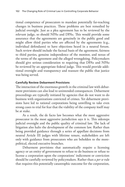tional competence of prosecutors to mandate potentially far-reaching changes in business practices. These problems are best remedied by judicial oversight. Just as a plea agreement has to be reviewed by the relevant judge, so should NPAs and DPAs. This would provide some assurance that the agreements are genuinely in the public good and might allow third parties who are affected by the agreements (e.g., individual defendants) to have objections heard in a neutral forum. Such review should include the factual basis of the agreement, fairness to third parties, genuine independence of the monitor, and nexus of the terms of the agreement and the alleged wrongdoing. Policymakers should give serious consideration to requiring that DPAs and NPAs be reviewed by an appropriate federal judge. This would provide additional oversight and transparency and reassure the public that justice was being served.

## **Carefully Review Debarment Provisions**

The interaction of the enormous growth in the criminal law with debarment provisions can also lead to unintended consequences. Debarment proceedings are typically initiated by agencies that do not want to do business with organizations convicted of crimes. Yet debarment provisions have led to rational corporations being unwilling to take even strong cases to trial for fear that the viability of the company itself may be at stake.

As a result, the de facto law becomes what the most aggressive prosecutor in the most aggressive jurisdiction says it is. This sidesteps judicial oversight and the public quality of criminal law. The lack of litigation also halts the development of the common law. Rather than being provided guidance through a series of appellate decisions from neutral Article III judges with lifetime tenure, stakeholders are left only with guidance from prosecutors who are beholden to the morepolitical, elected executive branches.

Debarment provisions that automatically require a licensing agency or an entity of government to refuse to do business or refuse to license a corporation upon the corporations' indictment or conviction should be carefully reviewed by policymakers. Rather than a *per se* rule that requires this potentially catastrophic outcome for the corporation,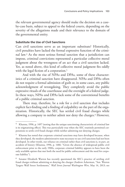the relevant governmental agency should make the decision on a caseby-case basis, subject to appeal to the federal courts, depending on the severity of the allegations made and their relevance to the domain of the governmental entity.

## **Substitute the Use of Civil Sanctions**

Can civil sanctions serve as an important substitute? Historically, civil penalties have lacked the formal expressive function of the criminal law.4 As the most serious formal sanction that a jurisdiction can impose, criminal convictions represented a particular collective moral judgment about the wrongness of an act that a civil sanction lacked. Yet, as noted above, this kind of collective moral judgment fits oddly with the legal fiction of a corporation.<sup>5</sup>

And with the rise of NPAs and DPAs, some of these characteristics of a criminal sanction have disappeared. NPAs and DPAs often do not require a formal admission of guilt or, in some cases, any public acknowledgment of wrongdoing. They completely avoid the public expressive rituals of the courthouse and the oversight of a federal judge. In these ways, NPAs and DPAs lack some of the conventional benefits of a public criminal sanction.

There may, therefore, be a role for a civil sanction that includes explicit fact-finding and a finding of culpability on the part of the organization. Historically, the SEC has settled civil fraud charges while allowing a company to neither admit nor deny the charges.<sup>6</sup> However,

 $4$  Khanna, 1996, p. 1497 (noting that the unique sanctioning characteristic of criminal law is its stigmatizing effect). This was particularly true when the SEC routinely permitted corporations to settle civil fraud charges while neither admitting nor denying charges.

 $5$  Khanna has noted that corporate criminal sanctions may have developed because, when they developed, the modern administrative state necessary to use civil sanctions had not been developed. In other words, our reliance on criminal rather than civil sanctions is, in part, an accident of history (Khanna, 1996, p. 1486: "Given the absence of widespread public civil enforcement prior to the early 1900s, corporate criminal liability appears to have been the only available option that met both the need for public enforcement and the need for corporate liability").

<sup>6</sup> Senator Elizabeth Warren has recently questioned the SEC's practice of settling civil fraud charges without admitting or denying the charges (Andrew Ackerman, "Sen. Warren Targets Wall Street Settlements," *Wall Street Journal Washington Wire*, May 14, 2013; see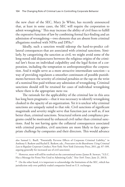the new chair of the SEC, Mary Jo White, has recently announced that, at least in some cases, the SEC will require the corporation to admit wrongdoing.7 This may increase the ability of civil fines to fulfill the expressive function of law by combining formal fact-finding and an admission of wrongdoing—two elements that are absent from criminal allegations resolved with NPAs and DPAs.8

Ideally, such a sanction would sidestep the hard-to-predict collateral consequences that are associated with criminal sanctions. Similarly, by categorizing the sanction as civil, we might avoid some of the long-noted odd disjunctures between the religious origins of the criminal law's focus on individual culpability and the legal fiction of a corporation, including the temptation to anthropomorphize the corporation. And it might serve as a more attractive intermediate sanction—a way of providing regulators a smoother continuum of possible punishments between the severity of criminal penalties or the tap on the wrist of a nominal fine paid without any admission of wrongdoing. Criminal sanctions should still be retained for cases of individual wrongdoing where there is the appropriate *mens rea*.

The rationale for the applicability of the criminal law in this area has long been pragmatic—that it was necessary to identify wrongdoing cloaked in the opacity of an organization. Yet it is unclear why criminal sanctions are uniquely suited to that role. Civil sanctions of significant magnitude and severity might serve that function just as well as, if not better than, criminal sanctions. Structural reform and compliance programs could be motivated by enhanced civil rather than criminal sanctions. And by not having quite the collateral consequences associated with criminal penalties, civil sanctions are more likely to face appropriate challenge by companies and their directors. This would advance

also Samuel L. Buell, "Potentially Perverse Effects of Corporate Criminal Liability," in Anthony S. Barkow and Rachel E. Barkow, eds., *Prosecutors in the Boardroom: Using Criminal Law to Regulate Corporate Conduct*, New York: New York University Press, 2011, pp. 87–109, arguing generally for increased use of civil sanctions).

<sup>7</sup> However, most will still be resolved on the conventional terms (James B. Stewart, "S.E.C. Has a Message for Firms Not Used to Admitting Guilt," *New York Times*, June 21, 2013).

<sup>&</sup>lt;sup>8</sup> On the other hand, it is important to acknowledge the limitations of the SEC, which has jurisdiction only over publicly traded companies listed on U.S. exchanges.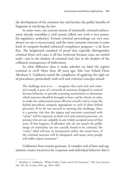the development of the common law and further the public benefits of litigation in clarifying the law.

In some ways, our current system of nominally criminal enforcement already resembles a civil system (albeit one with a very powerful regulatory authority). Formal criminal proceedings are very rare, almost no one is incarcerated, and the most common outcome is some kind of company-funded enhanced compliance program—a de facto fine. The heightened standard of proof that typically distinguishes criminal from civil cases is all but irrelevant because cases are settled early—not in the shadow of criminal trial, but in the shadow of the collateral consequences of indictment.

So what difference does it make whether we label the regime criminal or civil? More than 20 years ago, Yale Law School Dean Abraham S. Goldstein noted the complexity of applying the right set of procedures, particularly with civil and criminal concepts mixed:

The challenge now is to . . . recognize that each civil and criminal remedy is part of a network of sanctions designed to control deviant behavior, to provide screening mechanisms to determine which sanction should be brought to bear, and by whom, in order to make law enforcement more effective overall; and to create the hybrid procedures uniquely appropriate to each of these hybrid processes. If we do not succeed in meeting this challenge, there is a genuine risk that the stigma and sanctions associated with "crime" will be imposed, in both civil and criminal processes, on persons who are not culpable in any widely accepted sense of that term. If that happens, if offenders who do not match the public image of criminality are too casually found to be criminal, the "crime" label will lose its incremental utility, the moral force of the criminal sanction will be dissipated, and many more people will suffer unjust treatment.<sup>9</sup>

Goldstein's fears remain germane. A complex web of laws and regulations creates incentives for corporate and individual behavior that is

<sup>9</sup> Abraham S. Goldstein, "White-Collar Crime and Civil Sanctions," *Yale Law Journal*, Vol. 101, No. 8, June 1992, pp. 1895–1899.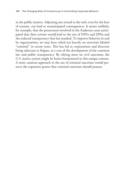in the public interest. Adjusting one strand in the web, even for the best of reasons, can lead to unanticipated consequences. It seems unlikely, for example, that the prosecutors involved in the Andersen cases anticipated that their actions would lead to the rise of NPAs and DPAs and the reduced transparency that has resulted. To improve behavior in and by organizations, we may have relied too heavily on sanctions labeled "criminal" in recent years. This has led to corporations and directors being reluctant to litigate, at a cost of the development of the common law and public transparency. By relying more on civil sanctions, the U.S. justice system might be better harmonized in this unique context. A more cautious approach to the use of criminal sanctions would preserve the expressive power that criminal sanctions should possess.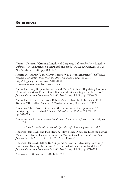Abrams, Norman, "Criminal Liability of Corporate Officers for Strict Liability Offenses—A Comment on *Dotterweich* and *Park*," *UCLA Law Review,* Vol. 28, No. 3, February 1981, pp. 463–477.

Ackerman, Andrew, "Sen. Warren Targets Wall Street Settlements," *Wall Street Journal Washington Wire*, May 14, 2013. As of September 18, 2014: [http://blogs.wsj.com/washwire/2013/05/14/](http://blogs.wsj.com/washwire/2013/05/14/sen-warren-targets-wall-street-settlements/) sen-warren-targets-wall-street-settlements/

Alexander, Cindy R., Jennifer Arlen, and Mark A. Cohen, "Regulating Corporate Criminal Sanctions: Federal Guidelines and the Sentencing of Public Firms," *Journal of Law and Economics*, Vol. 42, No. S1, April 1999, pp. 393–422.

Alexander, Delroy, Greg Burns, Robert Manor, Flynn McRoberts, and E. A. Torriero, "The Fall of Andersen," *Hartford Courant*, November 1, 2002.

Alschuler, Albert, "Ancient Law and the Punishment of Corporations: Of Frankpledge and Deodand," *Boston University Law Review*, Vol. 71, 1991, pp. 307–313.

American Law Institute, *Model Penal Code: Tentative Draft No. 4*, Philadelphia, Pa., 1955.

———, *Model Penal Code: Proposed Official Draft*, Philadelphia, Pa., 1962.

Anderson, James M., and Paul Heaton, "How Much Difference Does the Lawyer Make? The Effect of Defense Counsel on Murder Case Outcomes," *Yale Law Journal*, Vol. 122, No. 1, October 2012, pp. 154–172.

Anderson, James M., Jeffrey R. Kling, and Kate Stith, "Measuring Interjudge Sentencing Disparity: Before and After the Federal Sentencing Guidelines," *Journal of Law and Economics*, Vol. 42, No. S1, April 1999, pp. 271–308.

Anonymous, 88 Eng. Rep. 1518, K.B. 1701.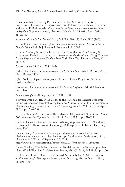Arlen, Jennifer, "Removing Prosecutors from the Boardroom: Limiting Prosecutorial Discretion to Impose Structural Reforms," in Anthony S. Barkow and Rachel E. Barkow, eds., *Prosecutors in the Boardroom: Using Criminal Law to Regulate Corporate Conduct*, New York: New York University Press, 2011, pp. 62–86.

*Arthur Andersen LLP v. United States*, 544 U.S. 696, 125 S. Ct. 2129 (2005).

Bacon, Francis, *The Elements of the Common Lawes of England: Branched into a Double Trial*, Clark, N.J.: Lawbook Exchange Ltd., 2003.

Barkow, Anthony S., and Rachel E. Barkow, "Introduction," in Anthony S. Barkow and Rachel E. Barkow, eds., *Prosecutors in the Boardroom: Using Criminal Law to Regulate Corporate Conduct*, New York: New York University Press, 2011, pp. 1–10.

*Barnes v. State*, 19 Conn. 398 (1849).

Bishop, Joel Prentiss, *Commentaries on the Criminal Law*, 3rd ed., Boston, Mass.: Little, Brown, 1865.

BJS—*See* U.S. Department of Justice, Office of Justice Programs, Bureau of Justice Statistics.

Blackstone, William, *Commentaries on the Laws of England*, Oxford: Clarendon Press, 1765.

*Boson v. Sandford*, 90 Eng. Rep. 377 (K.B. 1690).

Bowman, Frank O., III, "A Challenge to the Rationale for General Economic Crime Sentence Increases Following Sarbanes-Oxley: Letter of Frank Bowman to U.S. Sentencing Commission," *Federal Sentencing Reporter*, Vol. 15, No. 4, April 2003a, pp. 284–290.

———, "Editor's Observations: The Sarbanes-Oxley Act and What Came After," *Federal Sentencing Reporter*, Vol. 15, No. 4, April 2003b, pp. 231–233.

Bracton, Henry de, *On the Laws and Customs of England*, George E. Woodbine, ed., Samuel E. Thorne, trans., Cambridge: Belknap Press of Harvard University Press, 1968.

Breuer, Lanny A., assistant attorney general, remarks delivered at the 26th National Conference on the Foreign Corrupt Practices Act, Washington, D.C., November 8, 2011. As of September 30, 2014: <http://www.justice.gov/criminal/pr/speeches/2011/crm-speech-111108.html>

Breyer, Stephen, "The Federal Sentencing Guidelines and the Key Compromises Upon Which They Rest," *Hofstra Law Review*, Vol. 17, No. 1, Fall 1988, pp. 1–50.

Brickey, Kathleen F., "Corporate Criminal Accountability: A Brief History and an Observation," *Washington University Law Quarterly*, Vol. 60, No. 2, 1982a, pp. 393–423.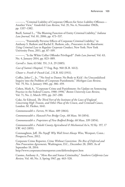———, "Criminal Liability of Corporate Officers for Strict Liability Offenses— Another View," *Vanderbilt Law Review*, Vol. 35, No. 6, November 1982b, pp. 1337–1382.

Buell, Samuel L., "The Blaming Function of Entity Criminal Liability," *Indiana Law Journal*, Vol. 81, 2006, pp. 473–537.

———, "Potentially Perverse Effects of Corporate Criminal Liability," in Anthony S. Barkow and Rachel E. Barkow, eds., *Prosecutors in the Boardroom: Using Criminal Law to Regulate Corporate Conduct*, New York: New York University Press, 2011, pp. 87–109.

———, "Is the White Collar Offender Privileged?" *Duke Law Journal*, Vol. 63, No. 4, January 2014, pp. 823–889.

*Carroll v. State*, 63 Md. 551, 3 A. 29 (1885).

*Case of Sutton's Hospital*, 77 Eng. Rep. 960 (K.B. 1612).

*Chuter v. Freeth & Pocock Ltd.*, 2 K.B. 832 (1911).

Coffee, John C., Jr., "'No Soul to Damn: No Body to Kick': An Unscandalized Inquiry into the Problem of Corporate Punishment," *Michigan Law Review*, Vol. 79, No. 3, January 1981, pp. 386–459.

Cohen, Mark A., "Corporate Crime and Punishment: An Update on Sentencing Practice in the Federal Courts, 1988–1990," *Boston University Law Review*, Vol. 71, No. 2, March 1991, pp. 247–280.

Coke, Sir Edward, *The Third Part of the Institutes of the Laws of England: Concerning High Treason, and Other Pleas of the Crown, and Criminall Causes*, London: M. Flesher, 1641.

*Commonwealth v. Farren*, 91 Mass. 489 (1864).

*Commonwealth v. Hancock Free Bridge Corp.*, 68 Mass. 58 (1854).

*Commonwealth v. Proprietors of New Bedford Bridge*, 68 Mass. 339 (1854).

*Commonwealth v. Pulaski County Agricultural & Mechanical Ass'n*, 92 Ky. 197, 17 S.W. 442 (1891).

Connaughton, Jeff, *The Payoff: Why Wall Street Always Wins*, Westport, Conn.: Prospecta Press, 2012.

Corporate Crime Reporter, *Crime Without Conviction: The Rise of Deferred and Non Prosecution Agreements*, Washington, D.C., December 28, 2005. As of September 18, 2014:

<http://www.corporatecrimereporter.com/deferredreport.htm>

Cuomo, Anthony A., "*Mens Rea* and Status Criminality," *Southern California Law Review*, Vol. 40, No. 3, Spring 1967, pp. 463–528.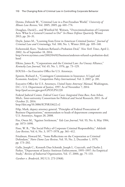Denno, Deborah W., "Criminal Law in a Post-Freudian World," *University of Illinois Law Review*, Vol. 2005, 2005, pp. 601–774.

Douglass, David L., and Winifred M. Weitsen, "Overcriminalization of Corporate Acts: What Is a General Counsel to Do?" *In-House Defense Quarterly*, Winter 2013, pp. 26–31.

Doyle, James M., "Learning from Error in American Criminal Justice," *Journal of Criminal Law and Criminology*, Vol. 100, No. 1, Winter 2010, pp. 109–148.

Eichenwald, Kurt, "Andersen Refused a Probation Deal," *New York Times*, April 2, 2002. As of September 18, 2014:

[http://www.nytimes.com/2002/04/02/business/andersen-refused-a-probation-deal.](http://www.nytimes.com/2002/04/02/business/andersen-refused-a-probation-deal.html) html

Elkins, James R., "Corporations and the Criminal Law: An Uneasy Alliance," *Kentucky Law Journal*, Vol. 65, No. 1, 1976, pp. 73–129.

EOUSA—*See* Executive Office for U.S. Attorneys.

Epstein, Richard A., "Contingent Commissions in Insurance: A Legal and Economic Analysis," *Competition Policy International*, Vol. 3, 2007, p. 281.

Executive Office for U.S. Attorneys, *United States Attorneys' Manual*, Washington, D.C.: U.S. Department of Justice, 1997. As of November 7, 2014: <http://purl.access.gpo.gov/GPO/LPS1220>

Federal Judicial Center, *Federal Court Cases: Integrated Data Base*, Ann Arbor, Mich.: Inter-university Consortium for Political and Social Research, 2011. As of October 21, 2014: <http://doi.org/10.3886/ICPSR33622.v2>

Filip, Mark, deputy attorney general, "Principles of Federal Prosecution of Business Organizations," memorandum to heads of department components and U.S. Attorneys, August 28, 2008.

Fiss, Owen M., "Against Settlement," *Yale Law Journal*, Vol. 93, No. 6, May 1984, pp. 1073–1090.

Fisse, W. B., "The Social Policy of Corporate Criminal Responsibility," *Adelaide Law Review*, Vol. 6, No. 3, 1977–1978, pp. 361–412.

Friedman, Howard M., "Some Reflections on the Corporation as Criminal Defendant," *Notre Dame Law Review*, Vol. 55, No. 2, December 1, 1979, pp. 173–202.

Gallo, Joseph C., Kenneth Dau-Schmidt, Joseph L. Craycraft, and Charles J. Parker, "Department of Justice Antitrust Enforcement, 1995–1997: An Empirical Study," *Review of Industrial Organization*, Vol. 17, 2000, pp. 75–133.

*Gardner v. Broderick*, 392 U.S. 273 (1968).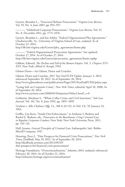Garrett, Brandon L., "Structural Reform Prosecution," *Virginia Law Review*, Vol. 93, No. 4, June 2007, pp. 853–957.

———, "Globalized Corporate Prosecutions," *Virginia Law Review*, Vol. 97, No. 8, December 2011, pp. 1775–1876.

Garrett, Brandon L., and Jon Ashley, "Federal Organizational Plea Agreements," Charlottesville, Va.: University of Virginia School of Law, undated. As of October 22, 2014:

[http://lib.law.virginia.edu/Garrett/plea\\_agreements/home.php](http://lib.law.virginia.edu/Garrett/plea_agreements/home.php)

———, "Federal Organizational Prosecution Agreements," last updated October 27, 2014. As of October 27, 2014: [http://lib.law.virginia.edu/Garrett/prosecution\\_agreements/home.suphp](http://lib.law.virginia.edu/Garrett/prosecution_agreements/home.suphp)

Gibbon, Edward, *The Decline and Fall of the Roman Empire*, Vol. 2: *Chapters XVI– XXV*, New York: Alfred A. Knopf, 1993.

Gibson Dunn—*See* Gibson, Dunn and Crutcher.

Gibson, Dunn and Crutcher, *2011 Year End FCPA Update*, January 3, 2012; referenced September 10, 2012. As of September 20, 2014: <http://www.gibsondunn.com/publications/Pages/2011YearEndFCPAUpdate.aspx>

"Going Soft on Corporate Crime," *New York Times*, editorial, April 10, 2008. As of September 20, 2014:

[http://www.nytimes.com/2008/04/10/opinion/10thu2.html?\\_r=0](http://www.nytimes.com/2008/04/10/opinion/10thu2.html?_r=0)

Goldstein, Abraham S., "White-Collar Crime and Civil Sanctions," *Yale Law Journal*, Vol. 101, No. 8, June 1992, pp. 1895–1899.

*Graham v. Allis-Chalmers Mfg. Co*., 188 A.2d 125, 41 Del. Ch. 78, January 24, 1963.

Griffin, Lisa Kern, "Inside-Out Enforcement," in Anthony S. Barkow and Rachel E. Barkow, eds., *Prosecutors in the Boardroom: Using Criminal Law to Regulate Corporate Conduct*, New York: New York University Press, 2011, pp. 110–131.

Hall, Jerome, *General Principles of Criminal Law*, Indianapolis, Ind.: Bobbs-Merrill Company, 1947.

Henning, Peter J., "Dim Prospects for Financial Crisis Prosecutions," *New York Times DealBook*, May 29, 2012. As of September 20, 2014: http://dealbook.nytimes.com/2012/05/29/ [dim-prospects-for-financial-crisis-prosecutions/](http://dealbook.nytimes.com/2012/05/29/dim-prospects-for-financial-crisis-prosecutions/)

Heritage Foundation, "Overcriminalization," *Solutions 2014*, undated; referenced February 28, 2014. As of October 22, 2014: <http://solutions.heritage.org/overcriminalization/>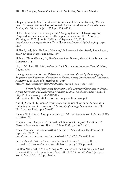Hippard, James J., Sr., "The Unconstitutionality of Criminal Liability Without Fault: An Argument for a Constitutional Doctrine of Mens Rea," *Houston Law Review*, Vol. 10, No. 5, July 1973, pp. 1039–1058.

Holder, Eric, deputy attorney general, "Bringing Criminal Charges Against Corporations," memorandum to all component heads and U.S. Attorneys, Washington, D.C., June 16, 1999. As of September 20, 2014: [http://www.justice.gov/criminal/fraud/documents/reports/1999/charging-corps.](http://www.justice.gov/criminal/fraud/documents/reports/1999/charging-corps.PDF) PDF

Holland, Lady Saba Holland, *Memoir of the Reverend Sydney Smith*, Sarah Austin, ed., New York: Harper and Bros., 1855.

Holmes, Oliver Wendell, Jr., *The Common Law*, Boston, Mass.: Little, Brown, and Company, 1881.

Ide, R. William, III, *ABA Presidential Task Force on the Attorney–Client Privilege*, August 2006.

Interagency Suspension and Debarment Committee, *Report by the Interagency Suspension and Debarment Committee on Federal Agency Suspension and Disbarment Activities*, c. 2011. As of September 30, 2014: [https://isdc.sites.usa.gov/files/2014/02/isdc\\_section\\_873\\_report1.pdf](https://isdc.sites.usa.gov/files/2014/02/isdc_section_873_report1.pdf)

———, *Report by the Interagency Suspension and Debarment Committee on Federal Agency Suspension and Disbarment Activities*, c. 2012. As of September 30, 2014: https://isdc.sites.usa.gov/files/2014/02/

[isdc\\_section\\_873\\_fy\\_2011\\_report\\_to\\_congress\\_lieberman.pdf](https://isdc.sites.usa.gov/files/2014/02/isdc_section_873_fy_2011_report_to_congress_lieberman.pdf)

Kadish, Sanford H., "Some Observations on the Use of Criminal Sanctions in Enforcing Economic Regulations," *University of Chicago Law Review*, Vol. 30, No. 3, Spring 1963, pp. 423–449.

Katyal, Neal Kumar, "Conspiracy Theory," *Yale Law Journal*, Vol. 112, June 2003, p. 1307–1398.

Khanna, V. S., "Corporate Criminal Liability: What Purpose Does It Serve?" *Harvard Law Review*, Vol. 109, No. 7, May 1996, pp. 1477–1534.

Kher, Unmesh, "The End of Arthur Andersen?" *Time*, March 11, 2002. As of September 21, 2014:

<http://content.time.com/time/business/article/0,8599,216386,00.html>

Levin, Marc A., "At the State Level, So-Called Crimes Are Here, There, Everywhere," *Criminal Justice*, Vol. 28, No. 1, Spring 2013, pp. 4–9.

Lindley, Nathaniel, "On the Principles Which Govern the Criminal and Civil Responsibilities of Corporations (March 30, 1857)," in *Juridical Society Papers*, Vol. 2, March 30, 1857, pp. 34–35.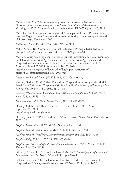Manuel, Kate M., *Debarment and Suspension of Government Contractors: An Overview of the Law Including Recently Enacted and Proposed Amendments*, Washington, D.C.: Congressional Research Service, RL34753, January 6, 2012.

McNulty, Paul J., deputy attorney general, "Principles of Federal Prosecution of Business Organizations," memorandum to heads of department components and U.S. Attorneys, December 2006.

*Milbrath v. State*, 138 Wis. 354, 120 N.W. 252 (1909).

Miller, Samuel R., "Corporate Criminal Liability: A Principle Extended to Its Limits," *Federal Bar Journal*, Vol. 38, No. 1, 1979, pp. 49–68.

Morford, Craig S., acting deputy attorney general, "Selection and Use of Monitors in Deferred Prosecution Agreements and Non-Prosecution Agreements with Corporations," memorandum to heads of department components and U.S. Attorneys, March 7, 2008. As of September 20, 2014: [http://www.justice.gov/sites/default/files/dag/legacy/2008/03/20/](http://www.justice.gov/sites/default/files/dag/legacy/2008/03/20/morford-useofmonitorsmemo-03072008.pdf) morford-useofmonitorsmemo-03072008.pdf

*Morissette v. United States*, 342 U.S. 246, 72 S. Ct. 240 (1952).

Mueller, Gerhard O. W., "*Mens Rea* and the Corporation: A Study of the Model Penal Code Position on Corporate Criminal Liability," *University of Pittsburgh Law Review*, Vol. 19, No. 1, Fall 1957, pp. 21–50.

———, "On Common Law Mens Rea," *Minnesota Law Review*, Vol. 42, No. 6, May 1958, pp. 1043–1104.

*New York Central R. Co. v. United States*, 212 U.S. 481 (1909).

Occupy Wall Street, "About," undated; referenced June 3, 2013. As of September 20, 2014: <http://occupywallst.org/about/>

Odato, James M., "NYRA Deal in the Works," *Albany Times Union*, December 6, 2003, p. A1.

*People v. Corporation*, 11 Wend. 539, N.Y. Sup. Ct. (1834).

*People v. Detroit Lead Works*, 82 Mich. 471, 46 N.W. 735 (1890).

*People v. John H. Woodbury Dermatological Institute*, 192 N.Y. 454 (1908).

*People v. Roby*, 52 Mich. 577, 18 N.W. 365 (1884).

*People ex rel. Price v. Sheffield Farms-Slawson-Decker Co.*, 225 N.Y. 25, 121 N.E. 474 (Ct. App. N.Y. 1918).

Pillsbury, Samuel H., "Evil and the Law of Murder," *University of California Davis Law Review*, Vol. 24, No. 2, Winter 1990, pp. 437–488.

Pollock, Frederick, "Has the Common Law Received the Fiction Theory of Corporations?" *Law Quarterly Review*, Vol. 27, No. 2, 1911, pp. 219–235.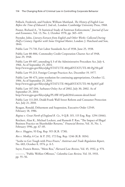Pollock, Frederick, and Frederic William Maitland, *The History of English Law Before the Time of Edward I*, 2nd ed., London: Cambridge University Press, 1968.

Posner, Richard A., "A Statistical Study of Antitrust Enforcement," *Journal of Law and Economics*, Vol. 13, No. 2, October 1970, pp. 365–419.

Poynder, John, *Literary Extracts from English and Other Works: Collected During Half a Century Together with Some Original Matter*, London: J. Hatchard and Son, 1844.

Public Law 75-718, Fair Labor Standards Act of 1938, June 25, 1938.

Public Law 80-806, Commodity Credit Corporation Charter Act of 1948, June 29, 1948.

Public Law 89-487, amending § 3 of the Administrative Procedure Act, July 4, 1966. As of September 25, 2014: <http://www.gpo.gov/fdsys/pkg/STATUTE-80/pdf/STATUTE-80-Pg250.pdf>

Public Law 95-213, Foreign Corrupt Practices Act, December 19, 1977.

Public Law 98-473, joint resolution for continuing appropriations, October 12, 1984. As of September 25, 2014:

<http://www.gpo.gov/fdsys/pkg/STATUTE-98/pdf/STATUTE-98-Pg1837.pdf>

Public Law 107-204, Sarbanes-Oxley Act of 2002, July 30, 2002. As of September 25, 2014:

<http://www.gpo.gov/fdsys/pkg/PLAW-107publ204/content-detail.html>

Public Law 111-203, Dodd-Frank Wall Street Reform and Consumer Protection Act, July 21, 2010.

Reagan, Ronald, Debarment and Suspension, Executive Order 12549, February 18, 1986.

*Regina v. Great North of England R. Co.*, 9 Q.B. 315, 115 Eng. Rep. 1294 (1846).

Reichert, Alan K., Michael Lockett, and Ramesh P. Rao, "The Impact of Illegal Business Practice on Shareholder Returns," *Financial Review*, Vol. 31, No. 1, February 1996, pp. 67–85.

*Rex v. Huggins*, 93 Eng. Rep. 915 (K.B. 1730).

*Rex v. Medley*, 6 Car. & P. 292, 172 Eng. Rep. 1246 (K.B. 1834).

"Saxbe to Get Tough with Price-Fixers," *Antitrust and Trade Regulation Report*, No. 683, October 8, 1974, p. A-5.

Sayre, Francis Bowes, "Mens Rea," *Harvard Law Review*, Vol. 45, 1932, p. 974.

———, "Public Welfare Offenses," *Columbia Law Review*, Vol. 33, 1933, pp. 55–56.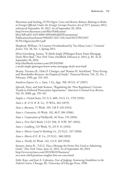Shearman and Sterling, *FCPA Digest: Cases and Review Releases Relating to Bribes to Foreign Officials Under the Foreign Corrupt Practices Act of 1977*, January 2012; referenced September 10, 2012. As of September 20, 2014: http://www.shearman.com/files/Publication/ bb1a7bff-ad52-4cf9-88b9-9d99e001dd5f/Presentation/ [PublicationAttachment/590a9fc7-2617-41fc-9aef-04727f927e07/](http://www.shearman.com/files/Publication/bb1a7bff-ad52-4cf9-88b9-9d99e001dd5f/Presentation/PublicationAttachment/590a9fc7-2617-41fc-9aef-04727f927e07/FCPA-Digest-Jan2012.pdf) FCPA-Digest-Jan2012.pdf

Shepherd, William, "A Country Overburdened by Too Many Laws," *Criminal Justice*, Vol. 28, No. 1, Spring 2013.

Silver-Greenberg, Jessica, "E-Mails Imply JPMorgan Knew Some Mortgage Deals Were Bad," *New York Times DealBook*, February 6, 2013, p. B1. As of September 20, 2014: http://dealbook.nytimes.com/2013/02/06/ [e-mails-imply-jpmorgan-knew-some-mortgage-deals-were-bad/](http://dealbook.nytimes.com/2013/02/06/e-mails-imply-jpmorgan-knew-some-mortgage-deals-were-bad/)

Skantz, Terrance R., Dale O. Cloniger, and Thomas H. Strickland, "Price-Fixing and Shareholder Returns: An Empirical Study," *Financial Review*, Vol. 25, No. 1, February 1990, pp. 153–163.

*Southern Express Co. v. State*, 1 Ga. App. 700, 58 S.E. 67 (1907).

Spivack, Peter, and Sujit Raman, "Regulating the 'New Regulators': Current Trends in Deferred Prosecution Agreements," *American Criminal Law Review*, Vol. 45, 2008, pp. 159–167.

*Staples v. United States*, 511 U.S. 600, 114 S. Ct. 1793 (1994).

*State v. B. & O. R. R. Co.*, 15 W.Va. 362 (1879).

*State v. Burnam*, 71 Wash. 199, 128 P. 218 (1912).

*State v. Constatine*, 43 Wash. 102, 86 P. 384 (1906).

*State v. Corporation of Shelbyville*, 36 Tenn. 176 (1856).

*State v. First Nat'l Bank*, 2 S.D. 568, 51 N.W. 587 (1892).

*State v. Lindberg*, 125 Wash. 51, 215 P. 41 (1923).

*State v. Morris Canal & Banking Co.*, 22 N.J.L. 537 (1850).

*State v. Morris & E. R. Co.*, 23 N.J.L. 360 (1852).

*State v. Nicolls*, 61 Wash. 142, 112 P. 269 (1910).

Stewart, James B., "S.E.C. Has a Message for Firms Not Used to Admitting Guilt," *New York Times*, June 21, 2013. As of September 20, 2014: http://www.nytimes.com/2013/06/22/business/ [secs-new-chief-promises-tougher-line-on-cases.html](http://www.nytimes.com/2013/06/22/business/secs-new-chief-promises-tougher-line-on-cases.html)

Stith, Kate, and José A. Cabranes, *Fear of Judging: Sentencing Guidelines in the Federal Courts*, Chicago, Ill.: University of Chicago Press, 1998.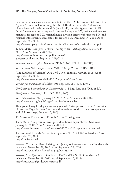Suarez, John Peter, assistant administrator of the U.S. Environmental Protection Agency, "Guidance Concerning the Use of Third Parties in the Performance of Supplemental Environmental Projects (SEPs) and the Aggregation of SEP Funds," memorandum to regional counsels for regions I–X, regional enforcement managers for regions I–X, regional media division directors for regions I–X, and regional enforcement coordinators for regions I–X, December 15, 2003. As of September 20, 2014:

<http://www2.epa.gov/sites/production/files/documents/seps-thirdparties.pdf>

Taibbi, Matt, "Gangster Bankers: Too Big to Jail," *Rolling Stone*, February 14, 2013. As of September 20, 2014: [http://www.rollingstone.com/politics/news/](http://www.rollingstone.com/politics/news/gangster-bankers-too-big-to-jail-20130214) gangster-bankers-too-big-to-jail-20130214

*Tenement House Dep't v. McDevitt*, 215 N.Y. 160, 109 N.E. 88 (1915).

*The Chestnut Hill Turnpike Co. v. Rutter*, 4 Serg. & Rawl. 6 (Pa. 1818).

"The Kindness of Cronies," *New York Times*, editorial, May 25, 2008. As of September 20, 2014:

<http://www.nytimes.com/2008/05/25/opinion/25sun3.html>

*The King v. Inhabitants of Clifton*, 101 Eng. Rep. 280 (K.B. 1794).

*The Queen v. Birmingham & Gloucester Ry.*, 114 Eng. Rep. 492 (Q.B. 1842).

*The Queen v. Stephens*, L.R. 1 Q.B. 702 (1866).

*The Untouchables*, PBS, January 22, 2013. As of September 20, 2014: <http://www.pbs.org/wgbh/pages/frontline/untouchables/>

Thompson, Larry D., deputy attorney general, "Principles of Federal Prosecution of Business Organizations," memorandum to heads of department components and U.S. Attorneys, January 20, 2003.

TRAC—*See* Transactional Records Access Clearinghouse.

Tran, Mark, "Congress to Investigate Mass Enron Paper Shred," *Guardian*, January 21, 2002. As of September 20, 2014: <http://www.theguardian.com/business/2002/jan/21/corporatefraud.enron1>

Transactional Records Access Clearinghouse, "TRACFED," undated (a). As of September 20, 2014: <http://tracfed.syr.edu/>

———, "About the Data: Judging the Quality of Government Data," undated (b); referenced November 29, 2012. As of September 20, 2014: <http://trac.syr.edu/data/about/judgingQuality.html>

———, "The Quick-Start Guide to TRAC and TRACFED," undated (c); referenced November 28, 2012. As of September 20, 2014: <http://trac.syr.edu/guides/quickstart.pdf>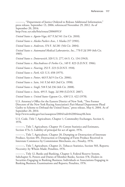———, "Department of Justice Ordered to Release Additional Information," press release, September 13, 2006; referenced November 29, 2012. As of September 20, 2014:

<http://trac.syr.edu/foia/eousa/20060913/>

*United States v. Agosto-Vega*, 617 F.3d 541 (1st Cir. 2010).

*United States v. Alaska Packers Asso.*, 1 Alaska 217 (1901).

*United States v. Andersen*, 374 F. 3d 281 (5th Cir. 2004).

*United States v. Automated Medical Laboratories, Inc.*, 770 F.2d 399 (4th Cir. 1985).

*United States v. Dotterweich*, 320 U.S. 277, 64 S. Ct. 134 (1943).

*United States v. MacAndrews & Forbes Co.*, 149 F. 823 (S.D.N.Y. 1906).

*United States v. Nearing*, 252 F. 223 (S.D.N.Y. 1918).

*United States v. Park*, 421 U.S. 658 (1975).

*United States v. Potter*, 463 F.3d 9 (1st Cir. 2006).

*United States v. Sain*, 141 F.3d 463 (3rd Cir. 1998).

*United States v. Singh*, 518 F.3d 236 (4th Cir. 2008).

*United States v. Stein*, 495 F. Supp. 2d 390 (S.D.N.Y. 2007).

*United States v. United States Gypsum Co.*, 438 U.S. 422 (1978).

U.S. Attorney's Office for the Eastern District of New York, "Two Former Directors of the New York Racing Association's Pari-Mutuel Department Plead Guilty to Scheme to Defraud the United States," press release, May 6, 2004. As of September 20, 2014:

<http://www.usdoj.gov/tax/usaopress/2004/txdv042004may06.htm>

U.S. Code, Title 7, Agriculture, Chapter 1, Commodity Exchanges, Section 4, 1976.

———, Title 7, Agriculture, Chapter 19, Cotton Statistics and Estimates, Section 473c-3, Liability of principal for act of agent, 1976.

———, Title 7, Agriculture, Chapter 20, Dumping or Destruction of Interstate Produce, Section 491, Destruction or Dumping of Farm Produce Received in Interstate Commerce by Commission Merchants, etc.; Penalty, 1976.

———, Title 7, Agriculture, Chapter 21, Tobacco Statistics, Section 503, Reports; Necessity; by Whom Made; Penalties, 1976.

———, Title 12, Banks and Banking, Chapter 3, Federal Reserve System, Subchapter X, Powers and Duties of Member Banks, Section 378, Dealers in Securities Engaging in Banking Business; Individuals or Associations Engaging in Banking Business; Examinations and Reports; Penalties, 1976.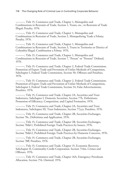———, Title 15, Commerce and Trade, Chapter 1, Monopolies and Combinations in Restraint of Trade, Section 1, Trusts, etc., in Restraint of Trade Illegal; Penalty, 1976.

———, Title 15, Commerce and Trade, Chapter 1, Monopolies and Combinations in Restraint of Trade, Section 2, Monopolizing Trade a Felony; Penalty, 1976.

———, Title 15, Commerce and Trade, Chapter 1, Monopolies and Combinations in Restraint of Trade, Section 3, Trusts in Territories or District of Columbia Illegal; Combination a Felony, 1976.

———, Title 15, Commerce and Trade, Chapter 1, Monopolies and Combinations in Restraint of Trade, Section 7, "Person" or "Persons" Defined, 1976.

———, Title 15, Commerce and Trade, Chapter 2, Federal Trade Commission; Promotion of Export Trade and Prevention of Unfair Methods of Competition, Subchapter I, Federal Trade Commission, Section 50, Offenses and Penalties, 1976.

———, Title 15, Commerce and Trade, Chapter 2, Federal Trade Commission; Promotion of Export Trade and Prevention of Unfair Methods of Competition, Subchapter I, Federal Trade Commission, Section 54, False Advertisements; Penalties, 1976.

———, Title 15, Commerce and Trade, Chapter 2A, Securities and Trust Indentures, Subchapter I, Domestic Securities, Section 77b, Definitions; Promotion of Efficiency, Competition, and Capital Formation, 1976.

———, Title 15, Commerce and Trade, Chapter 2A, Securities and Trust Indentures, Subchapter III, Trust Indentures, Section 77yyy, Penalties, 1976.

———, Title 15, Commerce and Trade, Chapter 2B, Securities Exchanges, Section 78c, Definitions and Application, 1976.

———, Title 15, Commerce and Trade, Chapter 2B, Securities Exchanges, Section 78dd-1, Prohibited Foreign Trade Practices by Issuers, 1976.

———, Title 15, Commerce and Trade, Chapter 2B, Securities Exchanges, Section 78dd-2, Prohibited Foreign Trade Practices by Domestic Concerns, 1976.

———, Title 15, Commerce and Trade, Chapter 2B, Securities Exchanges, Section 78ff, Penalties, 1976.

———, Title 15, Commerce and Trade, Chapter 15, Economic Recovery, Subchapter II, Commodity Credit Corporation, Section 714m, Crimes and Offenses, 1976.

———, Title 15, Commerce and Trade, Chapter 16A, Emergency Petroleum Allocation, Section 754, Omitted, 1976.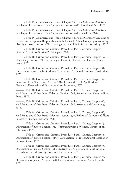———, Title 15, Commerce and Trade, Chapter 53, Toxic Substances Control, Subchapter I, Control of Toxic Substances, Section 2614, Prohibited Acts, 1976.

———, Title 15, Commerce and Trade, Chapter 53, Toxic Substances Control, Subchapter I, Control of Toxic Substances, Section 2615, Penalties, 1976.

———, Title 15, Commerce and Trade, Chapter 98, Public Company Accounting Reform and Corporate Responsibility, Subchapter I, Public Company Accounting Oversight Board, Section 7215, Investigations and Disciplinary Proceedings, 1976.

———, Title 18, Crimes and Criminal Procedure, Part I, Crimes, Chapter 1, General Provisions, Section 2, Principals, 1976.

———, Title 18, Crimes and Criminal Procedure, Part I, Crimes, Chapter 19, Conspiracy, Section 371, Conspiracy to Commit Offense or to Defraud United States, 1976.

———, Title 18, Crimes and Criminal Procedure, Part I, Crimes, Chapter 31, Embezzlement and Theft, Section 657, Lending, Credit and Insurance Institutions, 1976.

———, Title 18, Crimes and Criminal Procedure, Part I, Crimes, Chapter 47, Fraud and False Statements, Section 1014, Loan and Credit Applications Generally; Renewals and Discounts; Crop Insurance, 1976.

———, Title 18, Crimes and Criminal Procedure, Part I, Crimes, Chapter 63, Mail Fraud and Other Fraud Offenses, Section 1348, Securities and Commodities Fraud, 1976.

———, Title 18, Crimes and Criminal Procedure, Part I, Crimes, Chapter 63, Mail Fraud and Other Fraud Offenses, Section 1349, Attempt and Conspiracy, 1976.

———, Title 18, Crimes and Criminal Procedure, Part I, Crimes, Chapter 63, Mail Fraud and Other Fraud Offenses, Section 1350, Failure of Corporate Officers to Certify Financial Reports, 1976.

———, Title 18, Crimes and Criminal Procedure, Part I, Crimes, Chapter 73, Obstruction of Justice, Section 1512, Tampering with a Witness, Victim, or an Informant, 1976.

———, Title 18, Crimes and Criminal Procedure, Part I, Crimes, Chapter 73, Obstruction of Justice, Section 1514A, Civil Action to Protect Against Retaliation in Fraud Cases, 1976.

———, Title 18, Crimes and Criminal Procedure, Part I, Crimes, Chapter 73, Obstruction of Justice, Section 1519, Destruction, Alteration, or Falsification of Records in Federal Investigations and Bankruptcy, 1976.

———, Title 18, Crimes and Criminal Procedure, Part I, Crimes, Chapter 73, Obstruction of Justice, Section 1520, Destruction of Corporate Audit Records, 1976.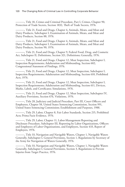———, Title 18, Crimes and Criminal Procedure, Part I, Crimes, Chapter 90, Protection of Trade Secrets, Section 1832, Theft of Trade Secrets, 1976.

———, Title 21, Food and Drugs, Chapter 4, Animals, Meats, and Meat and Dairy Products, Subchapter I, Examination of Animals, Meats, and Meat and Dairy Products, Section 88, 1976.

———, Title 21, Food and Drugs, Chapter 4, Animals, Meats, and Meat and Dairy Products, Subchapter I, Examination of Animals, Meats, and Meat and Dairy Products, Section 90, 1976.

———, Title 21, Food and Drugs, Chapter 9, Federal Food, Drug, and Cosmetic Act, Subchapter II, Definitions, Section 321, Definitions; Generally, 1976.

———, Title 21, Food and Drugs, Chapter 12, Meat Inspection, Subchapter I, Inspection Requirements; Adulteration and Misbranding, Section 602, Congressional Statement of Findings, 1976.

———, Title 21, Food and Drugs, Chapter 12, Meat Inspection, Subchapter I, Inspection Requirements; Adulteration and Misbranding, Section 610, Prohibited Acts, 1976.

———, Title 21, Food and Drugs, Chapter 12, Meat Inspection, Subchapter I, Inspection Requirements; Adulteration and Misbranding, Section 611, Devices, Marks, Labels, and Certificates; Simulations, 1976.

———, Title 21, Food and Drugs, Chapter 12, Meat Inspection, Subchapter IV, Auxiliary Provisions, Section 676, Violations, 1976.

———, Title 28, Judiciary and Judicial Procedure, Part III, Court Officers and Employees, Chapter 58, United States Sentencing Commission, Section 991, United States Sentencing Commission; Establishment and Purposes, 1988.

———, Title 29, Labor, Chapter 8, Fair Labor Standards, Section 215, Prohibited Acts; Prima Facie Evidence, 1976.

———, Title 29, Labor, Chapter 11, Labor-Management Reporting and Disclosure Procedure, Subchapter III, Reporting by Labor Organizations, Officers and Employees of Labor Organizations, and Employers, Section 433, Report of Employers, 1976.

———, Title 33, Navigation and Navigable Waters, Chapter 1, Navigable Waters Generally, Subchapter I, General Provisions, Section 1, Regulations by Secretary of the Army for Navigation of Waters Generally, 1976.

-, Title 33, Navigation and Navigable Waters, Chapter 1, Navigable Waters Generally, Subchapter I, General Provisions, Section 3, Regulations to Prevent Injuries from Target Practice, 1976.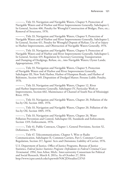———, Title 33, Navigation and Navigable Waters, Chapter 9, Protection of Navigable Waters and of Harbor and River Improvements Generally, Subchapter I, In General, Section 406, Penalty for Wrongful Construction of Bridges, Piers, etc.; Removal of Structures, 1976.

———, Title 33, Navigation and Navigable Waters, Chapter 9, Protection of Navigable Waters and of Harbor and River Improvements Generally, Subchapter I, In General, Section 411, Penalty for Wrongful Deposit of Refuse; Use of or Injury to Harbor Improvements, and Obstruction of Navigable Waters Generally, 1976.

———, Title 33, Navigation and Navigable Waters, Chapter 9, Protection of Navigable Waters and of Harbor and River Improvements Generally, Subchapter I, In General, Section 419, Regulation by Secretary Governing Transportation and Dumping of Dredgings, Refuse, etc., into Navigable Waters; Oyster Lands; Appropriations, 1976.

———, Title 33, Navigation and Navigable Waters, Chapter 9, Protection of Navigable Waters and of Harbor and River Improvements Generally, Subchapter III, New York Harbor, Harbor of Hampton Roads, and Harbor of Baltimore, Section 449, Disposition of Dredged Matter; Persons Liable; Penalty, 1976.

———, Title 33, Navigation and Navigable Waters, Chapter 12, River and Harbor Improvements Generally, Subchapter IV, Particular Work or Improvements, Section 602, Maintenance of Channel of South Pass of Mississippi River, 1976.

———, Title 33, Navigation and Navigable Waters, Chapter 20, Pollution of the Sea by Oil, Section 1001, 1976.

———, Title 33, Navigation and Navigable Waters, Chapter 20, Pollution of the Sea by Oil, Section 1005, 1976.

———, Title 33, Navigation and Navigable Waters, Chapter 26, Water Pollution Prevention and Control, Subchapter III, Standards and Enforcement, Section 1319, Enforcement, 1976.

———, Title 41, Public Contracts, Chapter 1, General Provisions, Section 52, Definitions, 1976.

———, Title 47, Telecommunications, Chapter 5, Wire or Radio Communication, Subchapter II, Common Carriers, Part I, Common Carrier Regulation, Section 217, Agents' Acts and Omissions; Liability of Carrier, 1976.

U.S. Department of Justice, Office of Justice Programs, Bureau of Justice Statistics, *Federal Justice Statistics Program: Defendants in Federal Criminal Cases: Terminated, 1994*, Ann Arbor, Mich.: Inter-university Consortium for Political and Social Research, March 8, 2011a. As of October 27, 2014: <http://www.icpsr.umich.edu/icpsrweb/NACJD/studies/23743>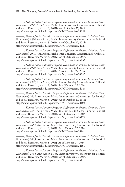———, *Federal Justice Statistics Program: Defendants in Federal Criminal Cases: Terminated, 1995*, Ann Arbor, Mich.: Inter-university Consortium for Political and Social Research, March 8, 2011b. As of October 27, 2014: <http://www.icpsr.umich.edu/icpsrweb/NACJD/studies/24008>

———, *Federal Justice Statistics Program: Defendants in Federal Criminal Cases: Terminated, 1996*, Ann Arbor, Mich.: Inter-university Consortium for Political and Social Research, March 8, 2011c. As of October 27, 2014: <http://www.icpsr.umich.edu/icpsrweb/NACJD/studies/24027>

———, *Federal Justice Statistics Program: Defendants in Federal Criminal Cases: Terminated, 1997*, Ann Arbor, Mich.: Inter-university Consortium for Political and Social Research, March 8, 2011d. As of October 27, 2014: <http://www.icpsr.umich.edu/icpsrweb/NACJD/studies/24046>

———, *Federal Justice Statistics Program: Defendants in Federal Criminal Cases: Terminated, 1998*, Ann Arbor, Mich.: Inter-university Consortium for Political and Social Research, March 8, 2011e. As of October 27, 2014: <http://www.icpsr.umich.edu/icpsrweb/NACJD/studies/24065>

———, *Federal Justice Statistics Program: Defendants in Federal Criminal Cases: Terminated, 1999*, Ann Arbor, Mich.: Inter-university Consortium for Political and Social Research, March 8, 2011f. As of October 27, 2014: <http://www.icpsr.umich.edu/icpsrweb/NACJD/studies/24084>

———, *Federal Justice Statistics Program: Defendants in Federal Criminal Cases: Terminated, 2000*, Ann Arbor, Mich.: Inter-university Consortium for Political and Social Research, March 8, 2011g. As of October 27, 2014: <http://www.icpsr.umich.edu/icpsrweb/NACJD/studies/24103>

———, *Federal Justice Statistics Program: Defendants in Federal Criminal Cases: Terminated, 2001*, Ann Arbor, Mich.: Inter-university Consortium for Political and Social Research, March 8, 2011h. As of October 27, 2014: <http://www.icpsr.umich.edu/icpsrweb/NACJD/studies/24122>

———, *Federal Justice Statistics Program: Defendants in Federal Criminal Cases: Terminated, 2002*, Ann Arbor, Mich.: Inter-university Consortium for Political and Social Research, March 8, 2011i. As of October 27, 2014: <http://www.icpsr.umich.edu/icpsrweb/NACJD/studies/24141>

———, *Federal Justice Statistics Program: Defendants in Federal Criminal Cases: Terminated, 2003*, Ann Arbor, Mich.: Inter-university Consortium for Political and Social Research, March 8, 2011j. As of October 27, 2014: <http://www.icpsr.umich.edu/icpsrweb/NACJD/studies/24160>

———, *Federal Justice Statistics Program: Defendants in Federal Criminal Cases: Terminated, 2004*, Ann Arbor, Mich.: Inter-university Consortium for Political and Social Research, March 8, 2011k. As of October 27, 2014: <http://www.icpsr.umich.edu/icpsrweb/NACJD/studies/24177>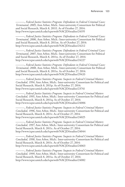———, *Federal Justice Statistics Program: Defendants in Federal Criminal Cases: Terminated, 2005*, Ann Arbor, Mich.: Inter-university Consortium for Political and Social Research, March 8, 2011l. As of October 27, 2014: <http://www.icpsr.umich.edu/icpsrweb/NACJD/studies/24195>

———, *Federal Justice Statistics Program: Defendants in Federal Criminal Cases: Terminated, 2006*, Ann Arbor, Mich.: Inter-university Consortium for Political and Social Research, March 8, 2011m. As of October 27, 2014: <http://www.icpsr.umich.edu/icpsrweb/NACJD/studies/24212>

———, *Federal Justice Statistics Program: Defendants in Federal Criminal Cases: Terminated, 2007*, Ann Arbor, Mich.: Inter-university Consortium for Political and Social Research, March 8, 2011n. As of October 27, 2014: <http://www.icpsr.umich.edu/icpsrweb/NACJD/studies/24227>

———, *Federal Justice Statistics Program: Defendants in Federal Criminal Cases: Terminated, 2008*, Ann Arbor, Mich.: Inter-university Consortium for Political and Social Research, March 8, 2011o. As of October 27, 2014: <http://www.icpsr.umich.edu/icpsrweb/NACJD/studies/29433>

———, *Federal Justice Statistics Program: Suspects in Federal Criminal Matters Concluded, 1994*, Ann Arbor, Mich.: Inter-university Consortium for Political and Social Research, March 8, 2011p. As of October 27, 2014: <http://www.icpsr.umich.edu/icpsrweb/NACJD/studies/23741>

———, *Federal Justice Statistics Program: Suspects in Federal Criminal Matters Concluded, 1995*, Ann Arbor, Mich.: Inter-university Consortium for Political and Social Research, March 8, 2011q. As of October 27, 2014: <http://www.icpsr.umich.edu/icpsrweb/NACJD/studies/24006>

———, *Federal Justice Statistics Program: Suspects in Federal Criminal Matters Concluded, 1996*, Ann Arbor, Mich.: Inter-university Consortium for Political and Social Research, March 8, 2011r. As of October 27, 2014: <http://www.icpsr.umich.edu/icpsrweb/NACJD/studies/24025>

———, *Federal Justice Statistics Program: Suspects in Federal Criminal Matters Concluded, 1997*, Ann Arbor, Mich.: Inter-university Consortium for Political and Social Research, March 8, 2011s. As of October 27, 2014: <http://www.icpsr.umich.edu/icpsrweb/NACJD/studies/24044>

———, *Federal Justice Statistics Program: Suspects in Federal Criminal Matters Concluded, 1998*, Ann Arbor, Mich.: Inter-university Consortium for Political and Social Research, March 8, 2011t. As of October 27, 2014: <http://www.icpsr.umich.edu/icpsrweb/NACJD/studies/24063>

———, *Federal Justice Statistics Program: Suspects in Federal Criminal Matters Concluded, 1999*, Ann Arbor, Mich.: Inter-university Consortium for Political and Social Research, March 8, 2011u. As of October 27, 2014: <http://www.icpsr.umich.edu/icpsrweb/NACJD/studies/24082>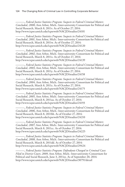———, *Federal Justice Statistics Program: Suspects in Federal Criminal Matters Concluded, 2000*, Ann Arbor, Mich.: Inter-university Consortium for Political and Social Research, March 8, 2011v. As of October 27, 2014: <http://www.icpsr.umich.edu/icpsrweb/NACJD/studies/24101>

———, *Federal Justice Statistics Program: Suspects in Federal Criminal Matters Concluded, 2001*, Ann Arbor, Mich.: Inter-university Consortium for Political and Social Research, March 8, 2011w. As of October 27, 2014: <http://www.icpsr.umich.edu/icpsrweb/NACJD/studies/24120>

———, *Federal Justice Statistics Program: Suspects in Federal Criminal Matters Concluded, 2002*, Ann Arbor, Mich.: Inter-university Consortium for Political and Social Research, March 8, 2011x. As of October 27, 2014: <http://www.icpsr.umich.edu/icpsrweb/NACJD/studies/24139>

———, *Federal Justice Statistics Program: Suspects in Federal Criminal Matters Concluded, 2003*, Ann Arbor, Mich.: Inter-university Consortium for Political and Social Research, March 8, 2011y. As of October 27, 2014: <http://www.icpsr.umich.edu/icpsrweb/NACJD/studies/24158>

———, *Federal Justice Statistics Program: Suspects in Federal Criminal Matters Concluded, 2004*, Ann Arbor, Mich.: Inter-university Consortium for Political and Social Research, March 8, 2011z. As of October 27, 2014: <http://www.icpsr.umich.edu/icpsrweb/NACJD/studies/24175>

———, *Federal Justice Statistics Program: Suspects in Federal Criminal Matters Concluded, 2005*, Ann Arbor, Mich.: Inter-university Consortium for Political and Social Research, March 8, 2011aa. As of October 27, 2014: <http://www.icpsr.umich.edu/icpsrweb/NACJD/studies/24193>

———, *Federal Justice Statistics Program: Suspects in Federal Criminal Matters Concluded, 2006*, Ann Arbor, Mich.: Inter-university Consortium for Political and Social Research, March 8, 2011bb. As of October 27, 2014: <http://www.icpsr.umich.edu/icpsrweb/NACJD/studies/24210>

———, *Federal Justice Statistics Program: Suspects in Federal Criminal Matters Concluded, 2007*, Ann Arbor, Mich.: Inter-university Consortium for Political and Social Research, March 8, 2011cc. As of October 27, 2014: <http://www.icpsr.umich.edu/icpsrweb/NACJD/studies/24225>

———, *Federal Justice Statistics Program: Suspects in Federal Criminal Matters Concluded, 2008*, Ann Arbor, Mich.: Inter-university Consortium for Political and Social Research, March 8, 2011dd. As of October 27, 2014: <http://www.icpsr.umich.edu/icpsrweb/NACJD/studies/29424>

———, *Federal Justice Statistics Program: Defendants Charged in Criminal Cases Filed in District Court, 2009*, Ann Arbor, Mich.: Inter-university Consortium for Political and Social Research, June 3, 2011ee. As of September 20, 2014: <http://www.icpsr.umich.edu/icpsrweb/NACJD/studies/30791/detail>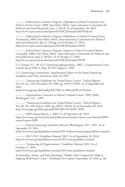———, *Federal Justice Statistics Program: Defendants in Federal Criminal Cases Filed in District Court, 2009*, Ann Arbor, Mich.: Inter-university Consortium for Political and Social Research, June 3, 2011ff. As of September 20, 2014: <http://www.icpsr.umich.edu/icpsrweb/NACJD/studies/30781/detail>

———, *Federal Justice Statistics Program: Defendants in Federal Criminal Cases: Terminated, 2009*, Ann Arbor, Mich.: Inter-university Consortium for Political and Social Research, June 3, 2011gg. As of October 27, 2014: <http://www.icpsr.umich.edu/icpsrweb/NACJD/studies/29433>

———, *Federal Justice Statistics Program: Suspects in Federal Criminal Matters Concluded, 2009*, Ann Arbor, Mich.: Inter-university Consortium for Political and Social Research, June 3, 2011hh. As of October 27, 2014: <http://www.icpsr.umich.edu/icpsrweb/NACJD/studies/30790>

U.S. Senate, *P.L. 98-473, Continuing Appropriations, 1985—Comprehensive Crime Control Act of 1984*, S. Rep. 98-225, August 4, 1983.

U.S. Sentencing Commission, *Supplementary Report on the Initial Sentencing Guidelines and Policy Statements*, June 18, 1987.

———, "Sentencing Guidelines for United States Courts," *Federal Register*, Vol. 63, No. 229, November 30, 1998, pp. 65979–65993. As of September 20, 2014:

<http://www.gpo.gov/fdsys/pkg/FR-1998-11-30/html/98-31756.htm>

———, *Organizations Convicted in Federal Criminal Courts, 1999–2008*, Washington, D.C., 1999.

———, "Sentencing Guidelines for United States Courts," *Federal Register*, Vol. 66, No. 109, June 6, 2001, pp. 30512–30563. As of September 20, 2014: <http://www.gpo.gov/fdsys/granule/FR-2001-06-06/01-13966>

———, *2009 Annual Report*, c. 2009. As of September 20, 2014: [http://www.ussc.gov/research-and-publications/annual-reports-sourcebooks/2009/](http://www.ussc.gov/research-and-publications/annual-reports-sourcebooks/2009/annual-report-2009) annual-report-2009

———, *Federal Sentencing Guidelines Manual*, Washington, D.C., 2011. As of September 29, 2014:

<http://www.ussc.gov/guidelines-manual/2011-federal-sentencing-guidelines-manual>

———, *2012 USSC Guidelines Manual*, 2012. As of September 20, 2014: <http://www.ussc.gov/guidelines-manual/2012-ussc-guidelines-manual>

———, "Sentencing of Organizations," *Guidelines Manual*, 2013. As of October 27, 2014:

<http://www.ussc.gov/guidelines-manual/2013-ussc-guidelines-manual>

Viswantatha, Aruna, and Nate Raymond, "Holder Asks Congress for Help in Fighting Wall Street Crime," *Pittsburgh Post-Gazette*, September 18, 2014, p. A6.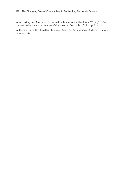White, Mary Jo, "Corporate Criminal Liability: What Has Gone Wrong?" *37th Annual Institute on Securities Regulation*, Vol. 2, November 2005, pp. 815–828.

Williams, Glanville Llewellyn, *Criminal Law: The General Part*, 2nd ed., London: Stevens, 1961.